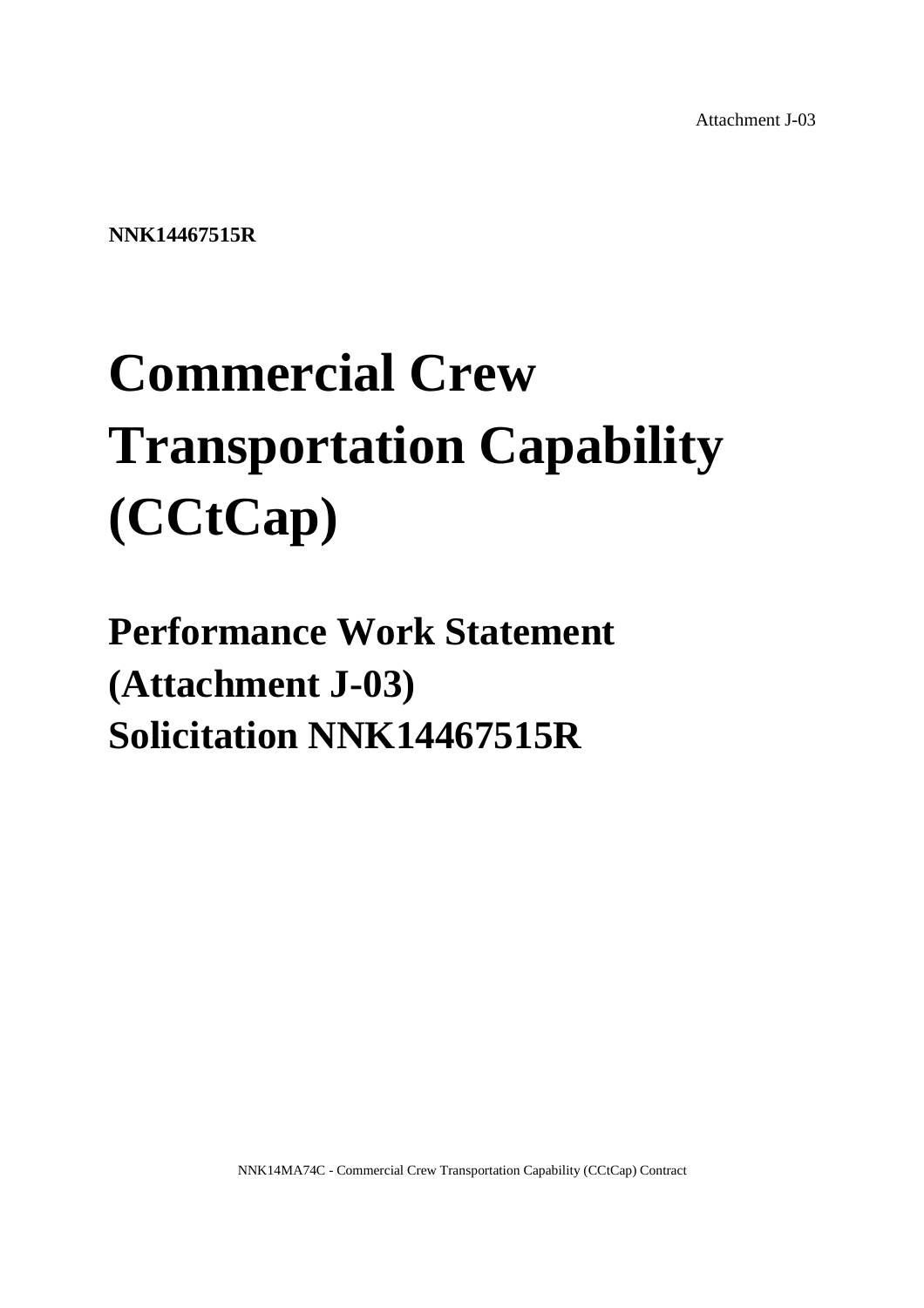**NNK14467515R**

# **Commercial Crew Transportation Capability (CCtCap)**

**Performance Work Statement (Attachment J-03) Solicitation NNK14467515R**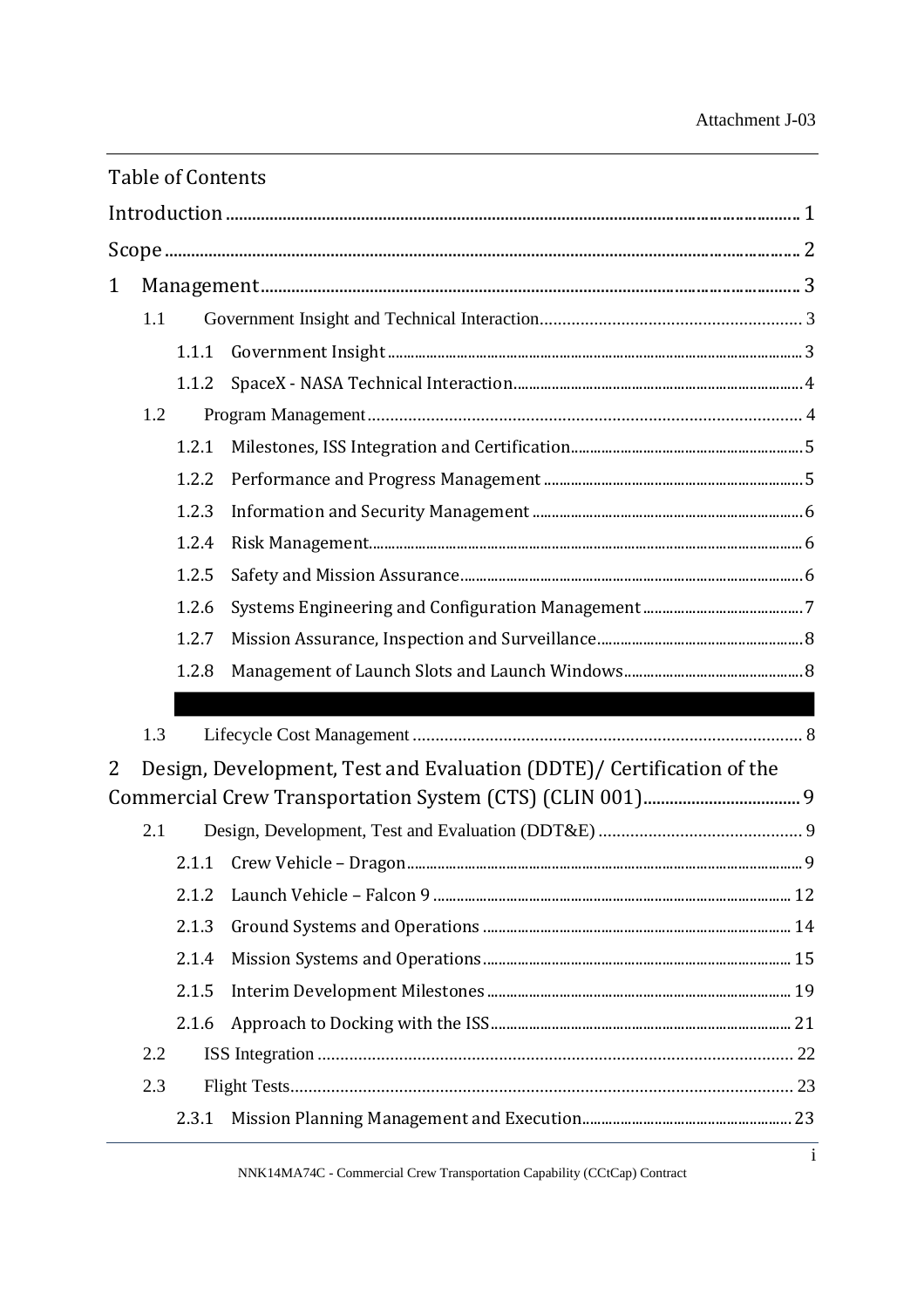# **Table of Contents**

| 1 |     |       |                                                                       |  |  |  |
|---|-----|-------|-----------------------------------------------------------------------|--|--|--|
|   | 1.1 |       |                                                                       |  |  |  |
|   |     | 1.1.1 |                                                                       |  |  |  |
|   |     | 1.1.2 |                                                                       |  |  |  |
|   | 1.2 |       |                                                                       |  |  |  |
|   |     | 1.2.1 |                                                                       |  |  |  |
|   |     | 1.2.2 |                                                                       |  |  |  |
|   |     | 1.2.3 |                                                                       |  |  |  |
|   |     | 1.2.4 |                                                                       |  |  |  |
|   |     | 1.2.5 |                                                                       |  |  |  |
|   |     | 1.2.6 |                                                                       |  |  |  |
|   |     | 1.2.7 |                                                                       |  |  |  |
|   |     | 1.2.8 |                                                                       |  |  |  |
|   |     |       |                                                                       |  |  |  |
|   | 1.3 |       |                                                                       |  |  |  |
| 2 |     |       | Design, Development, Test and Evaluation (DDTE)/ Certification of the |  |  |  |
|   | 2.1 |       |                                                                       |  |  |  |
|   |     | 2.1.1 |                                                                       |  |  |  |
|   |     |       |                                                                       |  |  |  |
|   |     | 2.1.3 |                                                                       |  |  |  |
|   |     | 2.1.4 |                                                                       |  |  |  |
|   |     | 2.1.5 |                                                                       |  |  |  |
|   |     | 2.1.6 |                                                                       |  |  |  |
|   | 2.2 |       |                                                                       |  |  |  |
|   | 2.3 |       |                                                                       |  |  |  |
|   |     | 2.3.1 |                                                                       |  |  |  |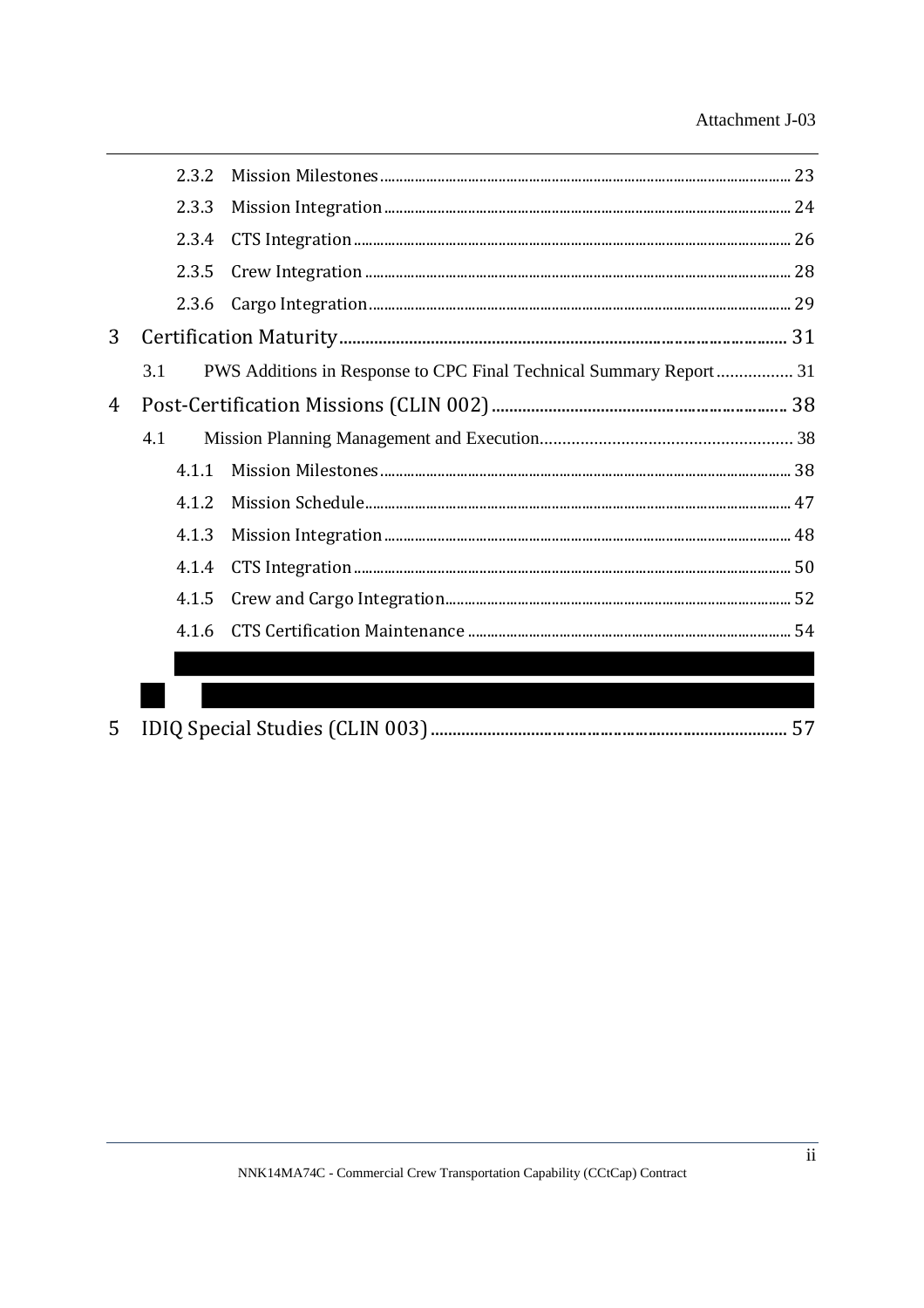|                | 2.3.2 |                                                                     |  |
|----------------|-------|---------------------------------------------------------------------|--|
|                | 2.3.3 |                                                                     |  |
|                | 2.3.4 |                                                                     |  |
|                | 2.3.5 |                                                                     |  |
|                | 2.3.6 |                                                                     |  |
| $\overline{3}$ |       |                                                                     |  |
|                | 3.1   | PWS Additions in Response to CPC Final Technical Summary Report  31 |  |
| 4              |       |                                                                     |  |
|                | 4.1   |                                                                     |  |
|                | 4.1.1 |                                                                     |  |
|                | 4.1.2 |                                                                     |  |
|                | 4.1.3 |                                                                     |  |
|                | 4.1.4 |                                                                     |  |
|                | 4.1.5 |                                                                     |  |
|                | 4.1.6 |                                                                     |  |
|                |       |                                                                     |  |
|                |       |                                                                     |  |
| 5              |       |                                                                     |  |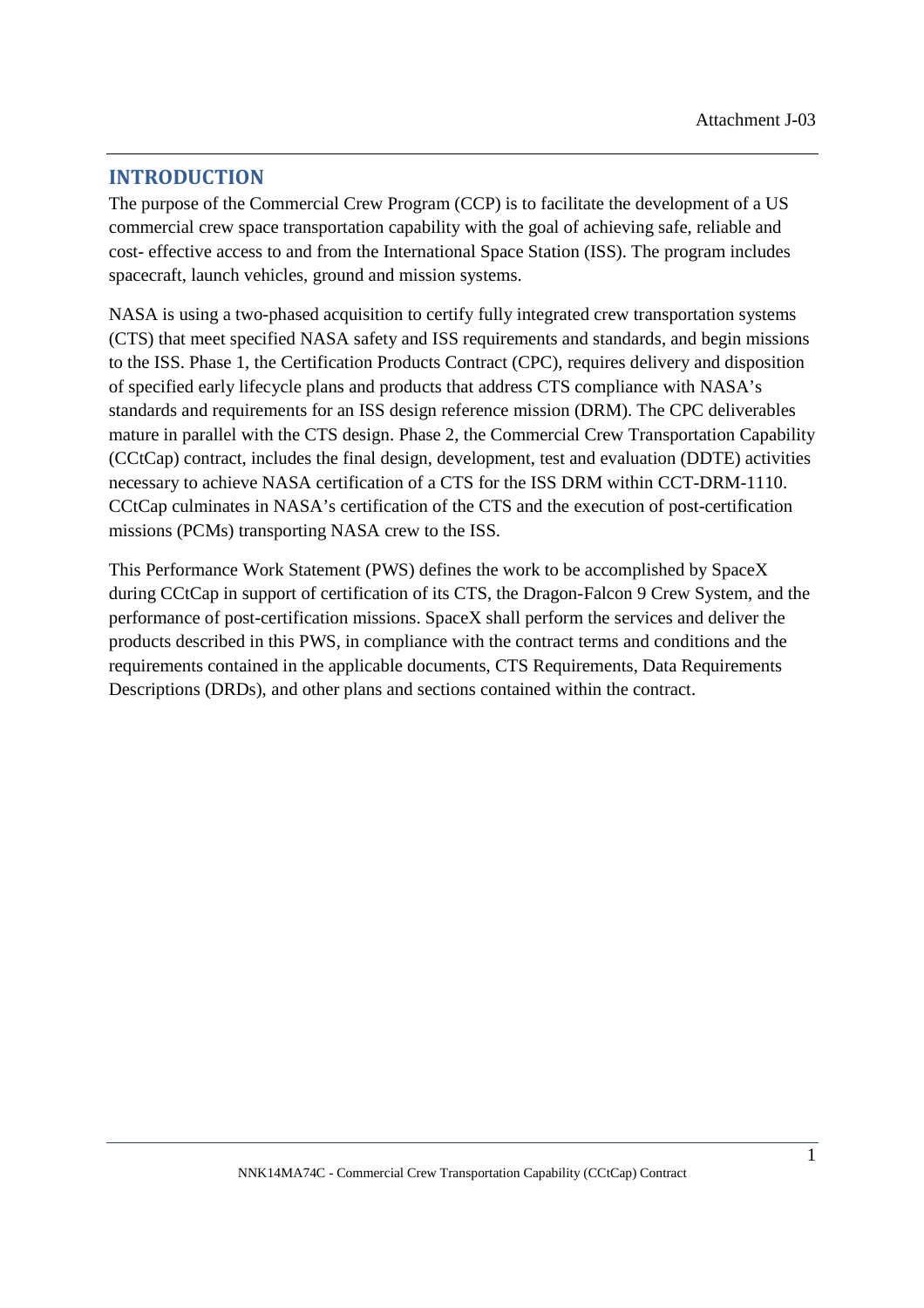#### **INTRODUCTION**

The purpose of the Commercial Crew Program (CCP) is to facilitate the development of a US commercial crew space transportation capability with the goal of achieving safe, reliable and cost- effective access to and from the International Space Station (ISS). The program includes spacecraft, launch vehicles, ground and mission systems.

NASA is using a two-phased acquisition to certify fully integrated crew transportation systems (CTS) that meet specified NASA safety and ISS requirements and standards, and begin missions to the ISS. Phase 1, the Certification Products Contract (CPC), requires delivery and disposition of specified early lifecycle plans and products that address CTS compliance with NASA's standards and requirements for an ISS design reference mission (DRM). The CPC deliverables mature in parallel with the CTS design. Phase 2, the Commercial Crew Transportation Capability (CCtCap) contract, includes the final design, development, test and evaluation (DDTE) activities necessary to achieve NASA certification of a CTS for the ISS DRM within CCT-DRM-1110. CCtCap culminates in NASA's certification of the CTS and the execution of post-certification missions (PCMs) transporting NASA crew to the ISS.

This Performance Work Statement (PWS) defines the work to be accomplished by SpaceX during CCtCap in support of certification of its CTS, the Dragon-Falcon 9 Crew System, and the performance of post-certification missions. SpaceX shall perform the services and deliver the products described in this PWS, in compliance with the contract terms and conditions and the requirements contained in the applicable documents, CTS Requirements, Data Requirements Descriptions (DRDs), and other plans and sections contained within the contract.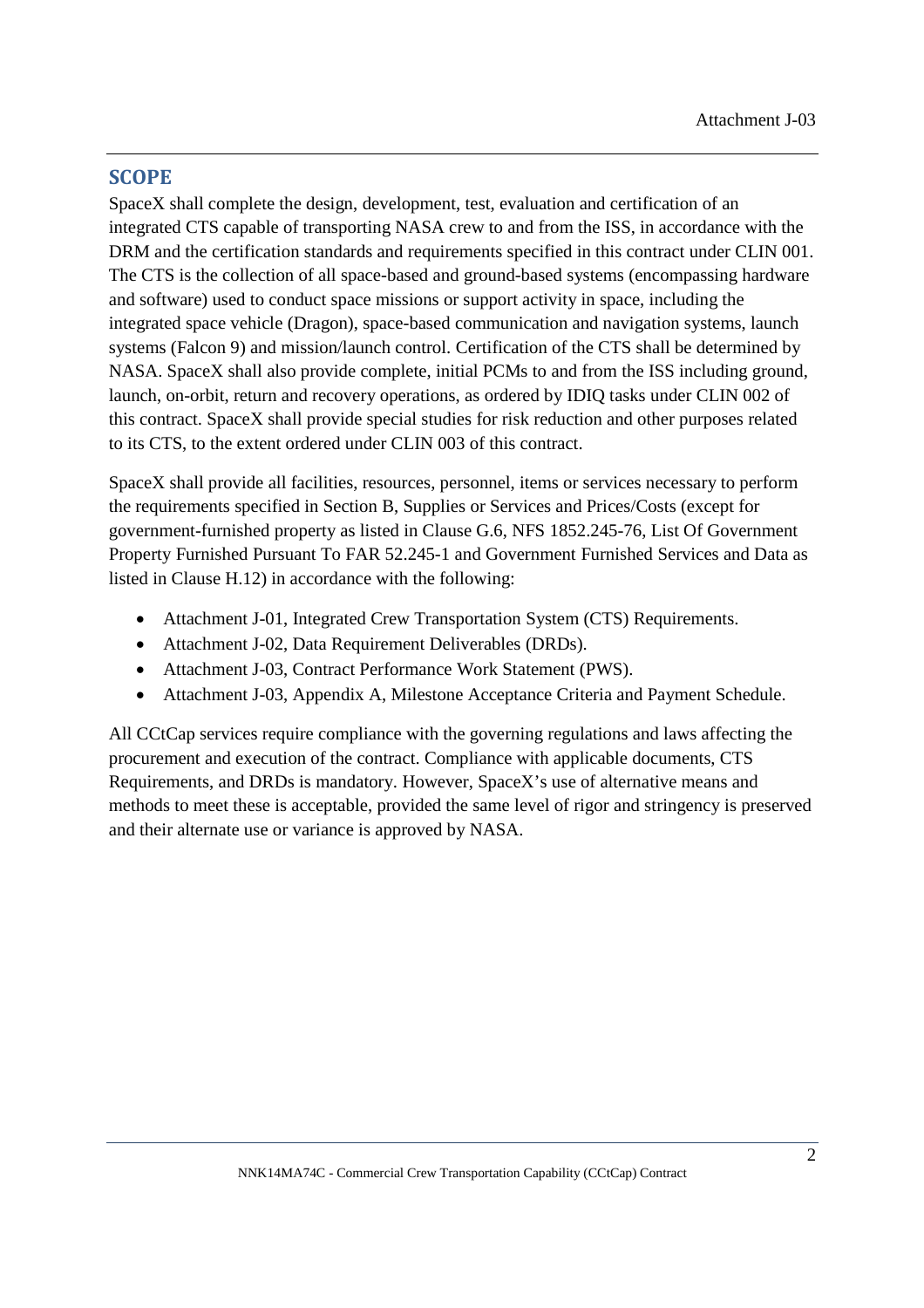#### **SCOPE**

SpaceX shall complete the design, development, test, evaluation and certification of an integrated CTS capable of transporting NASA crew to and from the ISS, in accordance with the DRM and the certification standards and requirements specified in this contract under CLIN 001. The CTS is the collection of all space-based and ground-based systems (encompassing hardware and software) used to conduct space missions or support activity in space, including the integrated space vehicle (Dragon), space-based communication and navigation systems, launch systems (Falcon 9) and mission/launch control. Certification of the CTS shall be determined by NASA. SpaceX shall also provide complete, initial PCMs to and from the ISS including ground, launch, on-orbit, return and recovery operations, as ordered by IDIQ tasks under CLIN 002 of this contract. SpaceX shall provide special studies for risk reduction and other purposes related to its CTS, to the extent ordered under CLIN 003 of this contract.

SpaceX shall provide all facilities, resources, personnel, items or services necessary to perform the requirements specified in Section B, Supplies or Services and Prices/Costs (except for government-furnished property as listed in Clause G.6, NFS 1852.245-76, List Of Government Property Furnished Pursuant To FAR 52.245-1 and Government Furnished Services and Data as listed in Clause H.12) in accordance with the following:

- Attachment J-01, Integrated Crew Transportation System (CTS) Requirements.
- Attachment J-02, Data Requirement Deliverables (DRDs).
- Attachment J-03, Contract Performance Work Statement (PWS).
- Attachment J-03, Appendix A, Milestone Acceptance Criteria and Payment Schedule.

All CCtCap services require compliance with the governing regulations and laws affecting the procurement and execution of the contract. Compliance with applicable documents, CTS Requirements, and DRDs is mandatory. However, SpaceX's use of alternative means and methods to meet these is acceptable, provided the same level of rigor and stringency is preserved and their alternate use or variance is approved by NASA.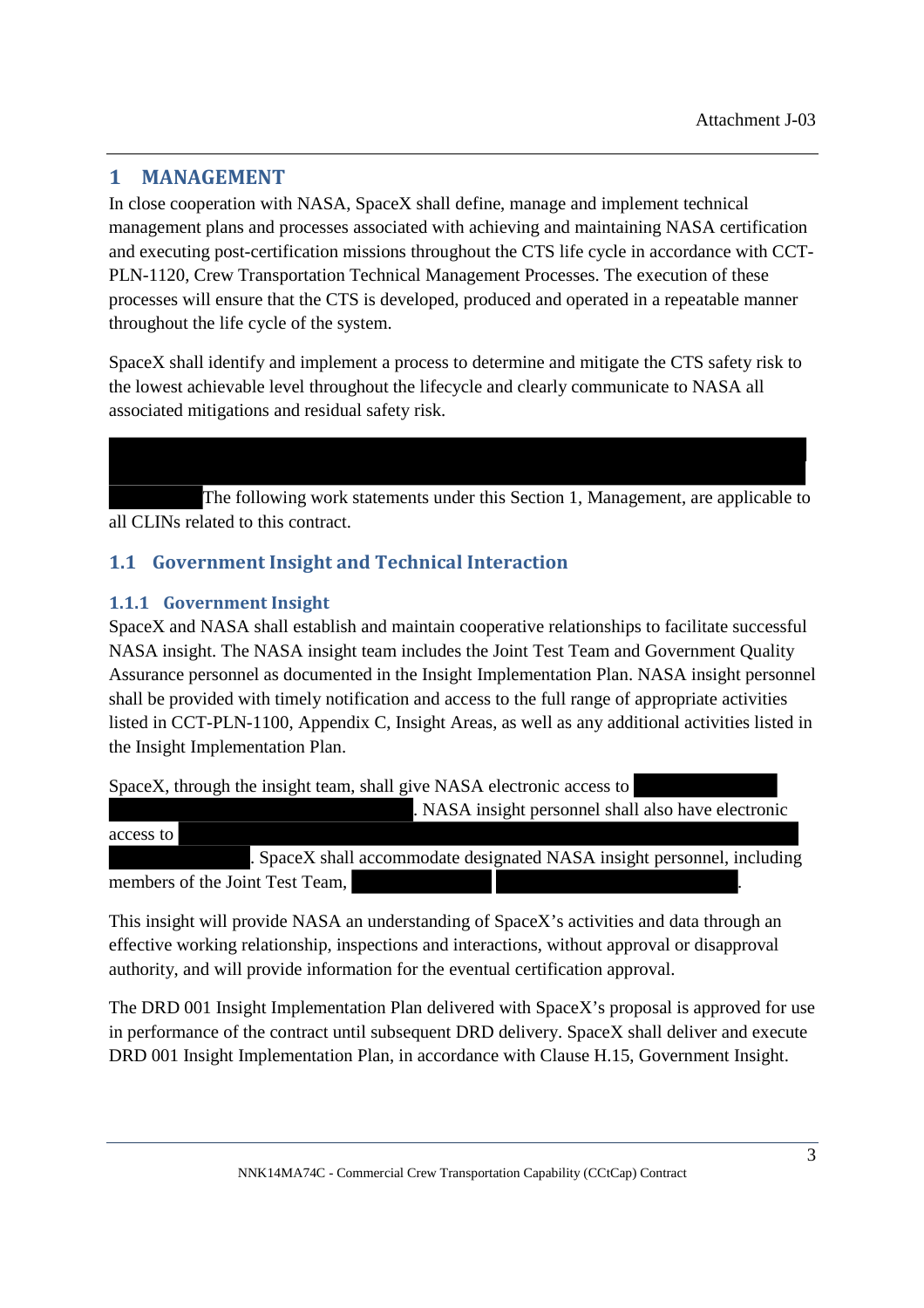## **1 MANAGEMENT**

In close cooperation with NASA, SpaceX shall define, manage and implement technical management plans and processes associated with achieving and maintaining NASA certification and executing post-certification missions throughout the CTS life cycle in accordance with CCT-PLN-1120, Crew Transportation Technical Management Processes. The execution of these processes will ensure that the CTS is developed, produced and operated in a repeatable manner throughout the life cycle of the system.

SpaceX shall identify and implement a process to determine and mitigate the CTS safety risk to the lowest achievable level throughout the lifecycle and clearly communicate to NASA all associated mitigations and residual safety risk.

# The following work statements under this Section 1, Management, are applicable to all CLINs related to this contract.

# **1.1 Government Insight and Technical Interaction**

#### **1.1.1 Government Insight**

SpaceX and NASA shall establish and maintain cooperative relationships to facilitate successful NASA insight. The NASA insight team includes the Joint Test Team and Government Quality Assurance personnel as documented in the Insight Implementation Plan. NASA insight personnel shall be provided with timely notification and access to the full range of appropriate activities listed in CCT-PLN-1100, Appendix C, Insight Areas, as well as any additional activities listed in the Insight Implementation Plan.

| SpaceX, through the insight team, shall give NASA electronic access to |                                                                         |
|------------------------------------------------------------------------|-------------------------------------------------------------------------|
|                                                                        | . NASA insight personnel shall also have electronic                     |
| access to                                                              |                                                                         |
|                                                                        | . SpaceX shall accommodate designated NASA insight personnel, including |
| members of the Joint Test Team,                                        |                                                                         |

This insight will provide NASA an understanding of SpaceX's activities and data through an effective working relationship, inspections and interactions, without approval or disapproval authority, and will provide information for the eventual certification approval.

The DRD 001 Insight Implementation Plan delivered with SpaceX's proposal is approved for use in performance of the contract until subsequent DRD delivery. SpaceX shall deliver and execute DRD 001 Insight Implementation Plan, in accordance with Clause H.15, Government Insight.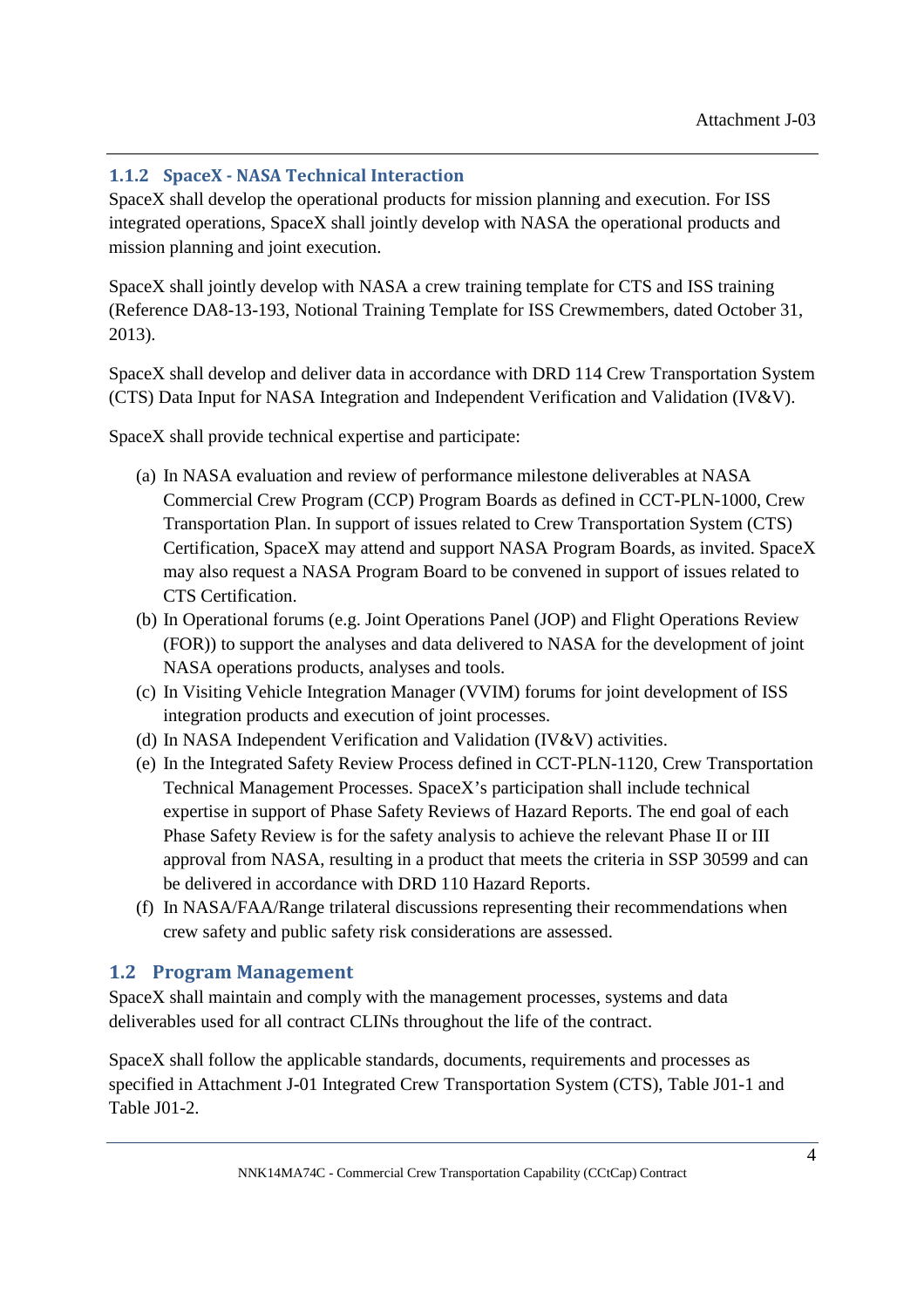#### **1.1.2 SpaceX - NASA Technical Interaction**

SpaceX shall develop the operational products for mission planning and execution. For ISS integrated operations, SpaceX shall jointly develop with NASA the operational products and mission planning and joint execution.

SpaceX shall jointly develop with NASA a crew training template for CTS and ISS training (Reference DA8-13-193, Notional Training Template for ISS Crewmembers, dated October 31, 2013).

SpaceX shall develop and deliver data in accordance with DRD 114 Crew Transportation System (CTS) Data Input for NASA Integration and Independent Verification and Validation (IV&V).

SpaceX shall provide technical expertise and participate:

- (a) In NASA evaluation and review of performance milestone deliverables at NASA Commercial Crew Program (CCP) Program Boards as defined in CCT-PLN-1000, Crew Transportation Plan. In support of issues related to Crew Transportation System (CTS) Certification, SpaceX may attend and support NASA Program Boards, as invited. SpaceX may also request a NASA Program Board to be convened in support of issues related to CTS Certification.
- (b) In Operational forums (e.g. Joint Operations Panel (JOP) and Flight Operations Review (FOR)) to support the analyses and data delivered to NASA for the development of joint NASA operations products, analyses and tools.
- (c) In Visiting Vehicle Integration Manager (VVIM) forums for joint development of ISS integration products and execution of joint processes.
- (d) In NASA Independent Verification and Validation (IV&V) activities.
- (e) In the Integrated Safety Review Process defined in CCT-PLN-1120, Crew Transportation Technical Management Processes. SpaceX's participation shall include technical expertise in support of Phase Safety Reviews of Hazard Reports. The end goal of each Phase Safety Review is for the safety analysis to achieve the relevant Phase II or III approval from NASA, resulting in a product that meets the criteria in SSP 30599 and can be delivered in accordance with DRD 110 Hazard Reports.
- (f) In NASA/FAA/Range trilateral discussions representing their recommendations when crew safety and public safety risk considerations are assessed.

#### **1.2 Program Management**

SpaceX shall maintain and comply with the management processes, systems and data deliverables used for all contract CLINs throughout the life of the contract.

SpaceX shall follow the applicable standards, documents, requirements and processes as specified in Attachment J-01 Integrated Crew Transportation System (CTS), Table J01-1 and Table J01-2.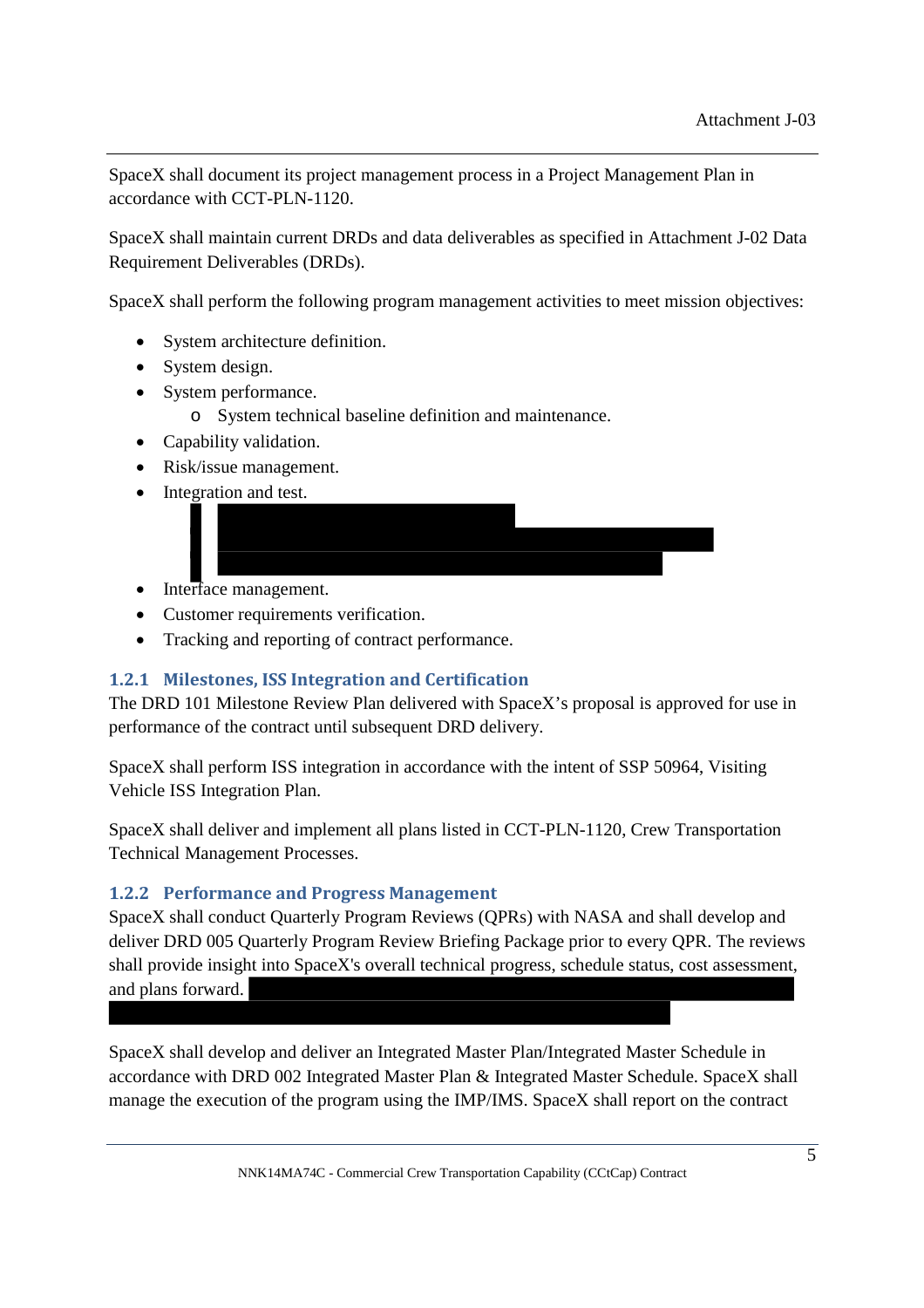SpaceX shall document its project management process in a Project Management Plan in accordance with CCT-PLN-1120.

SpaceX shall maintain current DRDs and data deliverables as specified in Attachment J-02 Data Requirement Deliverables (DRDs).

SpaceX shall perform the following program management activities to meet mission objectives:

- System architecture definition.
- System design.
- System performance.
	- o System technical baseline definition and maintenance.
- Capability validation.
- Risk/issue management.
- Integration and test.



- Interface management.
- Customer requirements verification.
- Tracking and reporting of contract performance.

#### **1.2.1 Milestones, ISS Integration and Certification**

The DRD 101 Milestone Review Plan delivered with SpaceX's proposal is approved for use in performance of the contract until subsequent DRD delivery.

SpaceX shall perform ISS integration in accordance with the intent of SSP 50964, Visiting Vehicle ISS Integration Plan.

SpaceX shall deliver and implement all plans listed in CCT-PLN-1120, Crew Transportation Technical Management Processes.

#### **1.2.2 Performance and Progress Management**

SpaceX shall conduct Quarterly Program Reviews (QPRs) with NASA and shall develop and deliver DRD 005 Quarterly Program Review Briefing Package prior to every QPR. The reviews shall provide insight into SpaceX's overall technical progress, schedule status, cost assessment, and plans forward.

SpaceX shall develop and deliver an Integrated Master Plan/Integrated Master Schedule in accordance with DRD 002 Integrated Master Plan & Integrated Master Schedule. SpaceX shall manage the execution of the program using the IMP/IMS. SpaceX shall report on the contract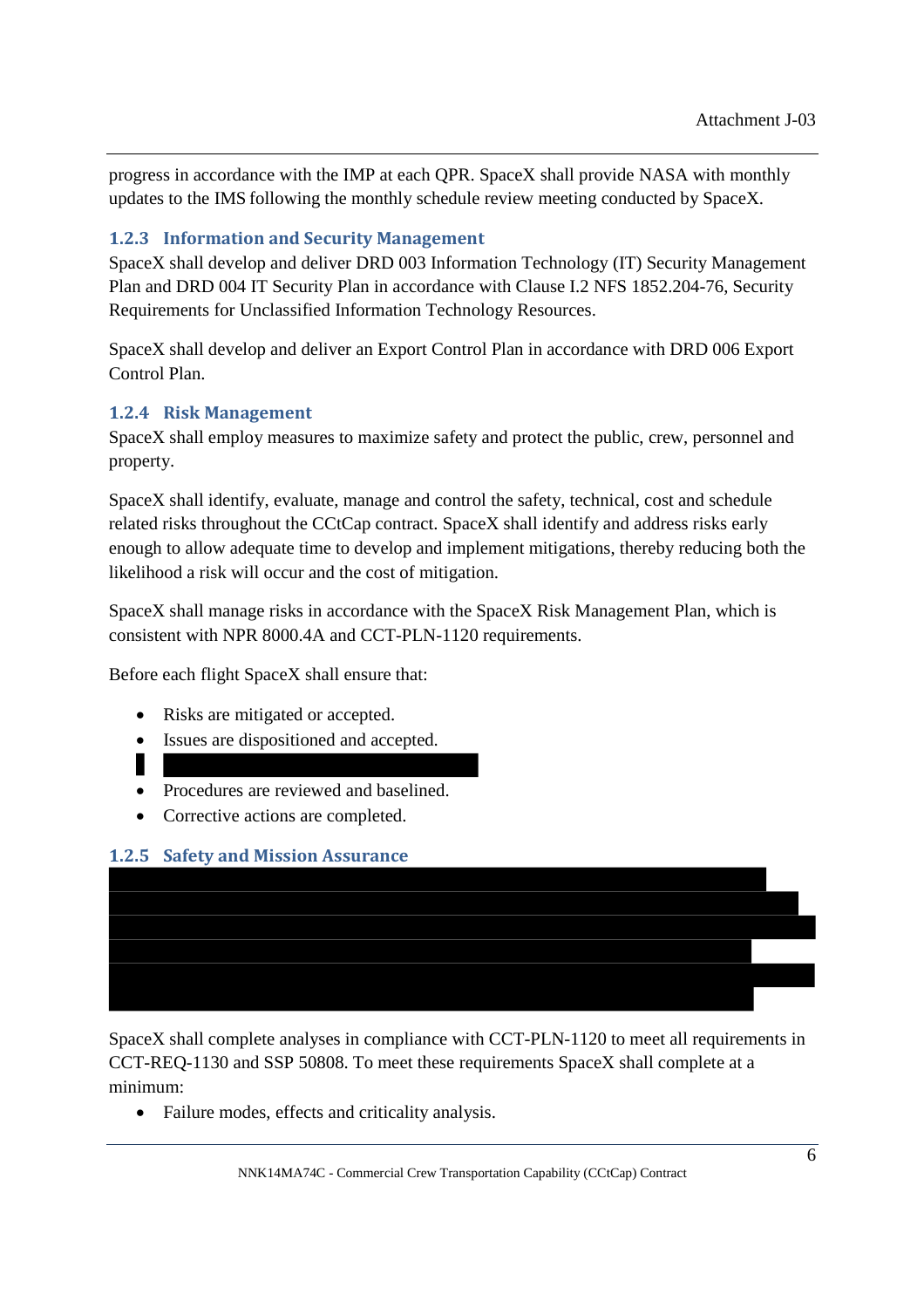progress in accordance with the IMP at each QPR. SpaceX shall provide NASA with monthly updates to the IMS following the monthly schedule review meeting conducted by SpaceX.

## **1.2.3 Information and Security Management**

SpaceX shall develop and deliver DRD 003 Information Technology (IT) Security Management Plan and DRD 004 IT Security Plan in accordance with Clause I.2 NFS 1852.204-76, Security Requirements for Unclassified Information Technology Resources.

SpaceX shall develop and deliver an Export Control Plan in accordance with DRD 006 Export Control Plan.

#### **1.2.4 Risk Management**

SpaceX shall employ measures to maximize safety and protect the public, crew, personnel and property.

SpaceX shall identify, evaluate, manage and control the safety, technical, cost and schedule related risks throughout the CCtCap contract. SpaceX shall identify and address risks early enough to allow adequate time to develop and implement mitigations, thereby reducing both the likelihood a risk will occur and the cost of mitigation.

SpaceX shall manage risks in accordance with the SpaceX Risk Management Plan, which is consistent with NPR 8000.4A and CCT-PLN-1120 requirements.

Before each flight SpaceX shall ensure that:

- Risks are mitigated or accepted.
- Issues are dispositioned and accepted.
- **Contract**
- Procedures are reviewed and baselined.
- Corrective actions are completed.

#### **1.2.5 Safety and Mission Assurance**



SpaceX shall complete analyses in compliance with CCT-PLN-1120 to meet all requirements in CCT-REQ-1130 and SSP 50808. To meet these requirements SpaceX shall complete at a minimum:

Failure modes, effects and criticality analysis.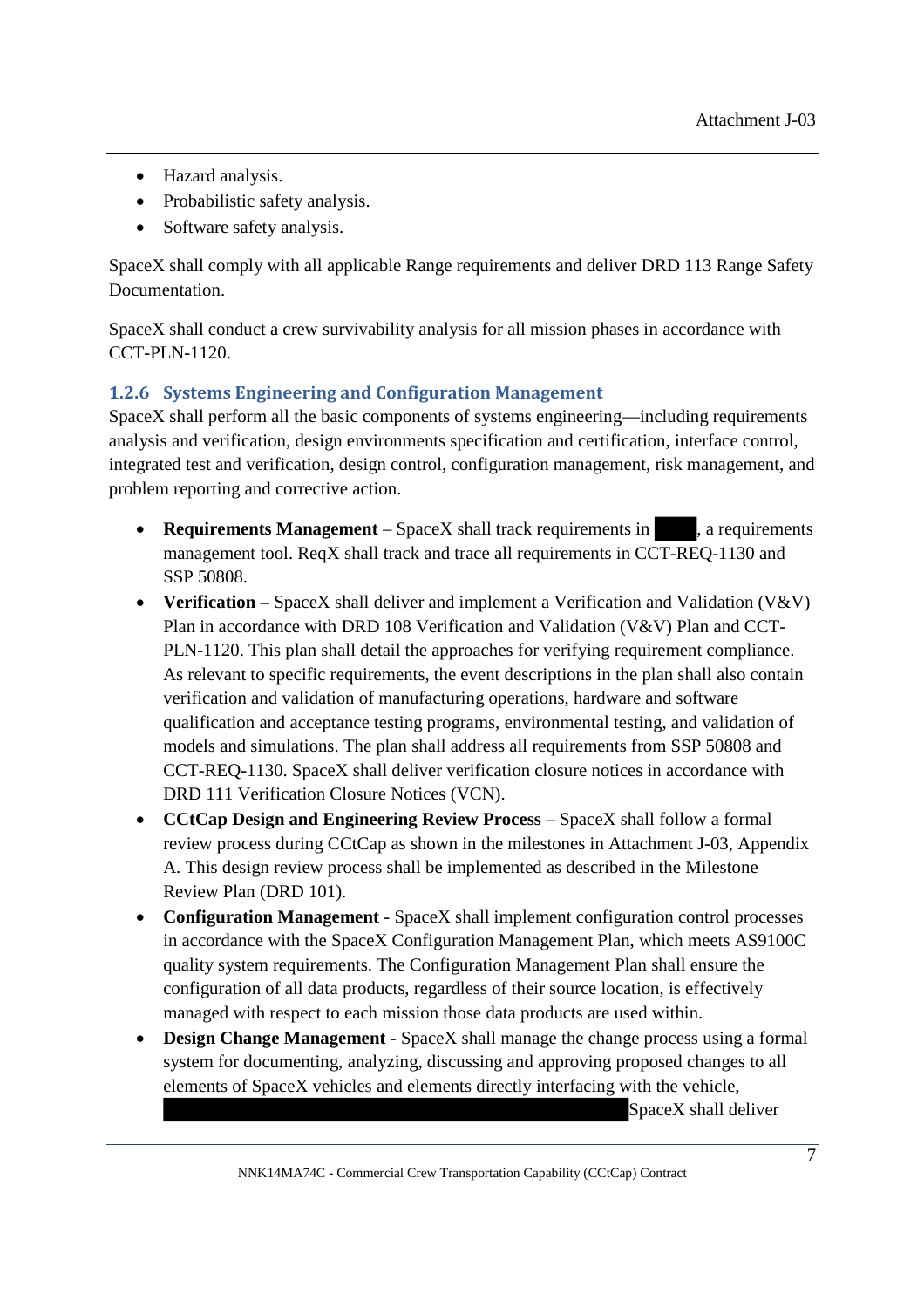- Hazard analysis.
- Probabilistic safety analysis.
- Software safety analysis.

SpaceX shall comply with all applicable Range requirements and deliver DRD 113 Range Safety Documentation.

SpaceX shall conduct a crew survivability analysis for all mission phases in accordance with CCT-PLN-1120.

#### **1.2.6 Systems Engineering and Configuration Management**

SpaceX shall perform all the basic components of systems engineering—including requirements analysis and verification, design environments specification and certification, interface control, integrated test and verification, design control, configuration management, risk management, and problem reporting and corrective action.

- **Requirements Management** SpaceX shall track requirements in , a requirements management tool. ReqX shall track and trace all requirements in CCT-REQ-1130 and SSP 50808.
- **Verification** SpaceX shall deliver and implement a Verification and Validation (V&V) Plan in accordance with DRD 108 Verification and Validation (V&V) Plan and CCT-PLN-1120. This plan shall detail the approaches for verifying requirement compliance. As relevant to specific requirements, the event descriptions in the plan shall also contain verification and validation of manufacturing operations, hardware and software qualification and acceptance testing programs, environmental testing, and validation of models and simulations. The plan shall address all requirements from SSP 50808 and CCT-REQ-1130. SpaceX shall deliver verification closure notices in accordance with DRD 111 Verification Closure Notices (VCN).
- **CCtCap Design and Engineering Review Process** SpaceX shall follow a formal review process during CCtCap as shown in the milestones in Attachment J-03, Appendix A. This design review process shall be implemented as described in the Milestone Review Plan (DRD 101).
- **Configuration Management** SpaceX shall implement configuration control processes in accordance with the SpaceX Configuration Management Plan, which meets AS9100C quality system requirements. The Configuration Management Plan shall ensure the configuration of all data products, regardless of their source location, is effectively managed with respect to each mission those data products are used within.
- **Design Change Management** SpaceX shall manage the change process using a formal system for documenting, analyzing, discussing and approving proposed changes to all elements of SpaceX vehicles and elements directly interfacing with the vehicle, SpaceX shall deliver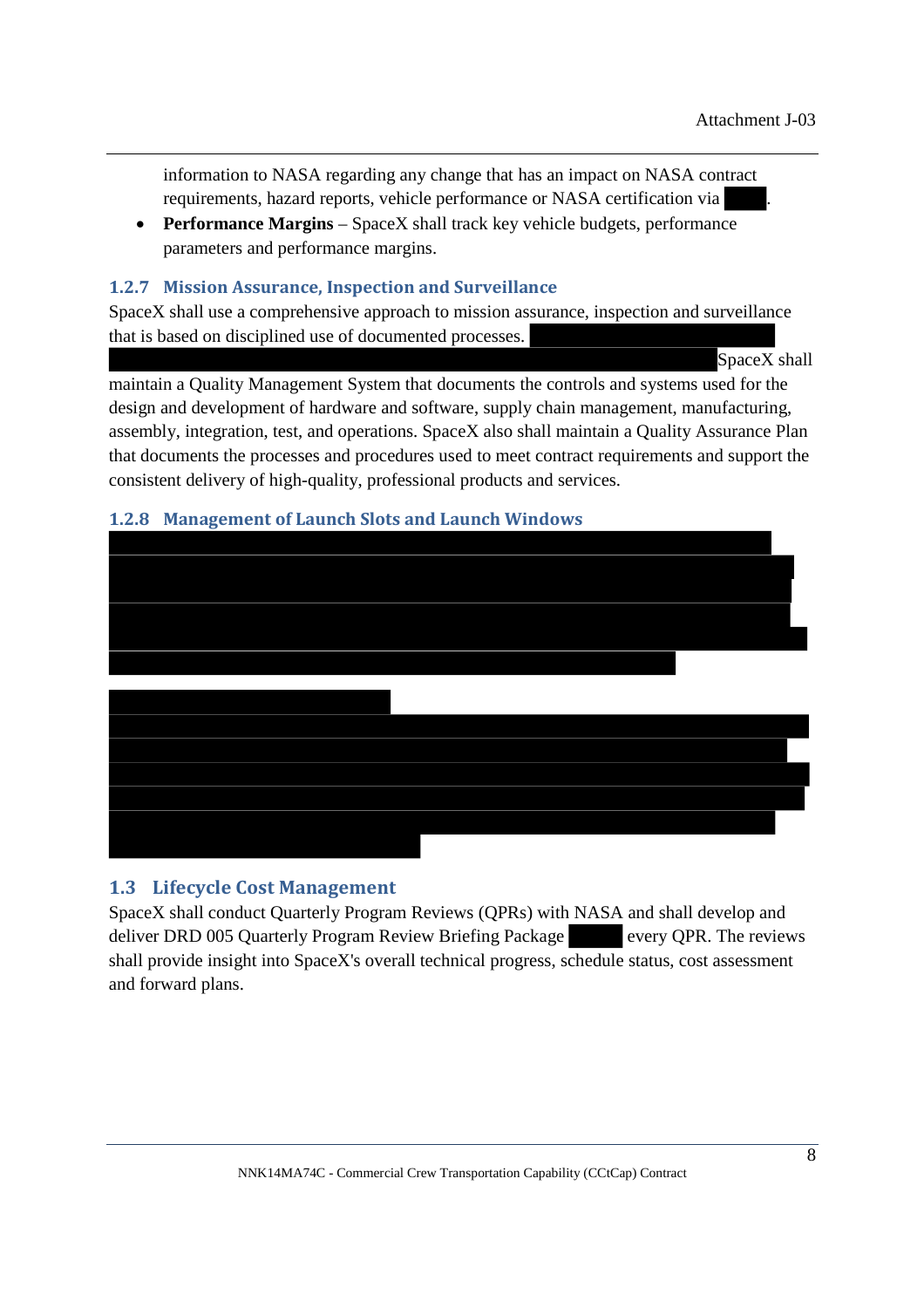SpaceX shall

information to NASA regarding any change that has an impact on NASA contract requirements, hazard reports, vehicle performance or NASA certification via .

 **Performance Margins** – SpaceX shall track key vehicle budgets, performance parameters and performance margins.

#### **1.2.7 Mission Assurance, Inspection and Surveillance**

SpaceX shall use a comprehensive approach to mission assurance, inspection and surveillance that is based on disciplined use of documented processes.

maintain a Quality Management System that documents the controls and systems used for the design and development of hardware and software, supply chain management, manufacturing, assembly, integration, test, and operations. SpaceX also shall maintain a Quality Assurance Plan that documents the processes and procedures used to meet contract requirements and support the consistent delivery of high-quality, professional products and services.

#### **1.2.8 Management of Launch Slots and Launch Windows**



#### **1.3 Lifecycle Cost Management**

SpaceX shall conduct Quarterly Program Reviews (QPRs) with NASA and shall develop and deliver DRD 005 Quarterly Program Review Briefing Package every QPR. The reviews shall provide insight into SpaceX's overall technical progress, schedule status, cost assessment and forward plans.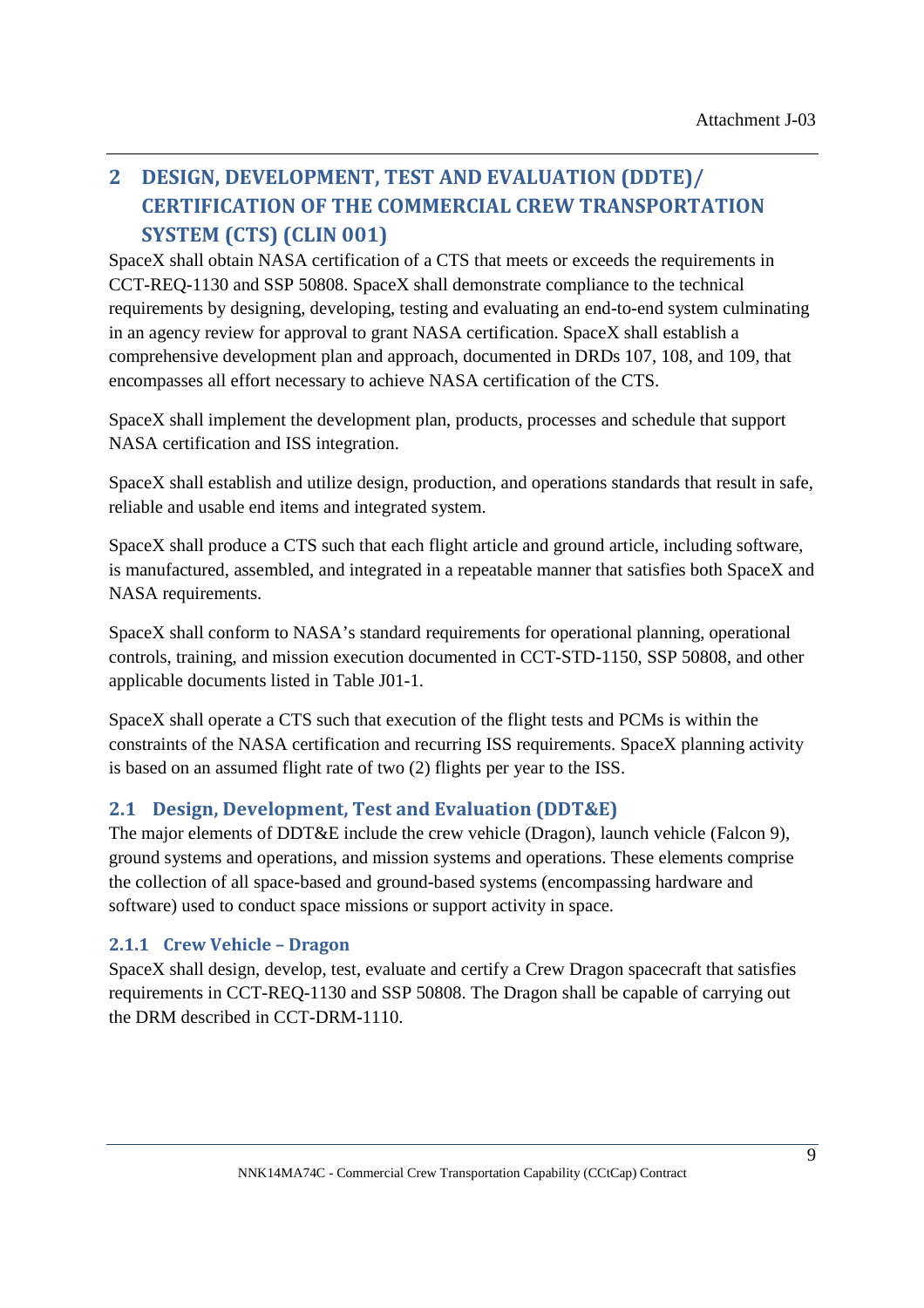# **2 DESIGN, DEVELOPMENT, TEST AND EVALUATION (DDTE)/ CERTIFICATION OF THE COMMERCIAL CREW TRANSPORTATION SYSTEM (CTS) (CLIN 001)**

SpaceX shall obtain NASA certification of a CTS that meets or exceeds the requirements in CCT-REQ-1130 and SSP 50808. SpaceX shall demonstrate compliance to the technical requirements by designing, developing, testing and evaluating an end-to-end system culminating in an agency review for approval to grant NASA certification. SpaceX shall establish a comprehensive development plan and approach, documented in DRDs 107, 108, and 109, that encompasses all effort necessary to achieve NASA certification of the CTS.

SpaceX shall implement the development plan, products, processes and schedule that support NASA certification and ISS integration.

SpaceX shall establish and utilize design, production, and operations standards that result in safe, reliable and usable end items and integrated system.

SpaceX shall produce a CTS such that each flight article and ground article, including software, is manufactured, assembled, and integrated in a repeatable manner that satisfies both SpaceX and NASA requirements.

SpaceX shall conform to NASA's standard requirements for operational planning, operational controls, training, and mission execution documented in CCT-STD-1150, SSP 50808, and other applicable documents listed in Table J01-1.

SpaceX shall operate a CTS such that execution of the flight tests and PCMs is within the constraints of the NASA certification and recurring ISS requirements. SpaceX planning activity is based on an assumed flight rate of two (2) flights per year to the ISS.

# **2.1 Design, Development, Test and Evaluation (DDT&E)**

The major elements of DDT&E include the crew vehicle (Dragon), launch vehicle (Falcon 9), ground systems and operations, and mission systems and operations. These elements comprise the collection of all space-based and ground-based systems (encompassing hardware and software) used to conduct space missions or support activity in space.

#### **2.1.1 Crew Vehicle – Dragon**

SpaceX shall design, develop, test, evaluate and certify a Crew Dragon spacecraft that satisfies requirements in CCT-REQ-1130 and SSP 50808. The Dragon shall be capable of carrying out the DRM described in CCT-DRM-1110.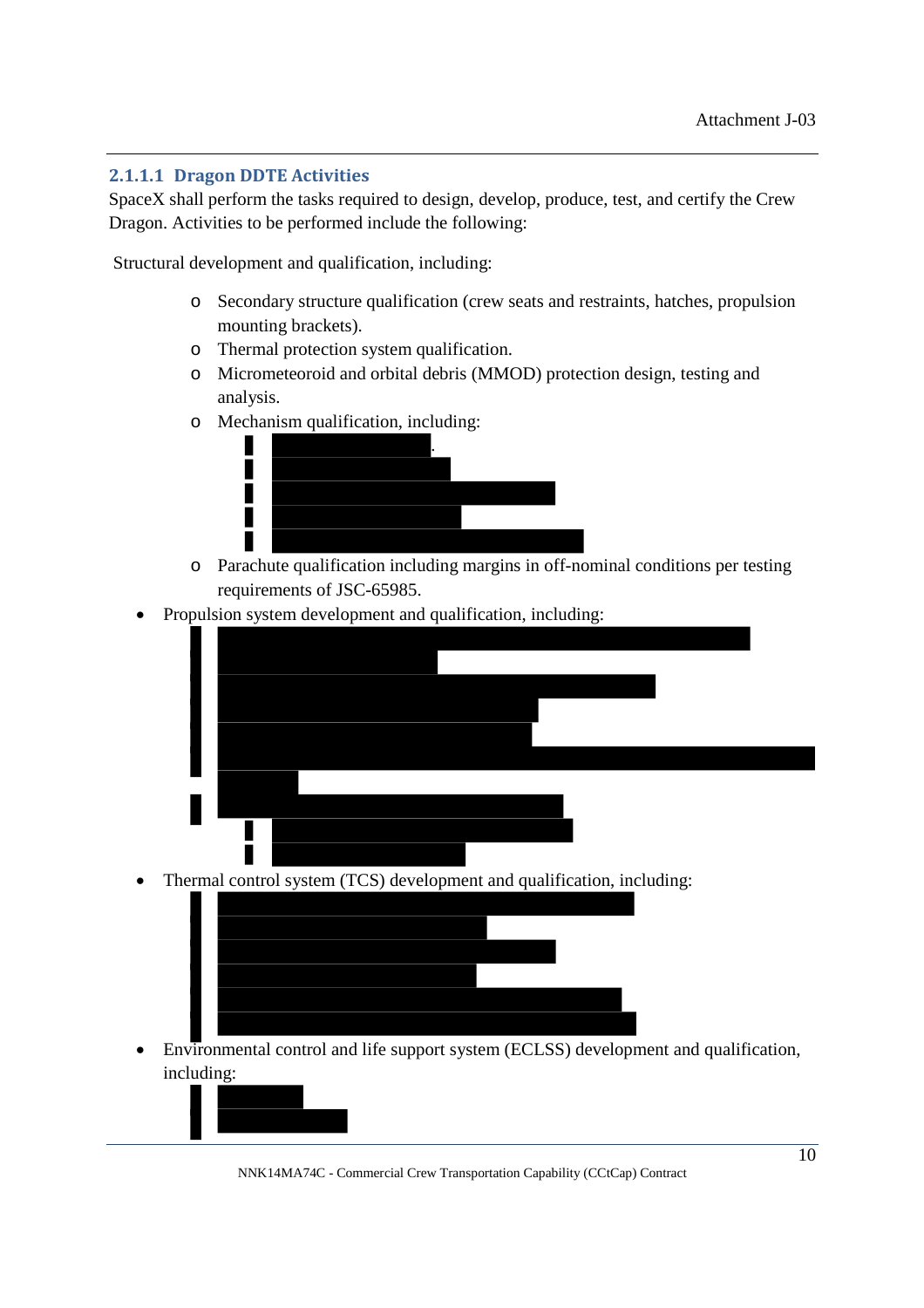#### **2.1.1.1 Dragon DDTE Activities**

SpaceX shall perform the tasks required to design, develop, produce, test, and certify the Crew Dragon. Activities to be performed include the following:

Structural development and qualification, including:

- o Secondary structure qualification (crew seats and restraints, hatches, propulsion mounting brackets).
- o Thermal protection system qualification.
- o Micrometeoroid and orbital debris (MMOD) protection design, testing and analysis.
- o Mechanism qualification, including:



- o Parachute qualification including margins in off-nominal conditions per testing requirements of JSC-65985.
- Propulsion system development and qualification, including:



Thermal control system (TCS) development and qualification, including:



 Environmental control and life support system (ECLSS) development and qualification, including:

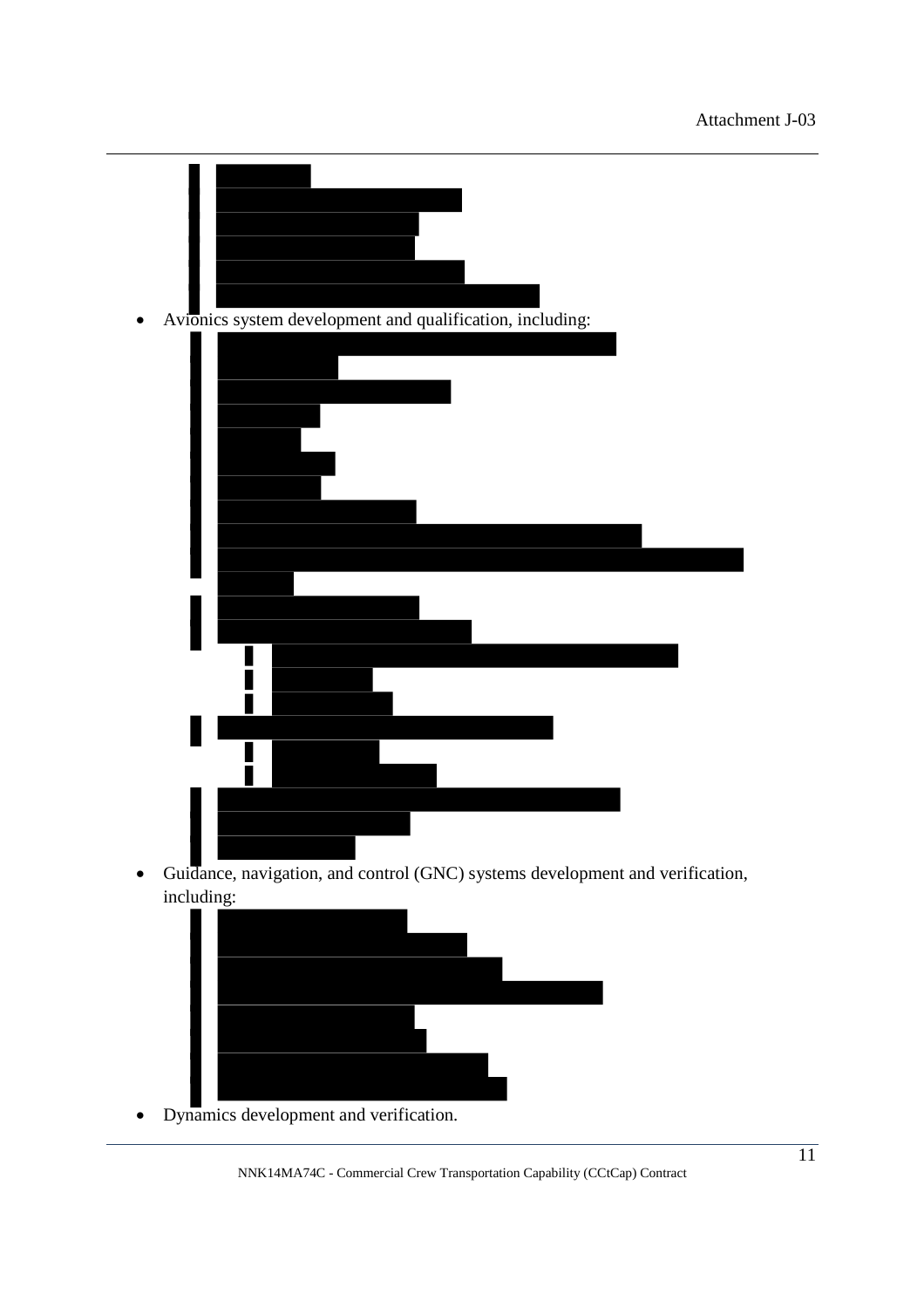

 Guidance, navigation, and control (GNC) systems development and verification, including:



• Dynamics development and verification.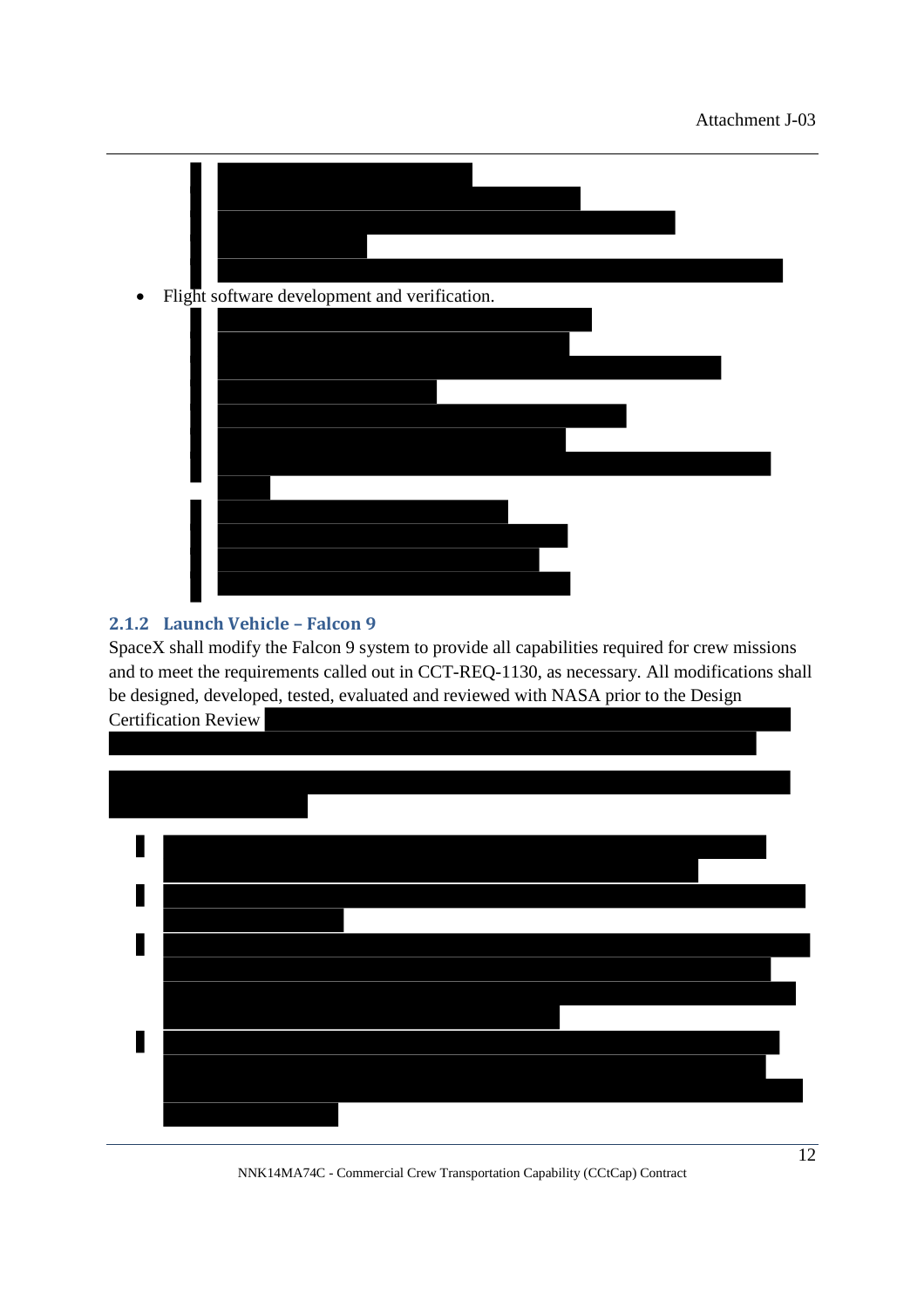

## **2.1.2 Launch Vehicle – Falcon 9**

SpaceX shall modify the Falcon 9 system to provide all capabilities required for crew missions and to meet the requirements called out in CCT-REQ-1130, as necessary. All modifications shall be designed, developed, tested, evaluated and reviewed with NASA prior to the Design

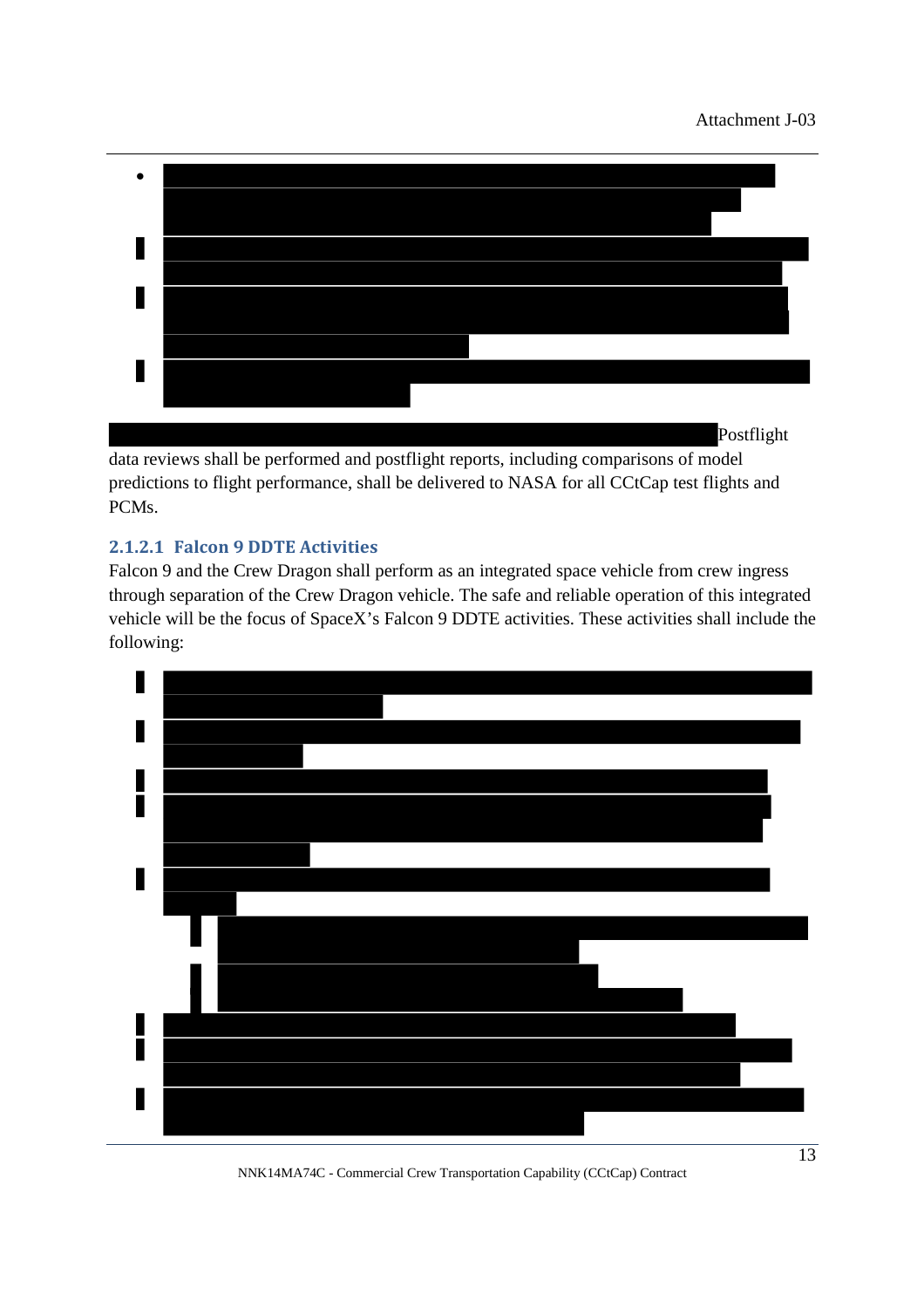

data reviews shall be performed and postflight reports, including comparisons of model predictions to flight performance, shall be delivered to NASA for all CCtCap test flights and PCMs.

#### **2.1.2.1 Falcon 9 DDTE Activities**

Falcon 9 and the Crew Dragon shall perform as an integrated space vehicle from crew ingress through separation of the Crew Dragon vehicle. The safe and reliable operation of this integrated vehicle will be the focus of SpaceX's Falcon 9 DDTE activities. These activities shall include the following:

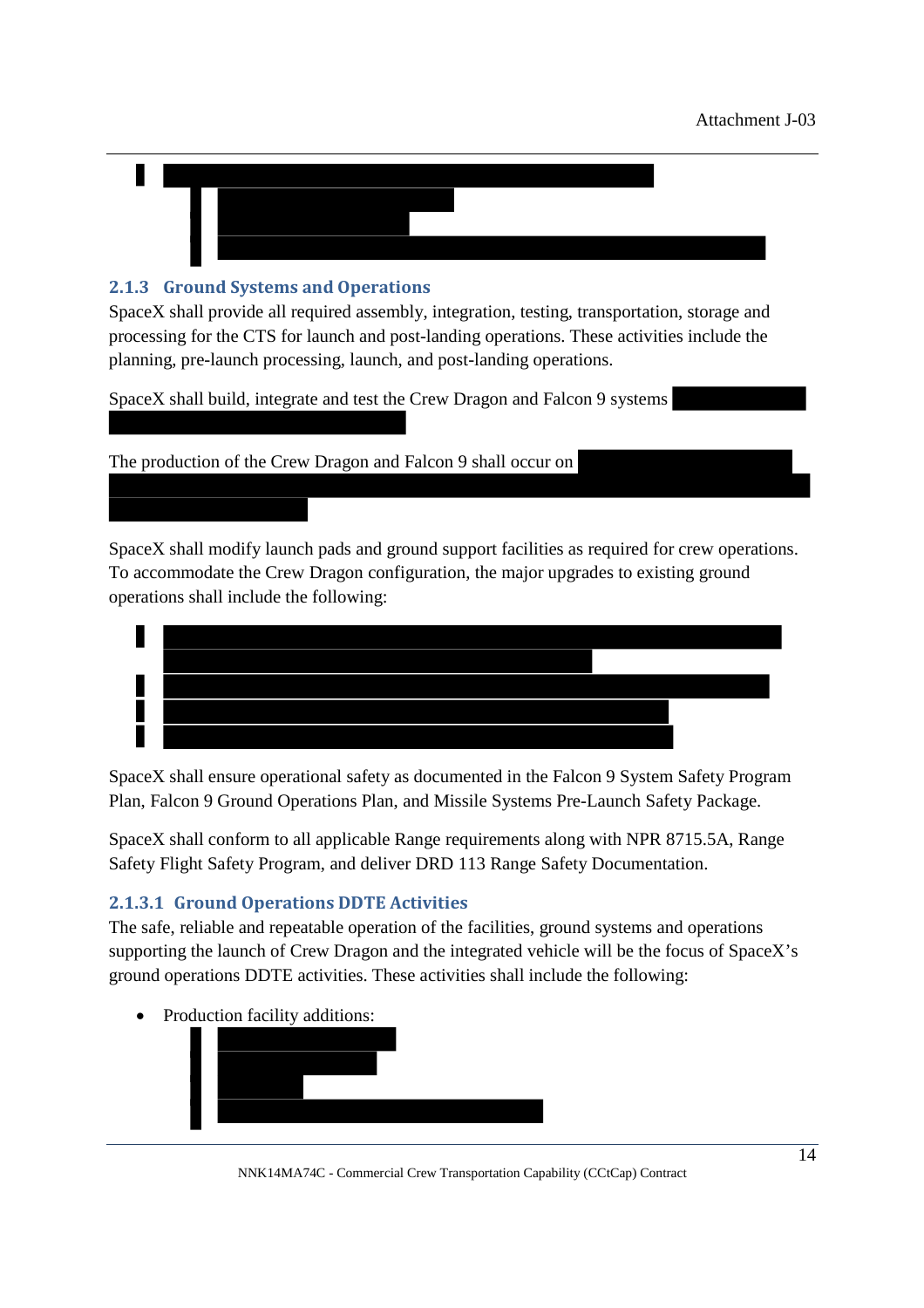

#### **2.1.3 Ground Systems and Operations**

SpaceX shall provide all required assembly, integration, testing, transportation, storage and processing for the CTS for launch and post-landing operations. These activities include the planning, pre-launch processing, launch, and post-landing operations.

SpaceX shall build, integrate and test the Crew Dragon and Falcon 9 systems

The production of the Crew Dragon and Falcon 9 shall occur on

SpaceX shall modify launch pads and ground support facilities as required for crew operations. To accommodate the Crew Dragon configuration, the major upgrades to existing ground operations shall include the following:



SpaceX shall ensure operational safety as documented in the Falcon 9 System Safety Program Plan, Falcon 9 Ground Operations Plan, and Missile Systems Pre-Launch Safety Package.

SpaceX shall conform to all applicable Range requirements along with NPR 8715.5A, Range Safety Flight Safety Program, and deliver DRD 113 Range Safety Documentation.

#### **2.1.3.1 Ground Operations DDTE Activities**

The safe, reliable and repeatable operation of the facilities, ground systems and operations supporting the launch of Crew Dragon and the integrated vehicle will be the focus of SpaceX's ground operations DDTE activities. These activities shall include the following:

Production facility additions:

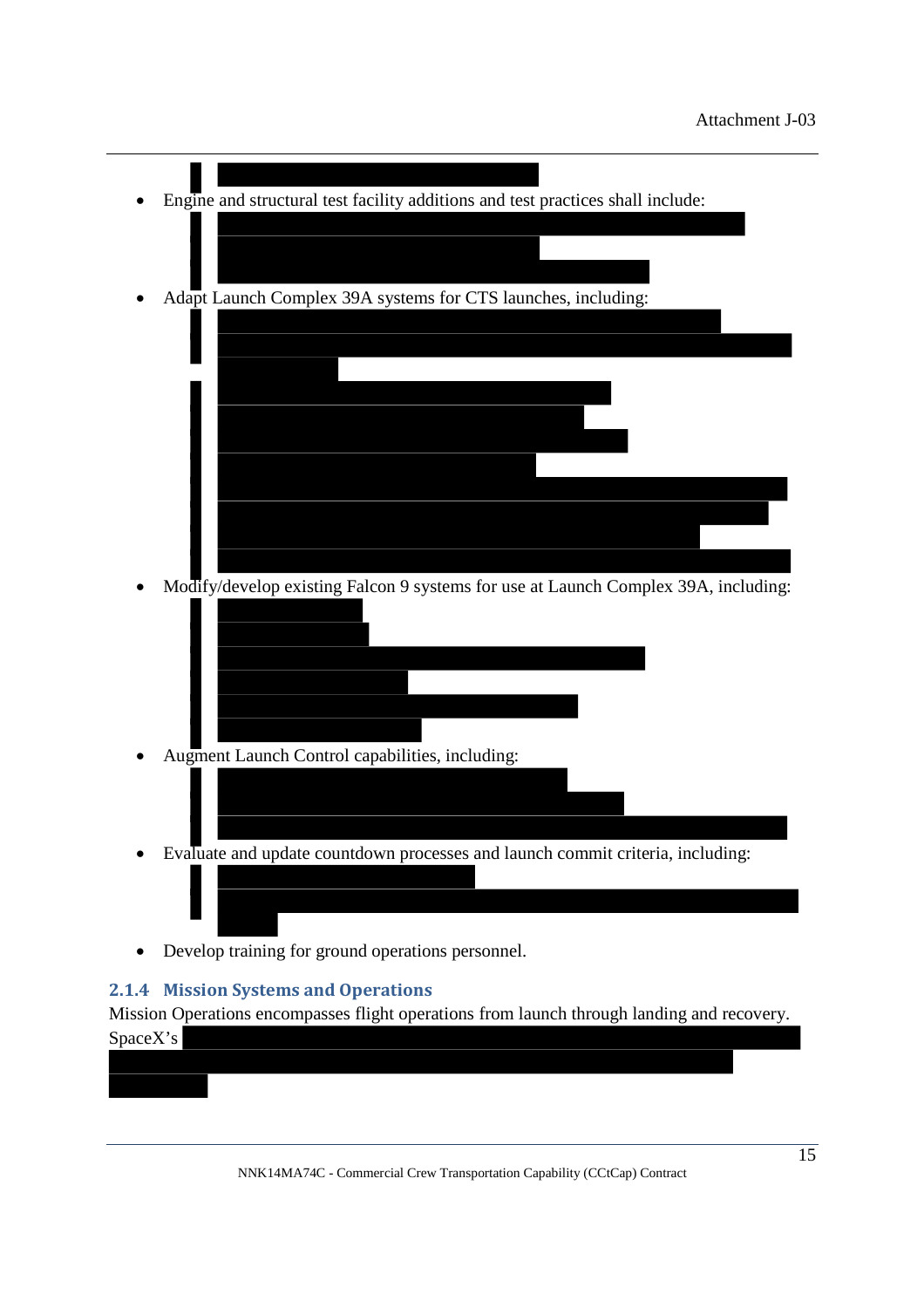

Develop training for ground operations personnel.

## **2.1.4 Mission Systems and Operations**

Mission Operations encompasses flight operations from launch through landing and recovery. SpaceX's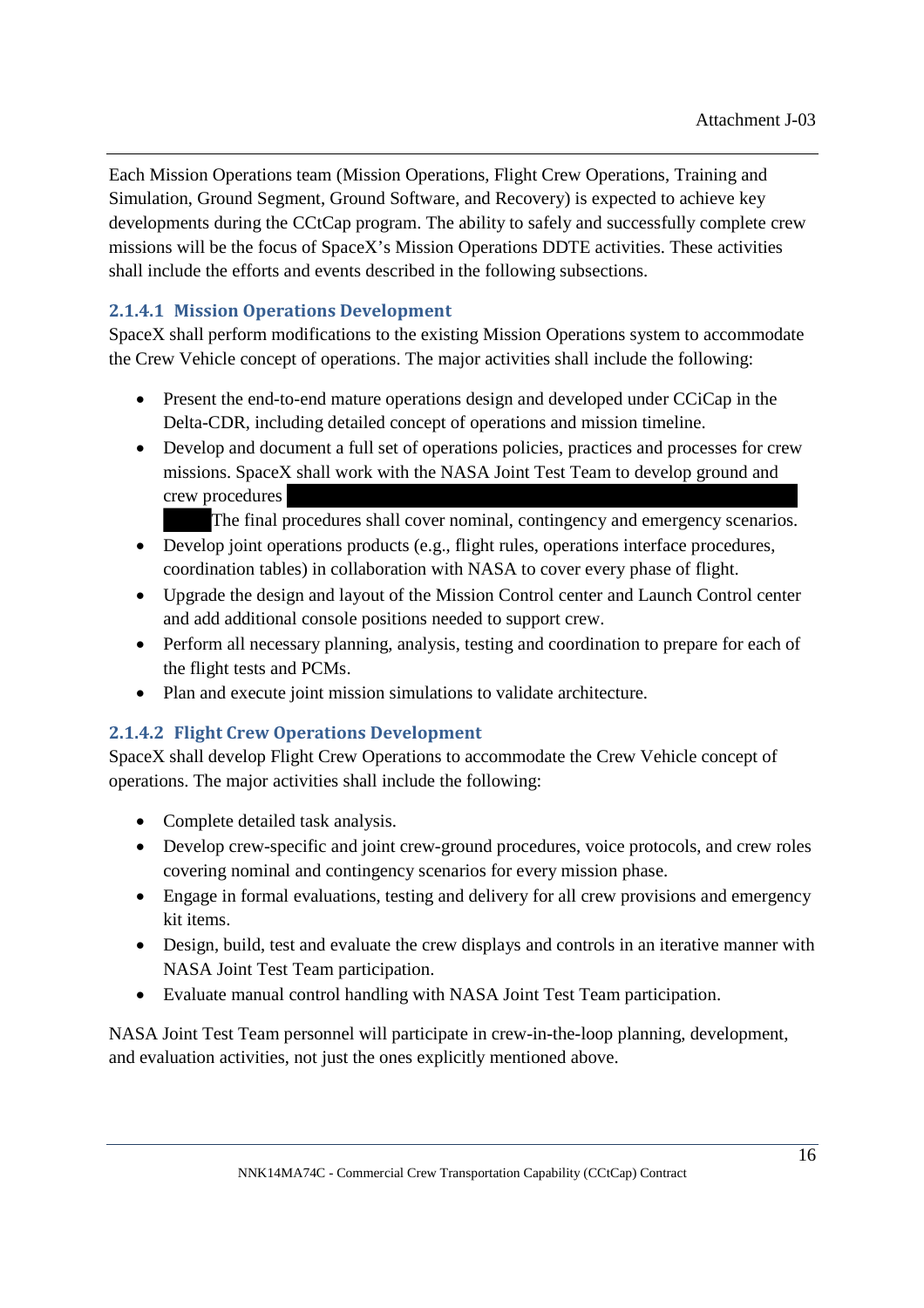Each Mission Operations team (Mission Operations, Flight Crew Operations, Training and Simulation, Ground Segment, Ground Software, and Recovery) is expected to achieve key developments during the CCtCap program. The ability to safely and successfully complete crew missions will be the focus of SpaceX's Mission Operations DDTE activities. These activities shall include the efforts and events described in the following subsections.

## **2.1.4.1 Mission Operations Development**

SpaceX shall perform modifications to the existing Mission Operations system to accommodate the Crew Vehicle concept of operations. The major activities shall include the following:

- Present the end-to-end mature operations design and developed under CCiCap in the Delta-CDR, including detailed concept of operations and mission timeline.
- Develop and document a full set of operations policies, practices and processes for crew missions. SpaceX shall work with the NASA Joint Test Team to develop ground and crew procedures

The final procedures shall cover nominal, contingency and emergency scenarios.

- Develop joint operations products (e.g., flight rules, operations interface procedures, coordination tables) in collaboration with NASA to cover every phase of flight.
- Upgrade the design and layout of the Mission Control center and Launch Control center and add additional console positions needed to support crew.
- Perform all necessary planning, analysis, testing and coordination to prepare for each of the flight tests and PCMs.
- Plan and execute joint mission simulations to validate architecture.

## **2.1.4.2 Flight Crew Operations Development**

SpaceX shall develop Flight Crew Operations to accommodate the Crew Vehicle concept of operations. The major activities shall include the following:

- Complete detailed task analysis.
- Develop crew-specific and joint crew-ground procedures, voice protocols, and crew roles covering nominal and contingency scenarios for every mission phase.
- Engage in formal evaluations, testing and delivery for all crew provisions and emergency kit items.
- Design, build, test and evaluate the crew displays and controls in an iterative manner with NASA Joint Test Team participation.
- Evaluate manual control handling with NASA Joint Test Team participation.

NASA Joint Test Team personnel will participate in crew-in-the-loop planning, development, and evaluation activities, not just the ones explicitly mentioned above.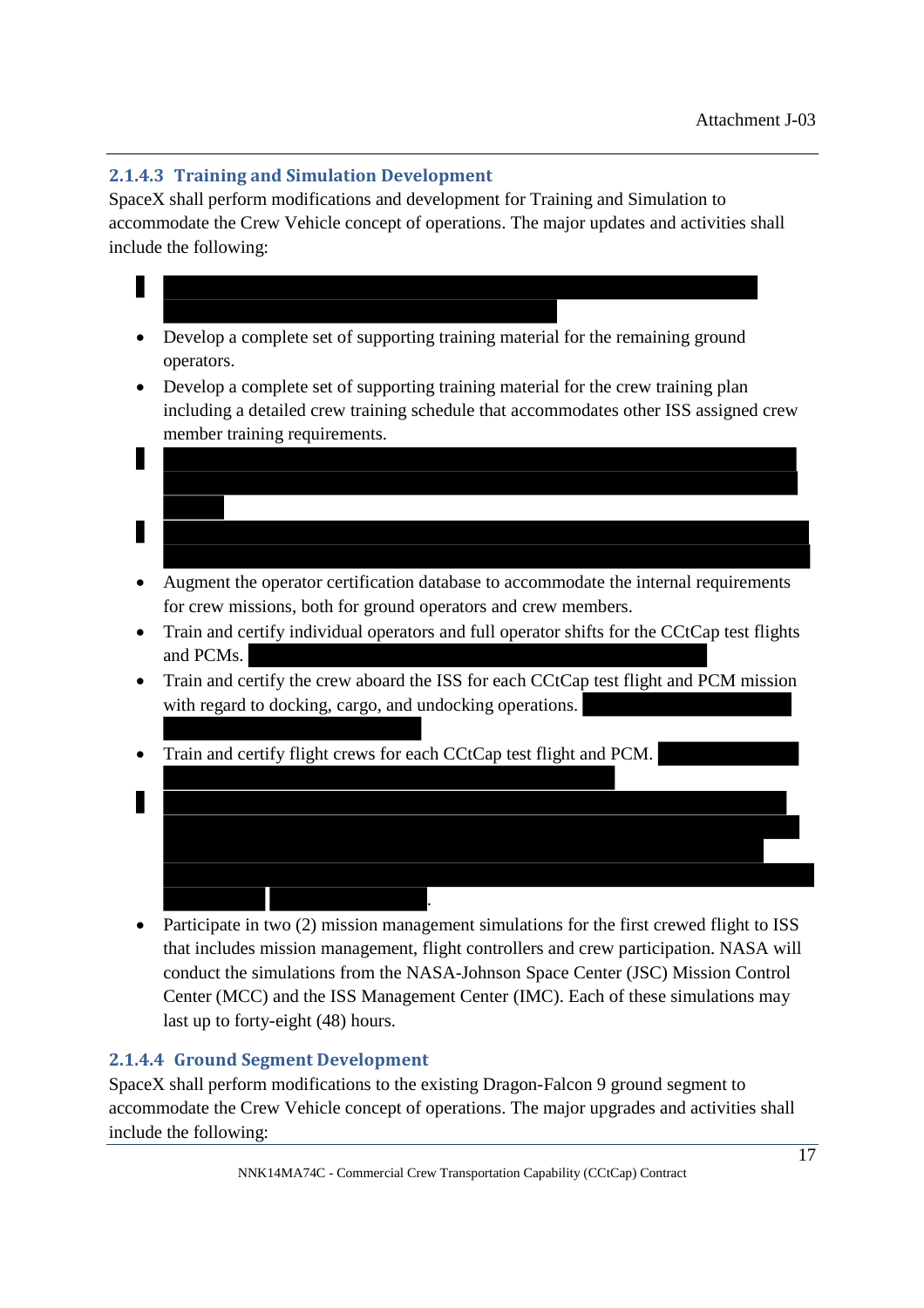## **2.1.4.3 Training and Simulation Development**

SpaceX shall perform modifications and development for Training and Simulation to accommodate the Crew Vehicle concept of operations. The major updates and activities shall include the following:

- П Develop a complete set of supporting training material for the remaining ground operators.
- Develop a complete set of supporting training material for the crew training plan including a detailed crew training schedule that accommodates other ISS assigned crew member training requirements.
- Ш П
- Augment the operator certification database to accommodate the internal requirements for crew missions, both for ground operators and crew members.
- Train and certify individual operators and full operator shifts for the CCtCap test flights and PCMs.
- Train and certify the crew aboard the ISS for each CCtCap test flight and PCM mission with regard to docking, cargo, and undocking operations.
- Train and certify flight crews for each CCtCap test flight and PCM.
- . • Participate in two (2) mission management simulations for the first crewed flight to ISS that includes mission management, flight controllers and crew participation. NASA will conduct the simulations from the NASA-Johnson Space Center (JSC) Mission Control Center (MCC) and the ISS Management Center (IMC). Each of these simulations may
	- last up to forty-eight (48) hours.

## **2.1.4.4 Ground Segment Development**

П

SpaceX shall perform modifications to the existing Dragon-Falcon 9 ground segment to accommodate the Crew Vehicle concept of operations. The major upgrades and activities shall include the following: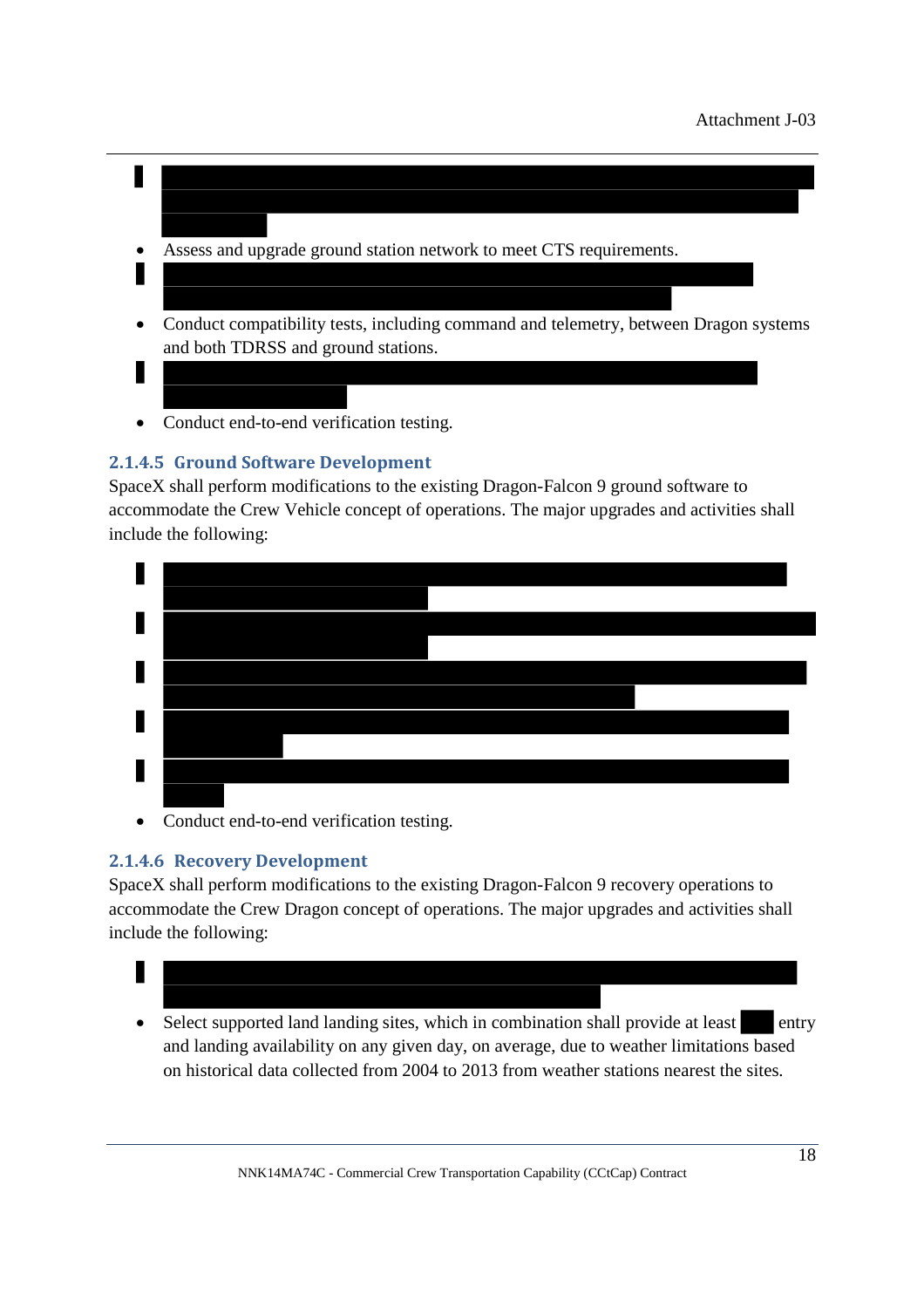

#### **2.1.4.5 Ground Software Development**

SpaceX shall perform modifications to the existing Dragon-Falcon 9 ground software to accommodate the Crew Vehicle concept of operations. The major upgrades and activities shall include the following:



• Conduct end-to-end verification testing.

## **2.1.4.6 Recovery Development**

SpaceX shall perform modifications to the existing Dragon-Falcon 9 recovery operations to accommodate the Crew Dragon concept of operations. The major upgrades and activities shall include the following:

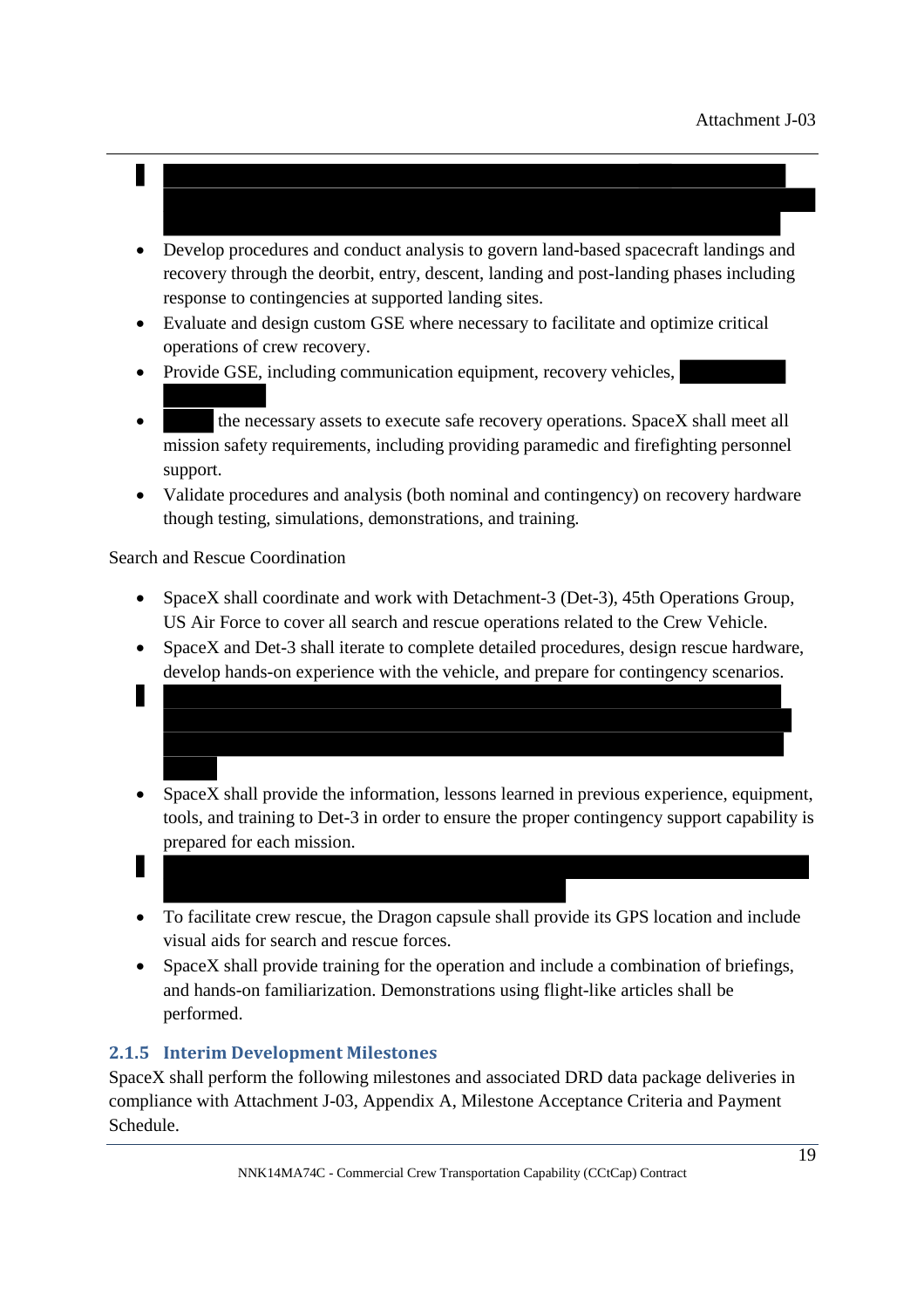- Develop procedures and conduct analysis to govern land-based spacecraft landings and recovery through the deorbit, entry, descent, landing and post-landing phases including response to contingencies at supported landing sites.
- Evaluate and design custom GSE where necessary to facilitate and optimize critical operations of crew recovery.
- Provide GSE, including communication equipment, recovery vehicles,
- the necessary assets to execute safe recovery operations. SpaceX shall meet all mission safety requirements, including providing paramedic and firefighting personnel support.
- Validate procedures and analysis (both nominal and contingency) on recovery hardware though testing, simulations, demonstrations, and training.

#### Search and Rescue Coordination

- SpaceX shall coordinate and work with Detachment-3 (Det-3), 45th Operations Group, US Air Force to cover all search and rescue operations related to the Crew Vehicle.
- SpaceX and Det-3 shall iterate to complete detailed procedures, design rescue hardware, develop hands-on experience with the vehicle, and prepare for contingency scenarios.
- SpaceX shall provide the information, lessons learned in previous experience, equipment, tools, and training to Det-3 in order to ensure the proper contingency support capability is prepared for each mission.
- $\blacksquare$

- To facilitate crew rescue, the Dragon capsule shall provide its GPS location and include visual aids for search and rescue forces.
- SpaceX shall provide training for the operation and include a combination of briefings, and hands-on familiarization. Demonstrations using flight-like articles shall be performed.

# **2.1.5 Interim Development Milestones**

SpaceX shall perform the following milestones and associated DRD data package deliveries in compliance with Attachment J-03, Appendix A, Milestone Acceptance Criteria and Payment Schedule.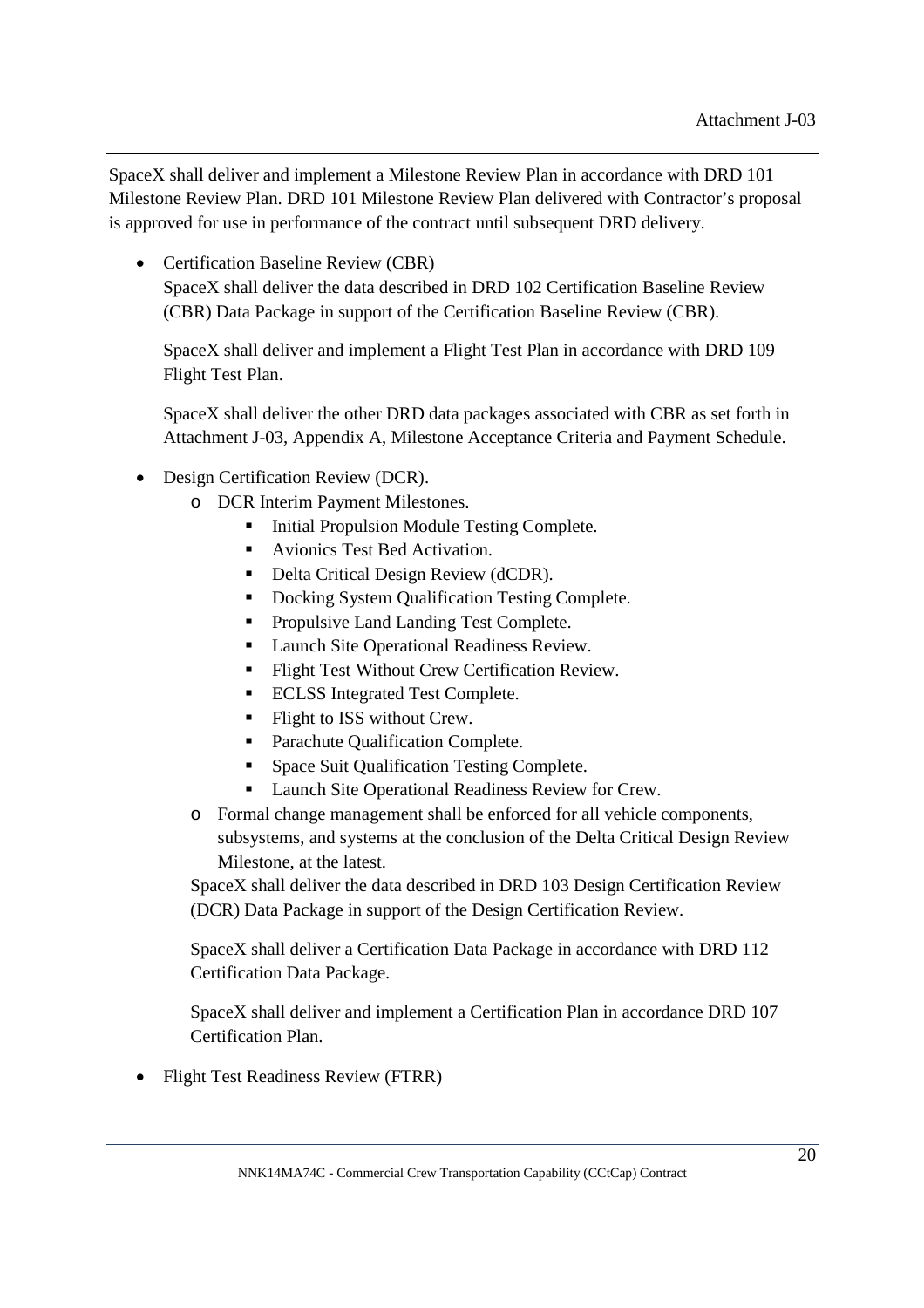SpaceX shall deliver and implement a Milestone Review Plan in accordance with DRD 101 Milestone Review Plan. DRD 101 Milestone Review Plan delivered with Contractor's proposal is approved for use in performance of the contract until subsequent DRD delivery.

• Certification Baseline Review (CBR) SpaceX shall deliver the data described in DRD 102 Certification Baseline Review (CBR) Data Package in support of the Certification Baseline Review (CBR).

SpaceX shall deliver and implement a Flight Test Plan in accordance with DRD 109 Flight Test Plan.

SpaceX shall deliver the other DRD data packages associated with CBR as set forth in Attachment J-03, Appendix A, Milestone Acceptance Criteria and Payment Schedule.

- Design Certification Review (DCR).
	- o DCR Interim Payment Milestones.
		- Initial Propulsion Module Testing Complete.
		- **Avionics Test Bed Activation.**
		- Delta Critical Design Review (dCDR).
		- **Docking System Qualification Testing Complete.**
		- **Propulsive Land Landing Test Complete.**
		- Launch Site Operational Readiness Review.
		- Flight Test Without Crew Certification Review.
		- **ECLSS Integrated Test Complete.**
		- **Flight to ISS without Crew.**
		- Parachute Qualification Complete.
		- **Space Suit Qualification Testing Complete.**
		- Launch Site Operational Readiness Review for Crew.
	- o Formal change management shall be enforced for all vehicle components, subsystems, and systems at the conclusion of the Delta Critical Design Review Milestone, at the latest.

SpaceX shall deliver the data described in DRD 103 Design Certification Review (DCR) Data Package in support of the Design Certification Review.

SpaceX shall deliver a Certification Data Package in accordance with DRD 112 Certification Data Package.

SpaceX shall deliver and implement a Certification Plan in accordance DRD 107 Certification Plan.

• Flight Test Readiness Review (FTRR)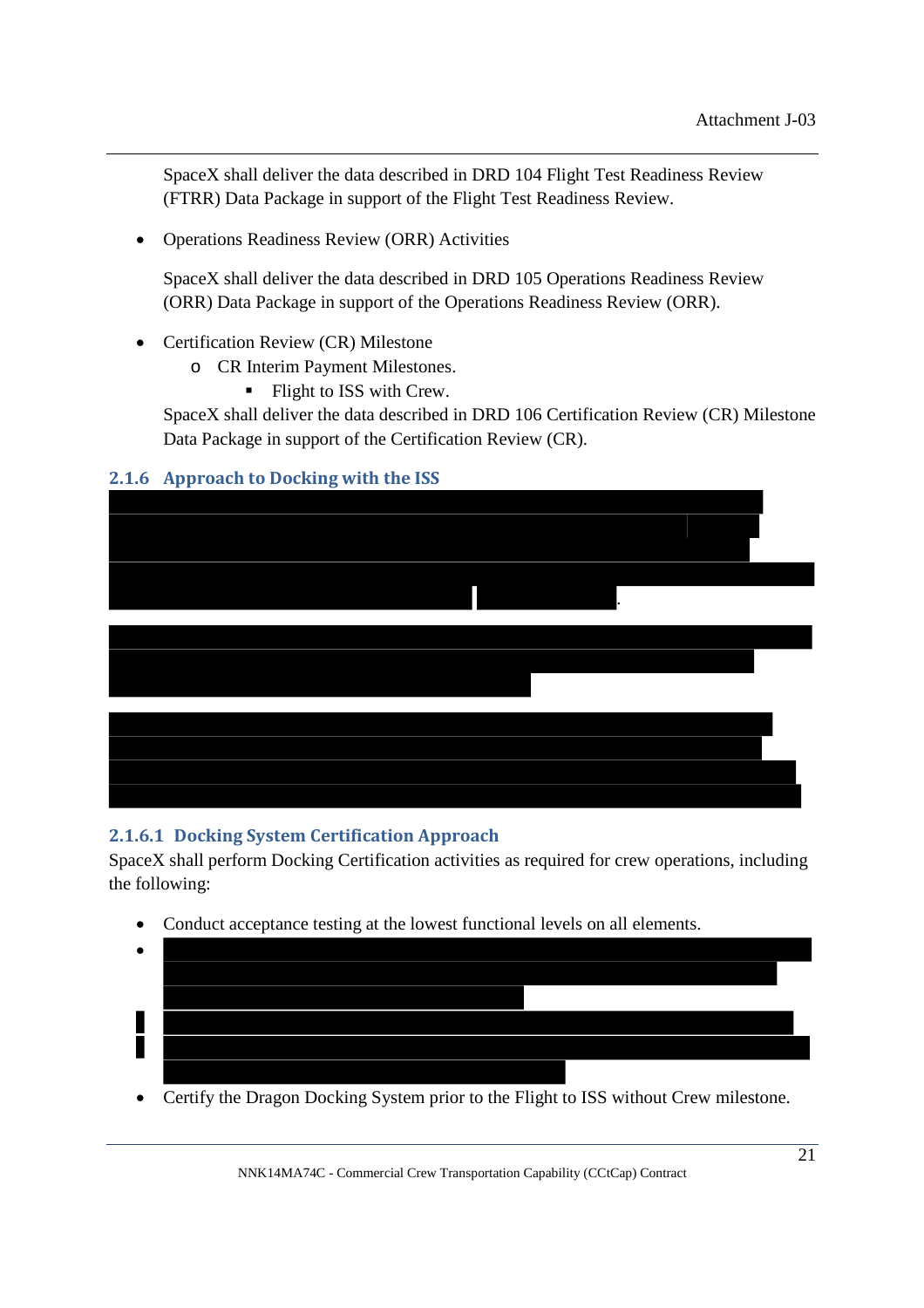SpaceX shall deliver the data described in DRD 104 Flight Test Readiness Review (FTRR) Data Package in support of the Flight Test Readiness Review.

Operations Readiness Review (ORR) Activities

SpaceX shall deliver the data described in DRD 105 Operations Readiness Review (ORR) Data Package in support of the Operations Readiness Review (ORR).

- Certification Review (CR) Milestone
	- o CR Interim Payment Milestones.
		- **Flight to ISS with Crew.**

SpaceX shall deliver the data described in DRD 106 Certification Review (CR) Milestone Data Package in support of the Certification Review (CR).

## **2.1.6 Approach to Docking with the ISS**



## **2.1.6.1 Docking System Certification Approach**

SpaceX shall perform Docking Certification activities as required for crew operations, including the following:

Conduct acceptance testing at the lowest functional levels on all elements.



Certify the Dragon Docking System prior to the Flight to ISS without Crew milestone.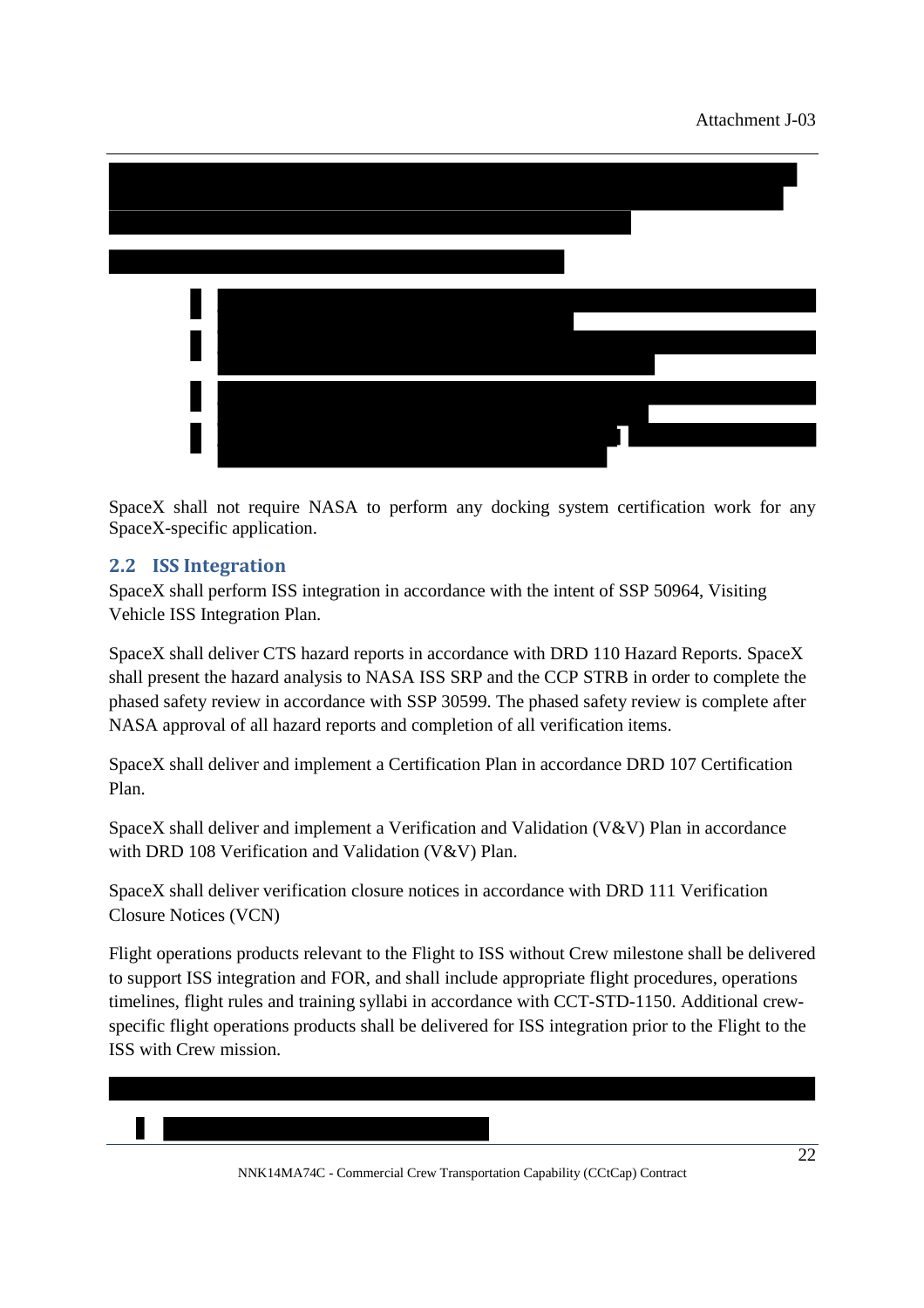

SpaceX shall not require NASA to perform any docking system certification work for any SpaceX-specific application.

#### **2.2 ISS Integration**

SpaceX shall perform ISS integration in accordance with the intent of SSP 50964, Visiting Vehicle ISS Integration Plan.

SpaceX shall deliver CTS hazard reports in accordance with DRD 110 Hazard Reports. SpaceX shall present the hazard analysis to NASA ISS SRP and the CCP STRB in order to complete the phased safety review in accordance with SSP 30599. The phased safety review is complete after NASA approval of all hazard reports and completion of all verification items.

SpaceX shall deliver and implement a Certification Plan in accordance DRD 107 Certification Plan.

SpaceX shall deliver and implement a Verification and Validation (V&V) Plan in accordance with DRD 108 Verification and Validation (V&V) Plan.

SpaceX shall deliver verification closure notices in accordance with DRD 111 Verification Closure Notices (VCN)

Flight operations products relevant to the Flight to ISS without Crew milestone shall be delivered to support ISS integration and FOR, and shall include appropriate flight procedures, operations timelines, flight rules and training syllabi in accordance with CCT-STD-1150. Additional crewspecific flight operations products shall be delivered for ISS integration prior to the Flight to the ISS with Crew mission.

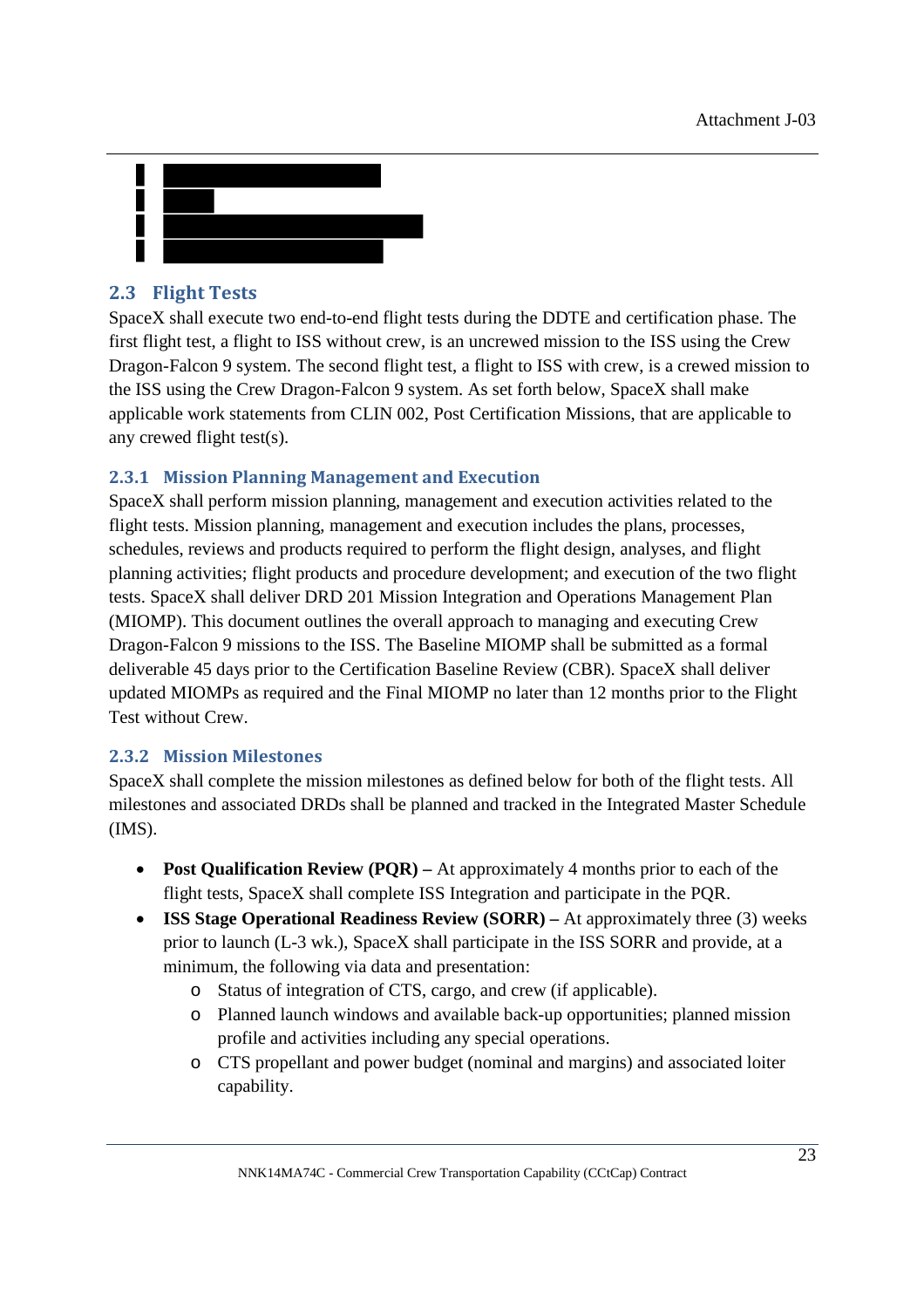

#### **2.3 Flight Tests**

SpaceX shall execute two end-to-end flight tests during the DDTE and certification phase. The first flight test, a flight to ISS without crew, is an uncrewed mission to the ISS using the Crew Dragon-Falcon 9 system. The second flight test, a flight to ISS with crew, is a crewed mission to the ISS using the Crew Dragon-Falcon 9 system. As set forth below, SpaceX shall make applicable work statements from CLIN 002, Post Certification Missions, that are applicable to any crewed flight test(s).

#### **2.3.1 Mission Planning Management and Execution**

SpaceX shall perform mission planning, management and execution activities related to the flight tests. Mission planning, management and execution includes the plans, processes, schedules, reviews and products required to perform the flight design, analyses, and flight planning activities; flight products and procedure development; and execution of the two flight tests. SpaceX shall deliver DRD 201 Mission Integration and Operations Management Plan (MIOMP). This document outlines the overall approach to managing and executing Crew Dragon-Falcon 9 missions to the ISS. The Baseline MIOMP shall be submitted as a formal deliverable 45 days prior to the Certification Baseline Review (CBR). SpaceX shall deliver updated MIOMPs as required and the Final MIOMP no later than 12 months prior to the Flight Test without Crew.

#### **2.3.2 Mission Milestones**

SpaceX shall complete the mission milestones as defined below for both of the flight tests. All milestones and associated DRDs shall be planned and tracked in the Integrated Master Schedule (IMS).

- **Post Qualification Review (PQR)** At approximately 4 months prior to each of the flight tests, SpaceX shall complete ISS Integration and participate in the PQR.
- **ISS Stage Operational Readiness Review (SORR) –** At approximately three (3) weeks prior to launch (L-3 wk.), SpaceX shall participate in the ISS SORR and provide, at a minimum, the following via data and presentation:
	- o Status of integration of CTS, cargo, and crew (if applicable).
	- o Planned launch windows and available back-up opportunities; planned mission profile and activities including any special operations.
	- o CTS propellant and power budget (nominal and margins) and associated loiter capability.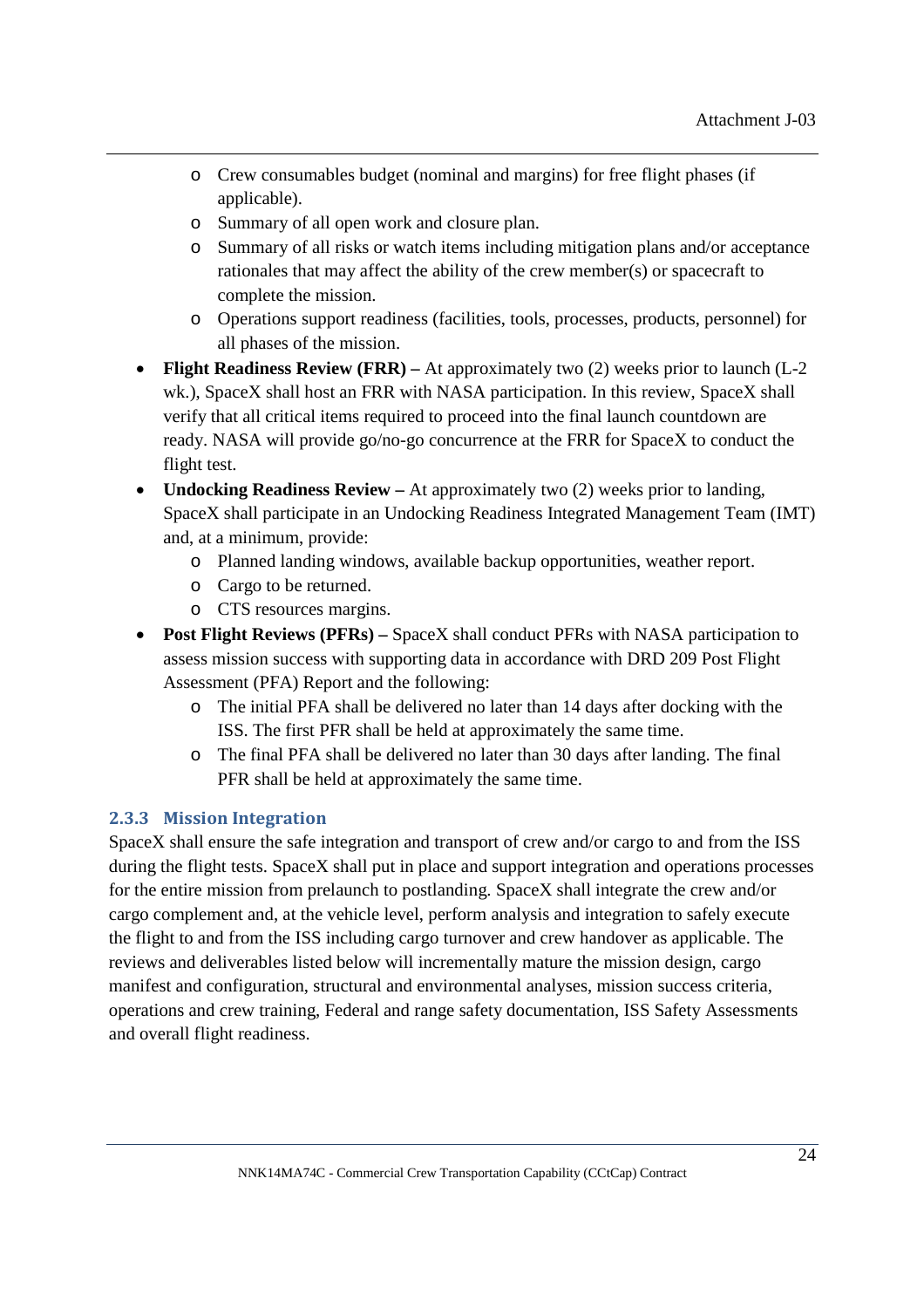- o Crew consumables budget (nominal and margins) for free flight phases (if applicable).
- o Summary of all open work and closure plan.
- o Summary of all risks or watch items including mitigation plans and/or acceptance rationales that may affect the ability of the crew member(s) or spacecraft to complete the mission.
- o Operations support readiness (facilities, tools, processes, products, personnel) for all phases of the mission.
- **Flight Readiness Review (FRR) –** At approximately two (2) weeks prior to launch (L-2 wk.), SpaceX shall host an FRR with NASA participation. In this review, SpaceX shall verify that all critical items required to proceed into the final launch countdown are ready. NASA will provide go/no-go concurrence at the FRR for SpaceX to conduct the flight test.
- **Undocking Readiness Review –** At approximately two (2) weeks prior to landing, SpaceX shall participate in an Undocking Readiness Integrated Management Team (IMT) and, at a minimum, provide:
	- o Planned landing windows, available backup opportunities, weather report.
	- o Cargo to be returned.
	- o CTS resources margins.
- **Post Flight Reviews (PFRs)** SpaceX shall conduct PFRs with NASA participation to assess mission success with supporting data in accordance with DRD 209 Post Flight Assessment (PFA) Report and the following:
	- o The initial PFA shall be delivered no later than 14 days after docking with the ISS. The first PFR shall be held at approximately the same time.
	- o The final PFA shall be delivered no later than 30 days after landing. The final PFR shall be held at approximately the same time.

#### **2.3.3 Mission Integration**

SpaceX shall ensure the safe integration and transport of crew and/or cargo to and from the ISS during the flight tests. SpaceX shall put in place and support integration and operations processes for the entire mission from prelaunch to postlanding. SpaceX shall integrate the crew and/or cargo complement and, at the vehicle level, perform analysis and integration to safely execute the flight to and from the ISS including cargo turnover and crew handover as applicable. The reviews and deliverables listed below will incrementally mature the mission design, cargo manifest and configuration, structural and environmental analyses, mission success criteria, operations and crew training, Federal and range safety documentation, ISS Safety Assessments and overall flight readiness.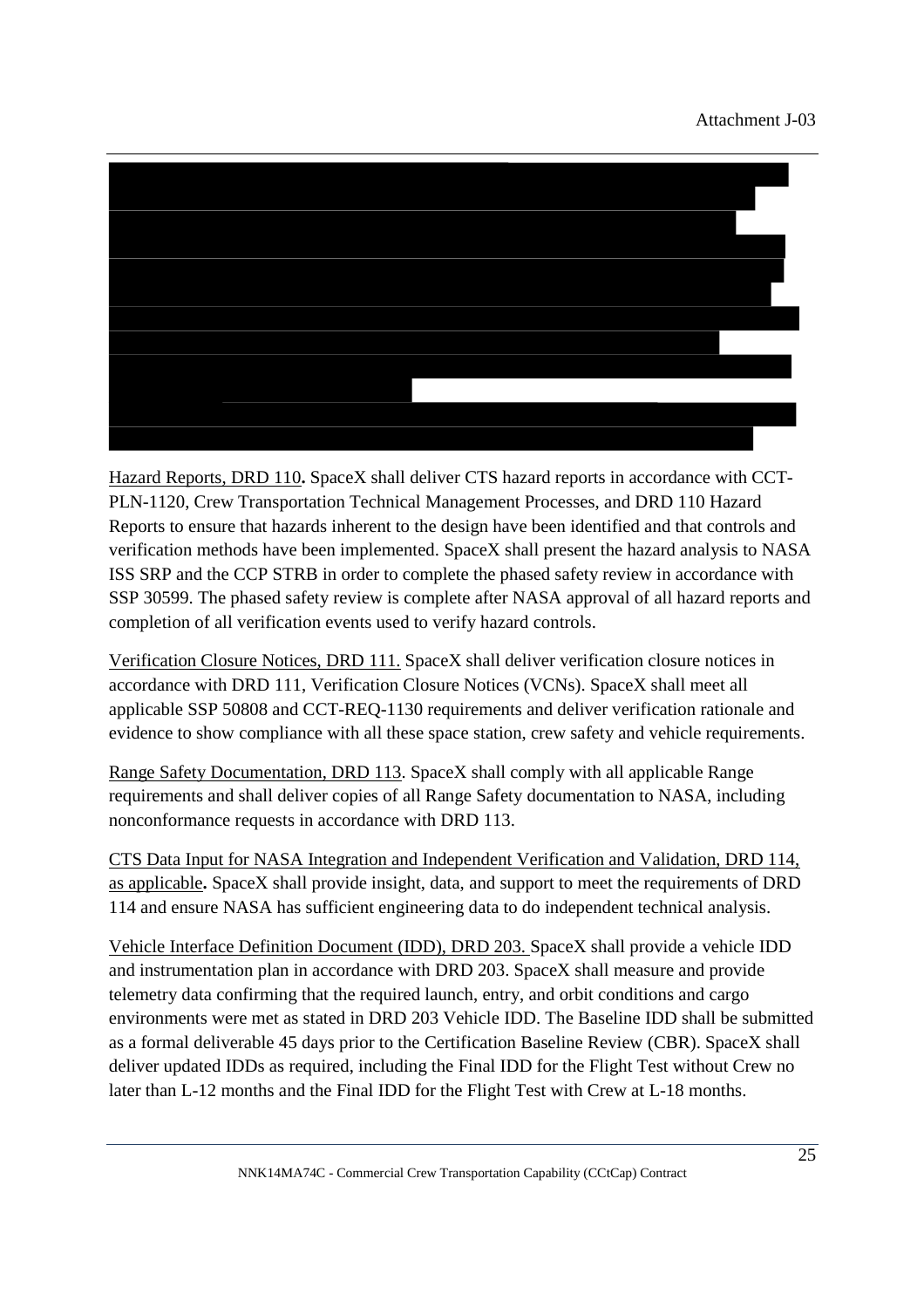

Hazard Reports, DRD 110**.** SpaceX shall deliver CTS hazard reports in accordance with CCT-PLN-1120, Crew Transportation Technical Management Processes, and DRD 110 Hazard Reports to ensure that hazards inherent to the design have been identified and that controls and verification methods have been implemented. SpaceX shall present the hazard analysis to NASA ISS SRP and the CCP STRB in order to complete the phased safety review in accordance with SSP 30599. The phased safety review is complete after NASA approval of all hazard reports and completion of all verification events used to verify hazard controls.

Verification Closure Notices, DRD 111. SpaceX shall deliver verification closure notices in accordance with DRD 111, Verification Closure Notices (VCNs). SpaceX shall meet all applicable SSP 50808 and CCT-REQ-1130 requirements and deliver verification rationale and evidence to show compliance with all these space station, crew safety and vehicle requirements.

Range Safety Documentation, DRD 113. SpaceX shall comply with all applicable Range requirements and shall deliver copies of all Range Safety documentation to NASA, including nonconformance requests in accordance with DRD 113.

CTS Data Input for NASA Integration and Independent Verification and Validation, DRD 114, as applicable**.** SpaceX shall provide insight, data, and support to meet the requirements of DRD 114 and ensure NASA has sufficient engineering data to do independent technical analysis.

Vehicle Interface Definition Document (IDD), DRD 203. SpaceX shall provide a vehicle IDD and instrumentation plan in accordance with DRD 203. SpaceX shall measure and provide telemetry data confirming that the required launch, entry, and orbit conditions and cargo environments were met as stated in DRD 203 Vehicle IDD. The Baseline IDD shall be submitted as a formal deliverable 45 days prior to the Certification Baseline Review (CBR). SpaceX shall deliver updated IDDs as required, including the Final IDD for the Flight Test without Crew no later than L-12 months and the Final IDD for the Flight Test with Crew at L-18 months.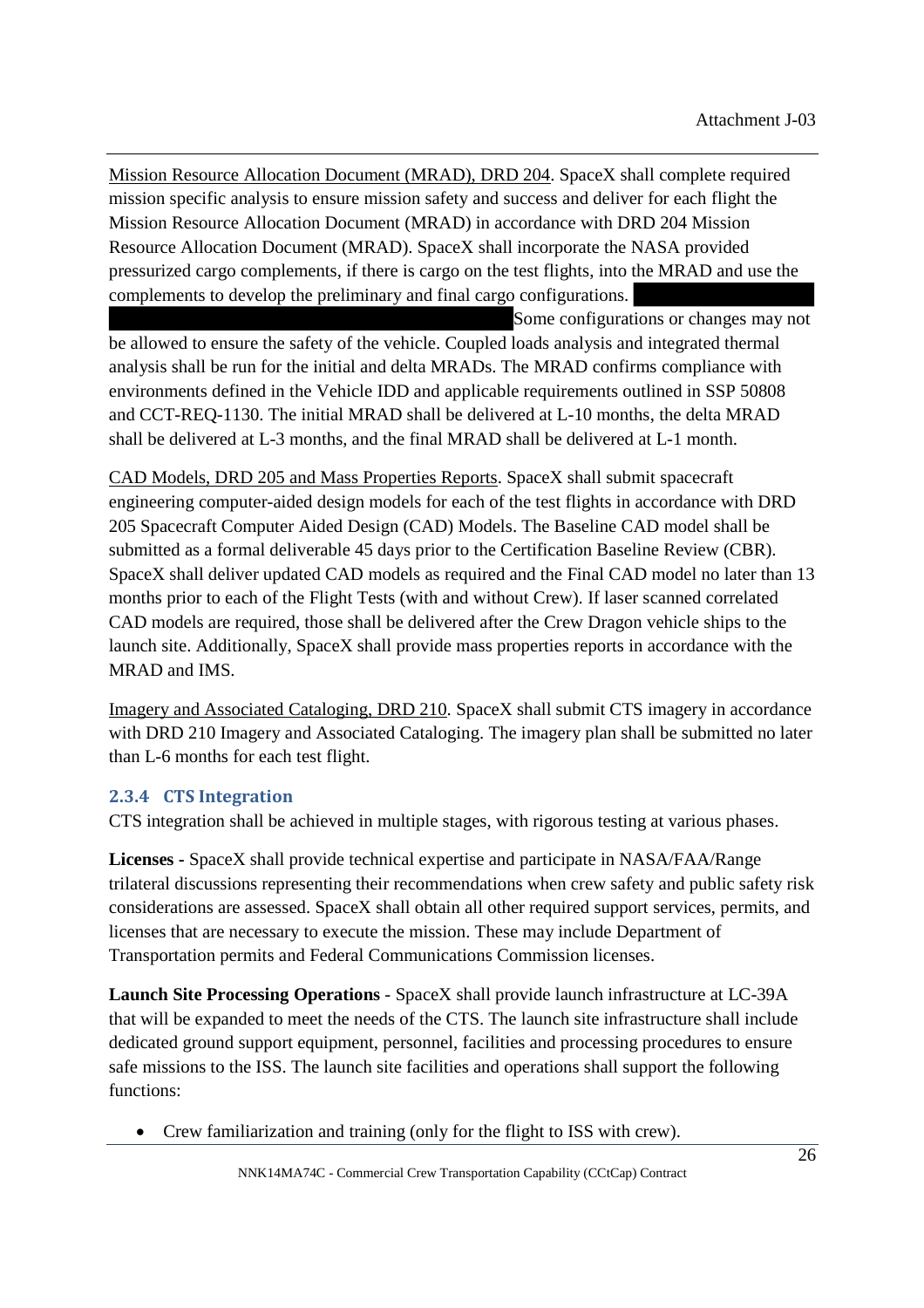Mission Resource Allocation Document (MRAD), DRD 204. SpaceX shall complete required mission specific analysis to ensure mission safety and success and deliver for each flight the Mission Resource Allocation Document (MRAD) in accordance with DRD 204 Mission Resource Allocation Document (MRAD). SpaceX shall incorporate the NASA provided pressurized cargo complements, if there is cargo on the test flights, into the MRAD and use the complements to develop the preliminary and final cargo configurations.

Some configurations or changes may not be allowed to ensure the safety of the vehicle. Coupled loads analysis and integrated thermal analysis shall be run for the initial and delta MRADs. The MRAD confirms compliance with environments defined in the Vehicle IDD and applicable requirements outlined in SSP 50808 and CCT-REQ-1130. The initial MRAD shall be delivered at L-10 months, the delta MRAD shall be delivered at L-3 months, and the final MRAD shall be delivered at L-1 month.

CAD Models, DRD 205 and Mass Properties Reports. SpaceX shall submit spacecraft engineering computer-aided design models for each of the test flights in accordance with DRD 205 Spacecraft Computer Aided Design (CAD) Models. The Baseline CAD model shall be submitted as a formal deliverable 45 days prior to the Certification Baseline Review (CBR). SpaceX shall deliver updated CAD models as required and the Final CAD model no later than 13 months prior to each of the Flight Tests (with and without Crew). If laser scanned correlated CAD models are required, those shall be delivered after the Crew Dragon vehicle ships to the launch site. Additionally, SpaceX shall provide mass properties reports in accordance with the MRAD and IMS.

Imagery and Associated Cataloging, DRD 210. SpaceX shall submit CTS imagery in accordance with DRD 210 Imagery and Associated Cataloging. The imagery plan shall be submitted no later than L-6 months for each test flight.

## **2.3.4 CTS Integration**

CTS integration shall be achieved in multiple stages, with rigorous testing at various phases.

**Licenses -** SpaceX shall provide technical expertise and participate in NASA/FAA/Range trilateral discussions representing their recommendations when crew safety and public safety risk considerations are assessed. SpaceX shall obtain all other required support services, permits, and licenses that are necessary to execute the mission. These may include Department of Transportation permits and Federal Communications Commission licenses.

**Launch Site Processing Operations** - SpaceX shall provide launch infrastructure at LC-39A that will be expanded to meet the needs of the CTS. The launch site infrastructure shall include dedicated ground support equipment, personnel, facilities and processing procedures to ensure safe missions to the ISS. The launch site facilities and operations shall support the following functions:

Crew familiarization and training (only for the flight to ISS with crew).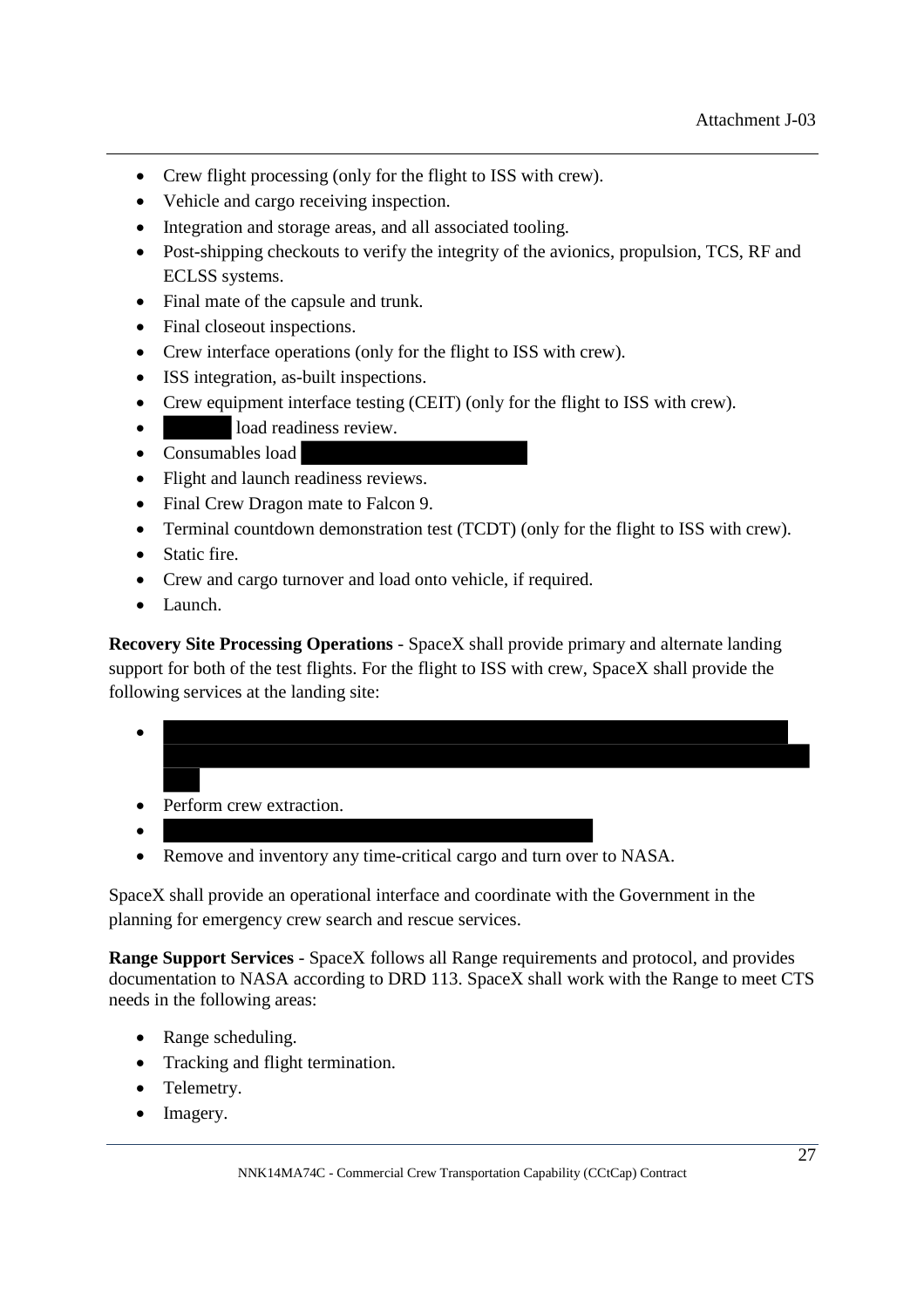- Crew flight processing (only for the flight to ISS with crew).
- Vehicle and cargo receiving inspection.
- Integration and storage areas, and all associated tooling.
- Post-shipping checkouts to verify the integrity of the avionics, propulsion, TCS, RF and ECLSS systems.
- Final mate of the capsule and trunk.
- Final closeout inspections.
- Crew interface operations (only for the flight to ISS with crew).
- ISS integration, as-built inspections.
- Crew equipment interface testing (CEIT) (only for the flight to ISS with crew).
- load readiness review.
- Consumables load
- Flight and launch readiness reviews.
- Final Crew Dragon mate to Falcon 9.
- Terminal countdown demonstration test (TCDT) (only for the flight to ISS with crew).
- Static fire.
- Crew and cargo turnover and load onto vehicle, if required.
- Launch.

**Recovery Site Processing Operations** - SpaceX shall provide primary and alternate landing support for both of the test flights. For the flight to ISS with crew, SpaceX shall provide the following services at the landing site:

- $\bullet$
- Perform crew extraction.
- $\bullet$
- Remove and inventory any time-critical cargo and turn over to NASA.

SpaceX shall provide an operational interface and coordinate with the Government in the planning for emergency crew search and rescue services.

**Range Support Services** - SpaceX follows all Range requirements and protocol, and provides documentation to NASA according to DRD 113. SpaceX shall work with the Range to meet CTS needs in the following areas:

- Range scheduling.
- Tracking and flight termination.
- Telemetry.
- Imagery.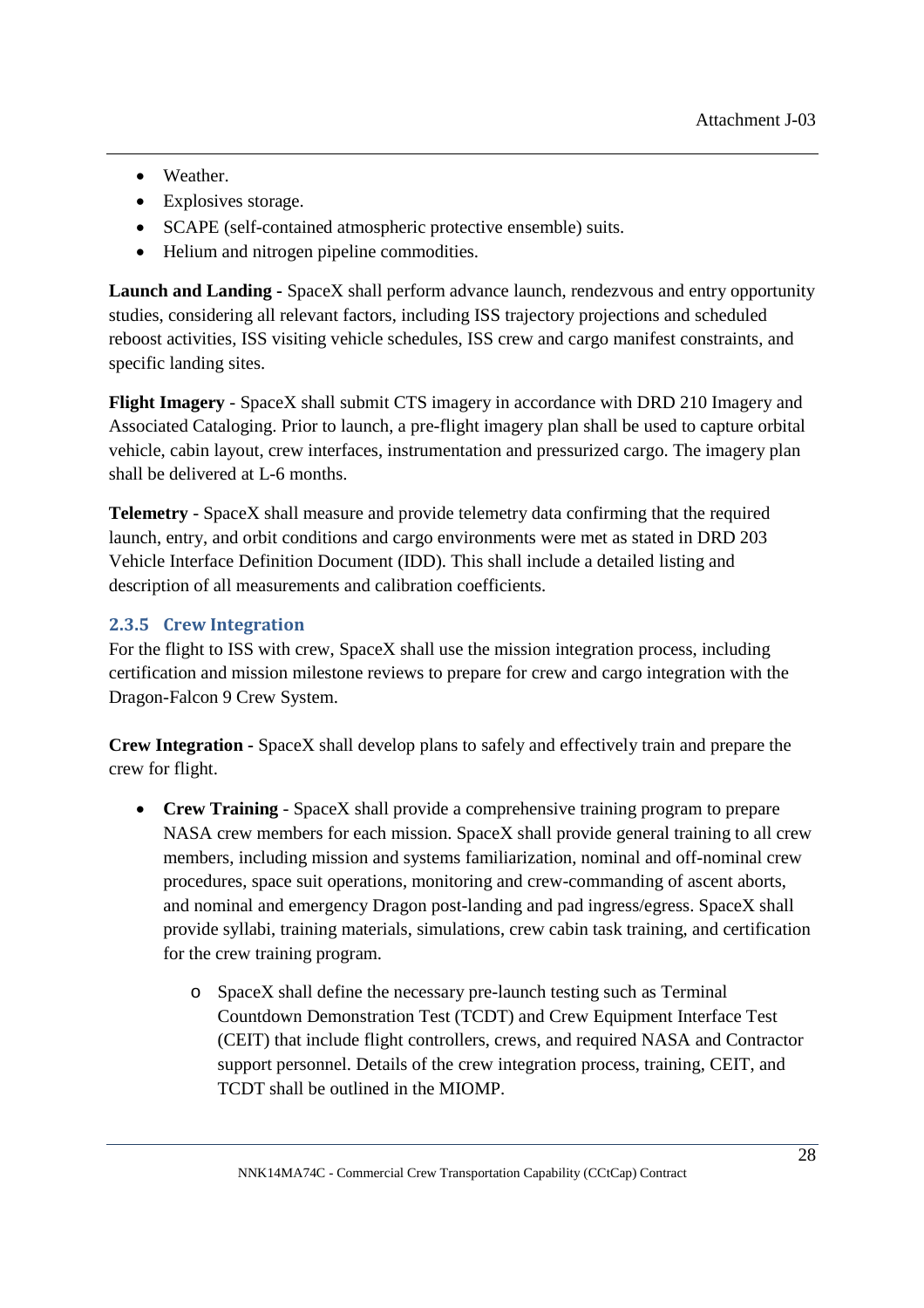- Weather.
- Explosives storage.
- SCAPE (self-contained atmospheric protective ensemble) suits.
- Helium and nitrogen pipeline commodities.

**Launch and Landing -** SpaceX shall perform advance launch, rendezvous and entry opportunity studies, considering all relevant factors, including ISS trajectory projections and scheduled reboost activities, ISS visiting vehicle schedules, ISS crew and cargo manifest constraints, and specific landing sites.

**Flight Imagery** - SpaceX shall submit CTS imagery in accordance with DRD 210 Imagery and Associated Cataloging. Prior to launch, a pre-flight imagery plan shall be used to capture orbital vehicle, cabin layout, crew interfaces, instrumentation and pressurized cargo. The imagery plan shall be delivered at L-6 months.

**Telemetry** - SpaceX shall measure and provide telemetry data confirming that the required launch, entry, and orbit conditions and cargo environments were met as stated in DRD 203 Vehicle Interface Definition Document (IDD). This shall include a detailed listing and description of all measurements and calibration coefficients.

#### **2.3.5 Crew Integration**

For the flight to ISS with crew, SpaceX shall use the mission integration process, including certification and mission milestone reviews to prepare for crew and cargo integration with the Dragon-Falcon 9 Crew System.

**Crew Integration -** SpaceX shall develop plans to safely and effectively train and prepare the crew for flight.

- **Crew Training** SpaceX shall provide a comprehensive training program to prepare NASA crew members for each mission. SpaceX shall provide general training to all crew members, including mission and systems familiarization, nominal and off-nominal crew procedures, space suit operations, monitoring and crew-commanding of ascent aborts, and nominal and emergency Dragon post-landing and pad ingress/egress. SpaceX shall provide syllabi, training materials, simulations, crew cabin task training, and certification for the crew training program.
	- o SpaceX shall define the necessary pre-launch testing such as Terminal Countdown Demonstration Test (TCDT) and Crew Equipment Interface Test (CEIT) that include flight controllers, crews, and required NASA and Contractor support personnel. Details of the crew integration process, training, CEIT, and TCDT shall be outlined in the MIOMP.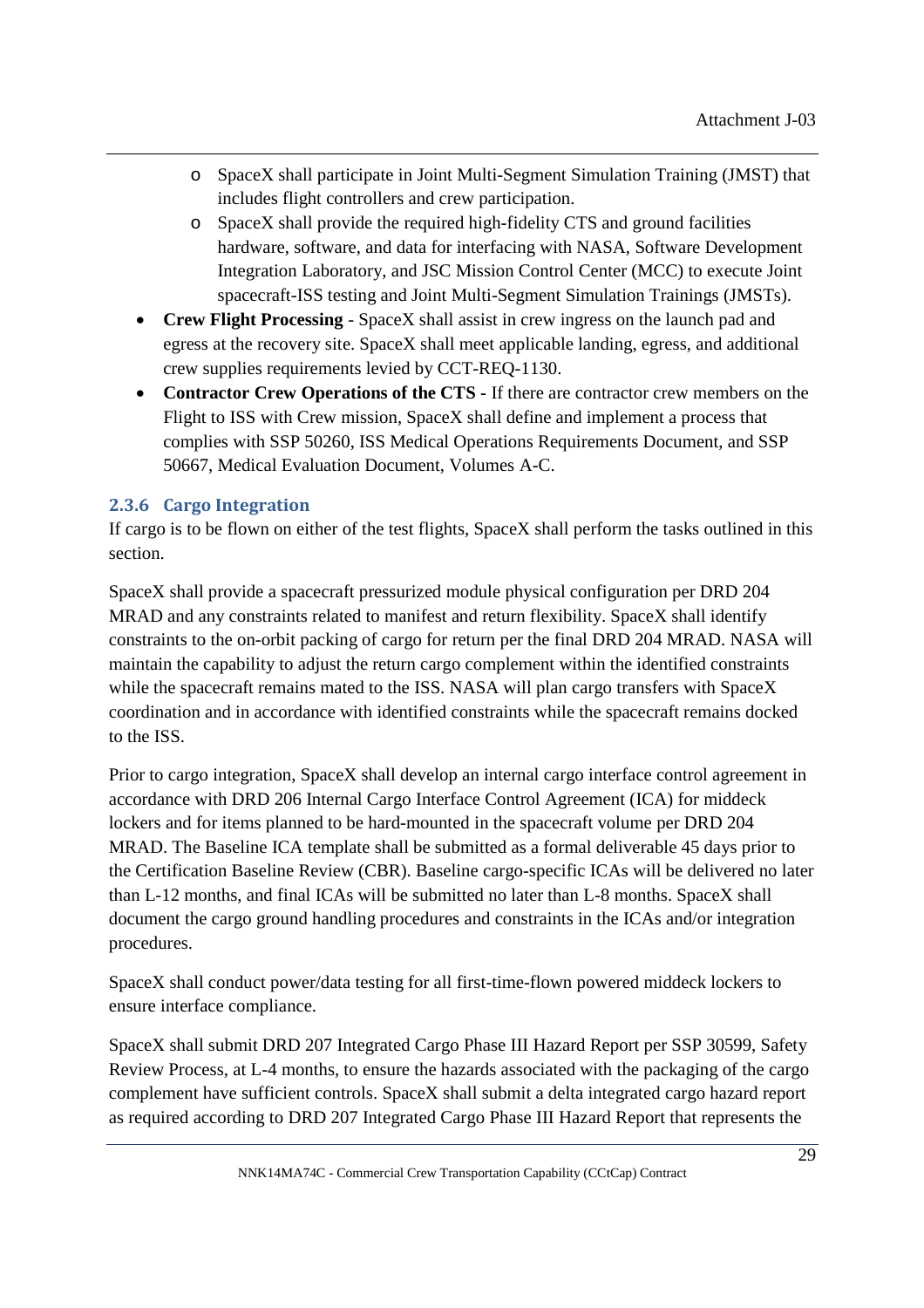- o SpaceX shall participate in Joint Multi-Segment Simulation Training (JMST) that includes flight controllers and crew participation.
- o SpaceX shall provide the required high-fidelity CTS and ground facilities hardware, software, and data for interfacing with NASA, Software Development Integration Laboratory, and JSC Mission Control Center (MCC) to execute Joint spacecraft-ISS testing and Joint Multi-Segment Simulation Trainings (JMSTs).
- **Crew Flight Processing** SpaceX shall assist in crew ingress on the launch pad and egress at the recovery site. SpaceX shall meet applicable landing, egress, and additional crew supplies requirements levied by CCT-REQ-1130.
- Contractor Crew Operations of the CTS If there are contractor crew members on the Flight to ISS with Crew mission, SpaceX shall define and implement a process that complies with SSP 50260, ISS Medical Operations Requirements Document, and SSP 50667, Medical Evaluation Document, Volumes A-C.

#### **2.3.6 Cargo Integration**

If cargo is to be flown on either of the test flights, SpaceX shall perform the tasks outlined in this section.

SpaceX shall provide a spacecraft pressurized module physical configuration per DRD 204 MRAD and any constraints related to manifest and return flexibility. SpaceX shall identify constraints to the on-orbit packing of cargo for return per the final DRD 204 MRAD. NASA will maintain the capability to adjust the return cargo complement within the identified constraints while the spacecraft remains mated to the ISS. NASA will plan cargo transfers with SpaceX coordination and in accordance with identified constraints while the spacecraft remains docked to the ISS.

Prior to cargo integration, SpaceX shall develop an internal cargo interface control agreement in accordance with DRD 206 Internal Cargo Interface Control Agreement (ICA) for middeck lockers and for items planned to be hard-mounted in the spacecraft volume per DRD 204 MRAD. The Baseline ICA template shall be submitted as a formal deliverable 45 days prior to the Certification Baseline Review (CBR). Baseline cargo-specific ICAs will be delivered no later than L-12 months, and final ICAs will be submitted no later than L-8 months. SpaceX shall document the cargo ground handling procedures and constraints in the ICAs and/or integration procedures.

SpaceX shall conduct power/data testing for all first-time-flown powered middeck lockers to ensure interface compliance.

SpaceX shall submit DRD 207 Integrated Cargo Phase III Hazard Report per SSP 30599, Safety Review Process, at L-4 months, to ensure the hazards associated with the packaging of the cargo complement have sufficient controls. SpaceX shall submit a delta integrated cargo hazard report as required according to DRD 207 Integrated Cargo Phase III Hazard Report that represents the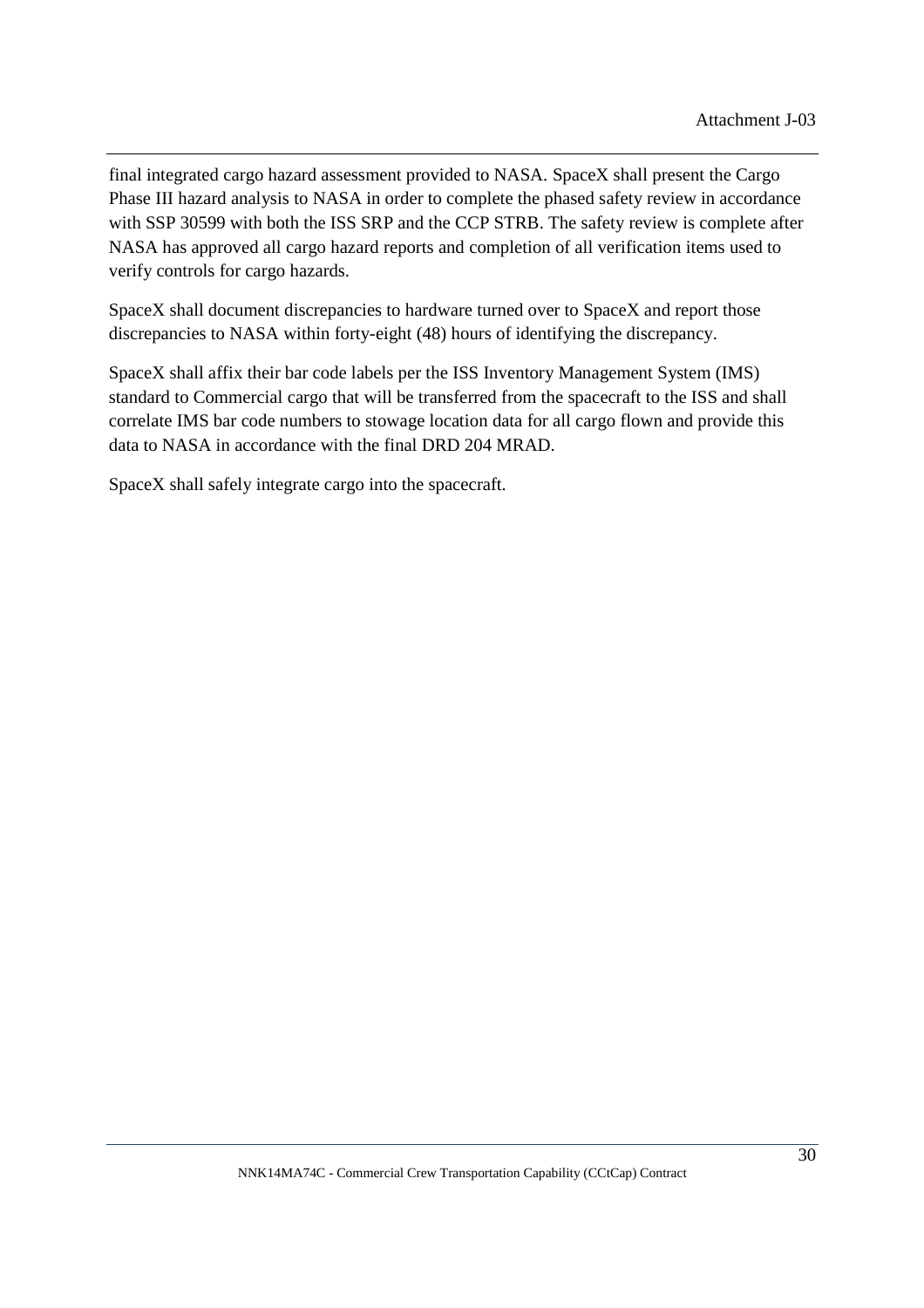final integrated cargo hazard assessment provided to NASA. SpaceX shall present the Cargo Phase III hazard analysis to NASA in order to complete the phased safety review in accordance with SSP 30599 with both the ISS SRP and the CCP STRB. The safety review is complete after NASA has approved all cargo hazard reports and completion of all verification items used to verify controls for cargo hazards.

SpaceX shall document discrepancies to hardware turned over to SpaceX and report those discrepancies to NASA within forty-eight (48) hours of identifying the discrepancy.

SpaceX shall affix their bar code labels per the ISS Inventory Management System (IMS) standard to Commercial cargo that will be transferred from the spacecraft to the ISS and shall correlate IMS bar code numbers to stowage location data for all cargo flown and provide this data to NASA in accordance with the final DRD 204 MRAD.

SpaceX shall safely integrate cargo into the spacecraft.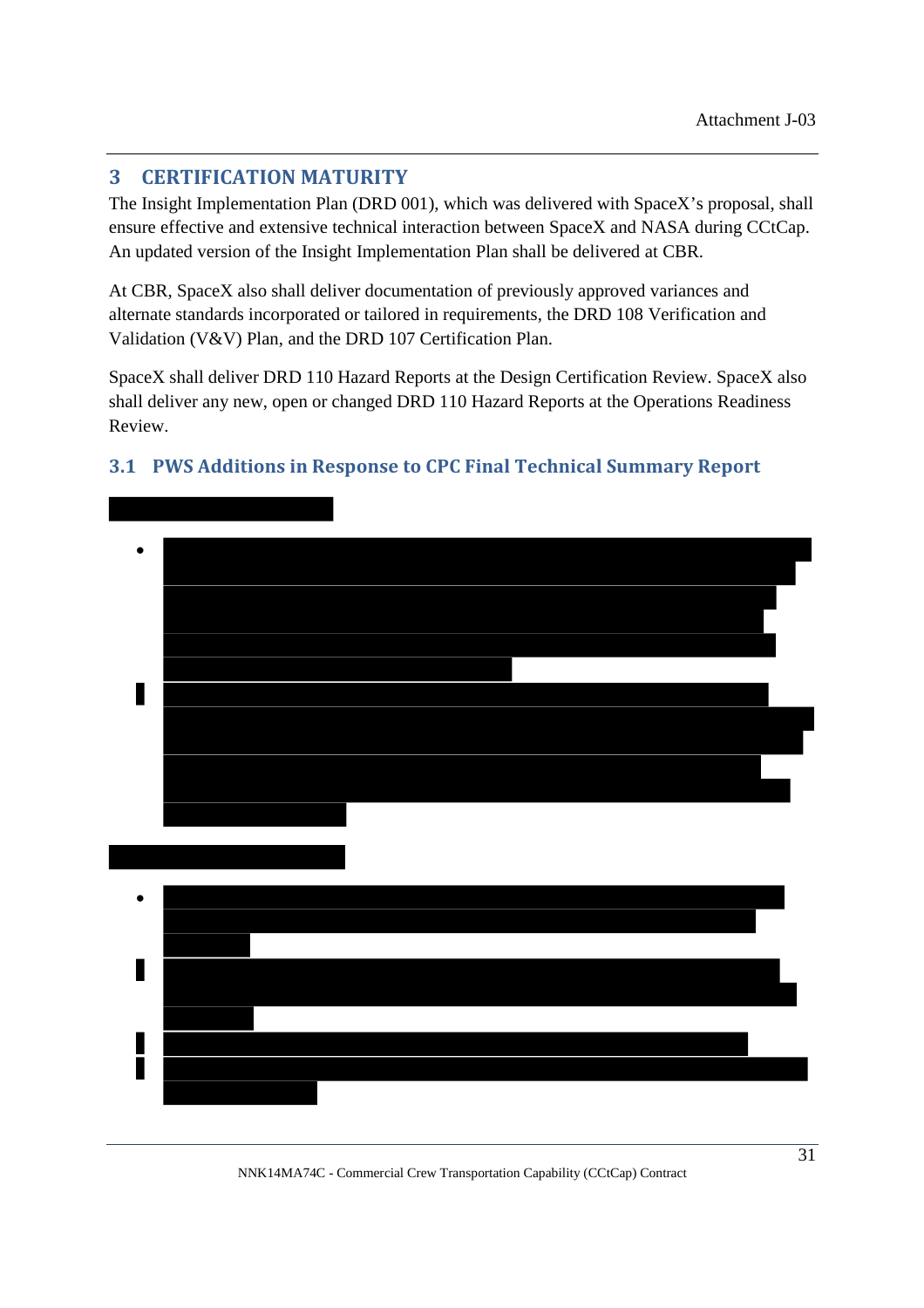## **3 CERTIFICATION MATURITY**

The Insight Implementation Plan (DRD 001), which was delivered with SpaceX's proposal, shall ensure effective and extensive technical interaction between SpaceX and NASA during CCtCap. An updated version of the Insight Implementation Plan shall be delivered at CBR.

At CBR, SpaceX also shall deliver documentation of previously approved variances and alternate standards incorporated or tailored in requirements, the DRD 108 Verification and Validation (V&V) Plan, and the DRD 107 Certification Plan.

SpaceX shall deliver DRD 110 Hazard Reports at the Design Certification Review. SpaceX also shall deliver any new, open or changed DRD 110 Hazard Reports at the Operations Readiness Review.



# **3.1 PWS Additions in Response to CPC Final Technical Summary Report**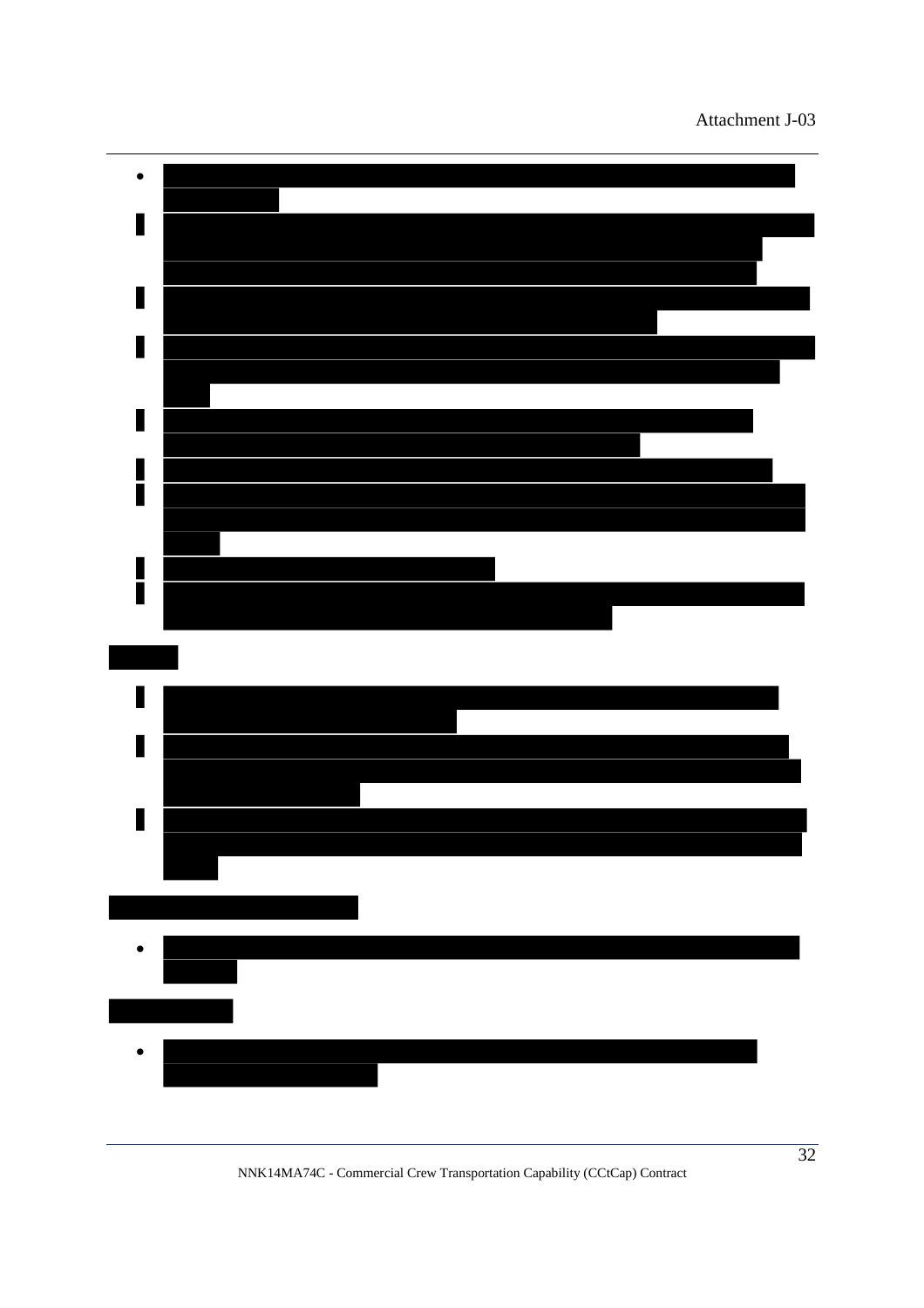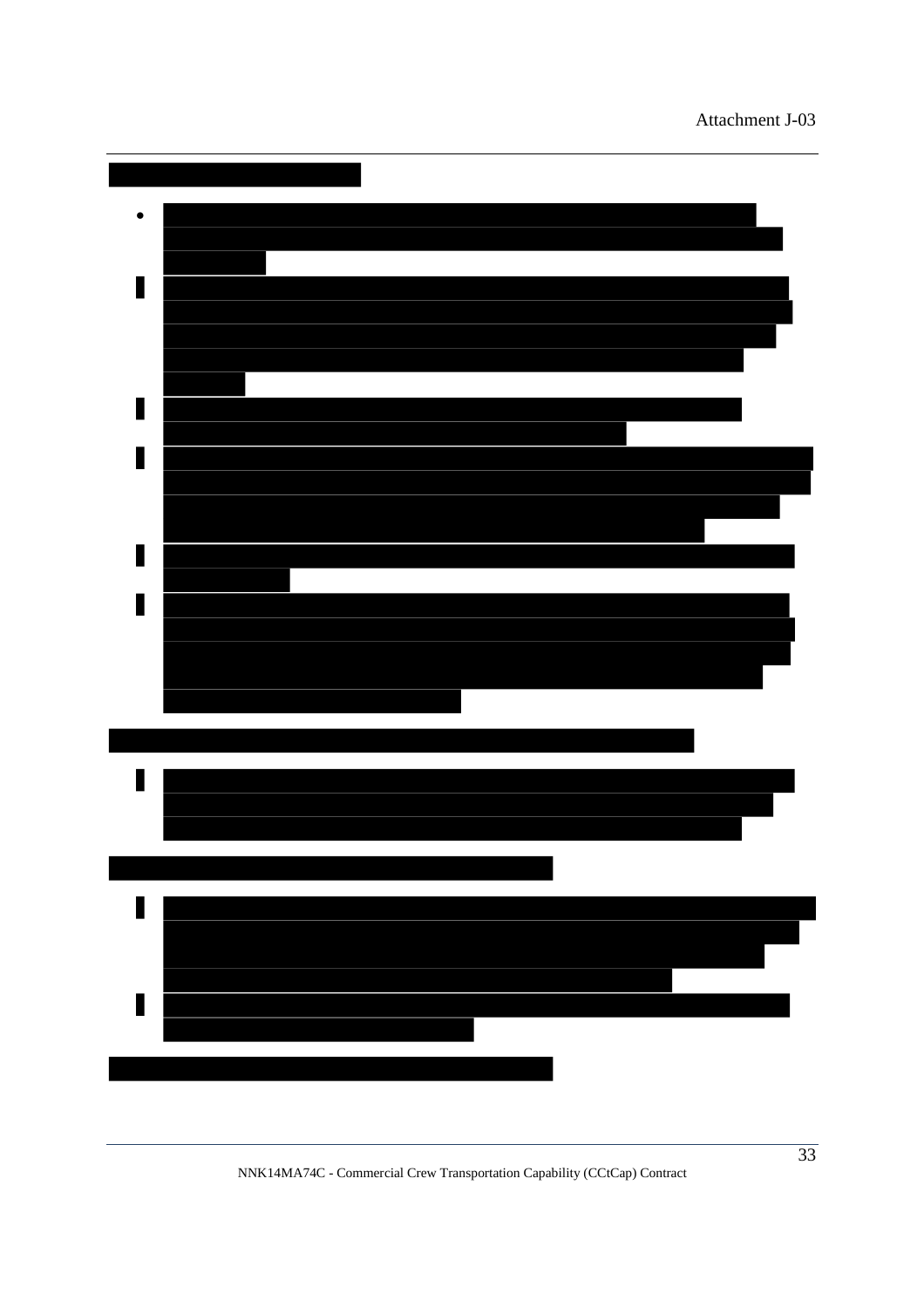

NNK14MA74C - Commercial Crew Transportation Capability (CCtCap) Contract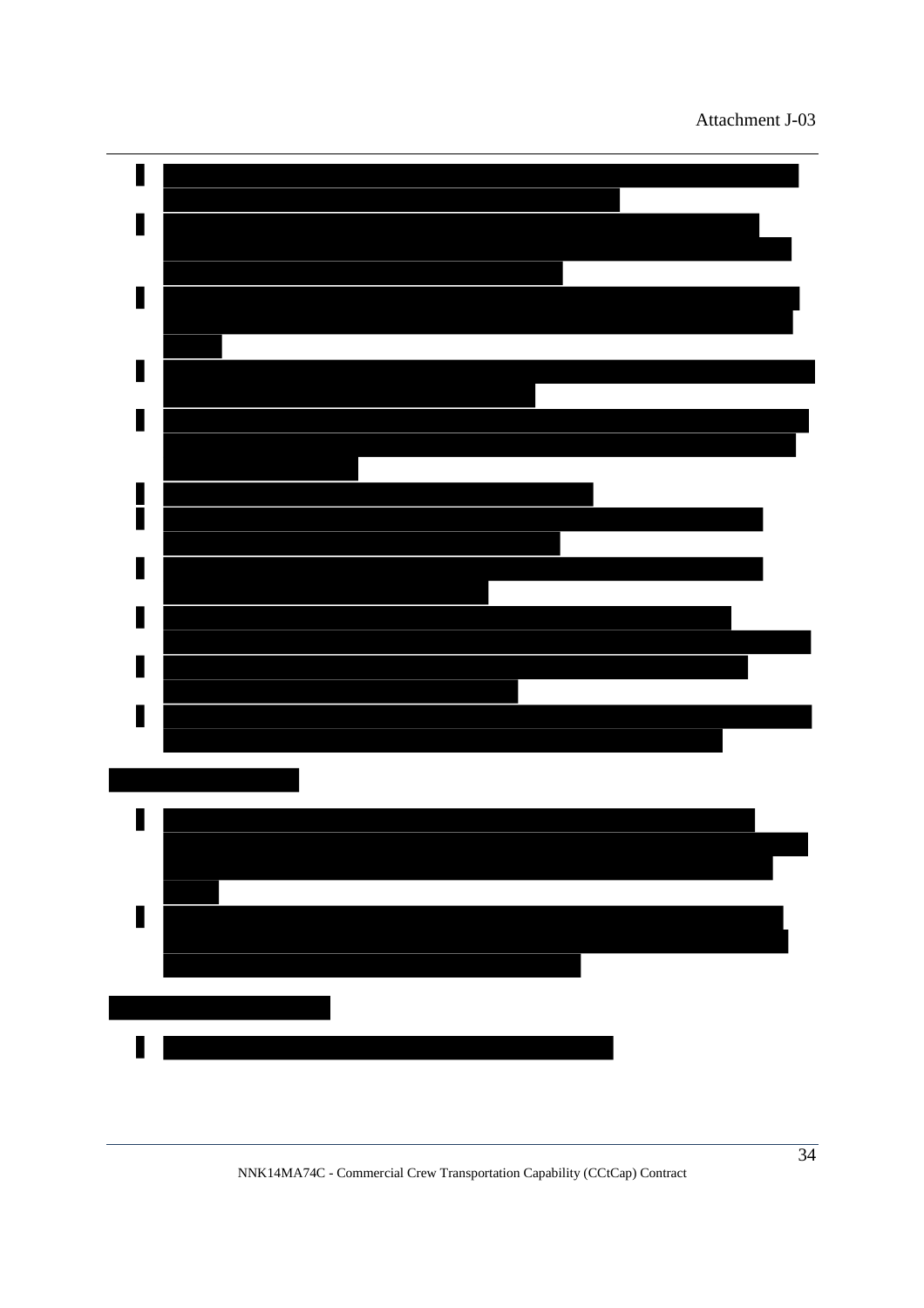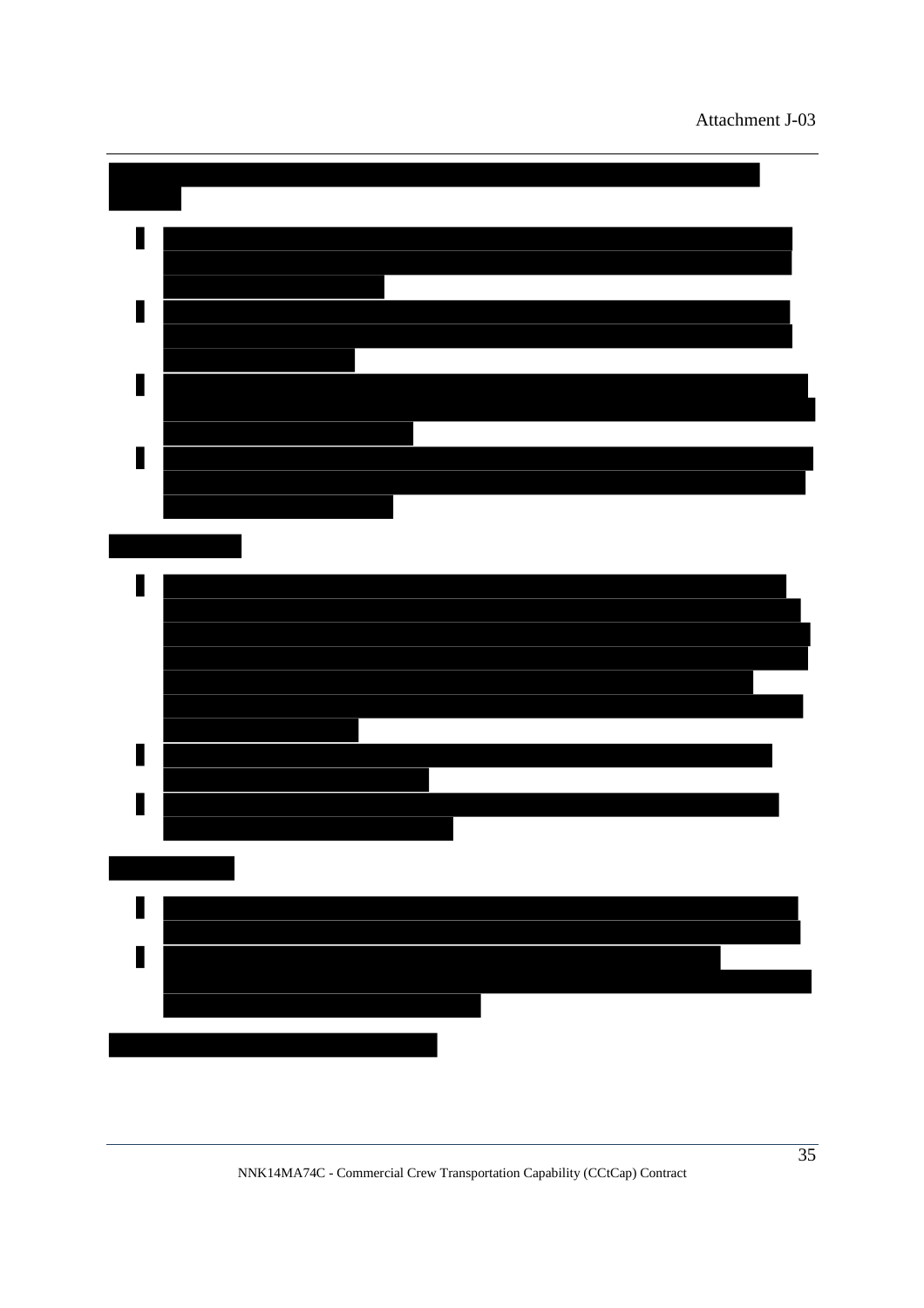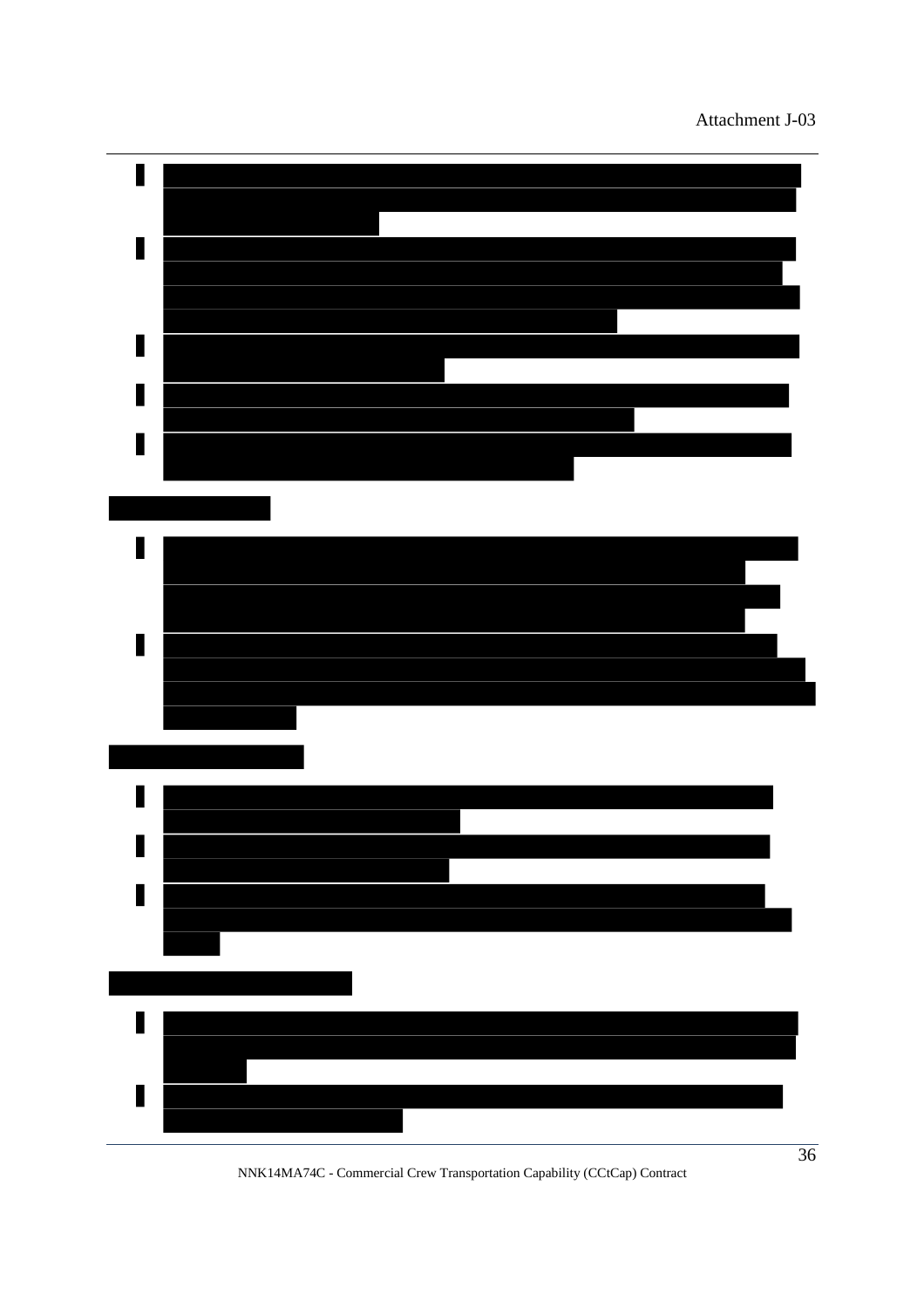

NNK14MA74C - Commercial Crew Transportation Capability (CCtCap) Contract

36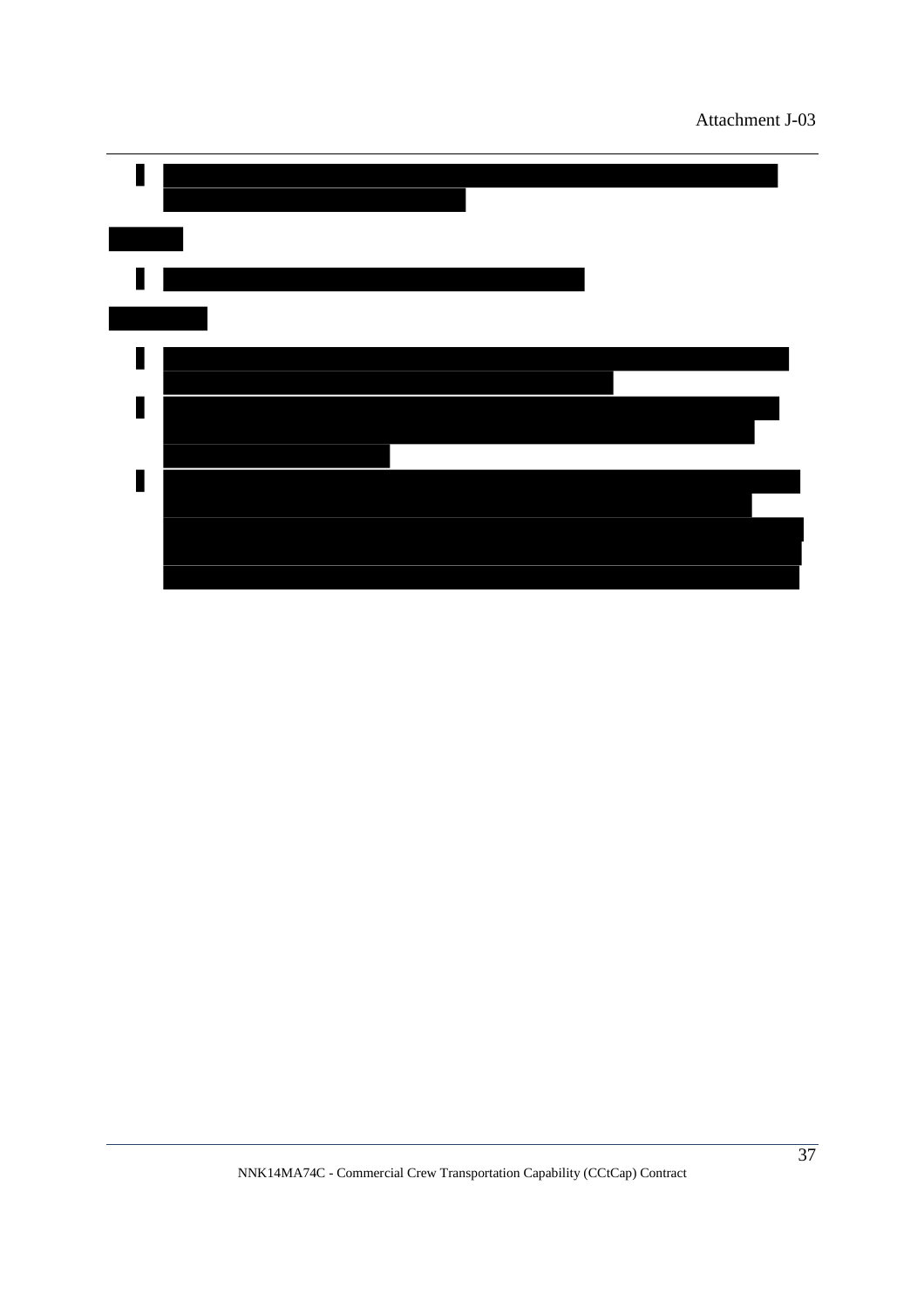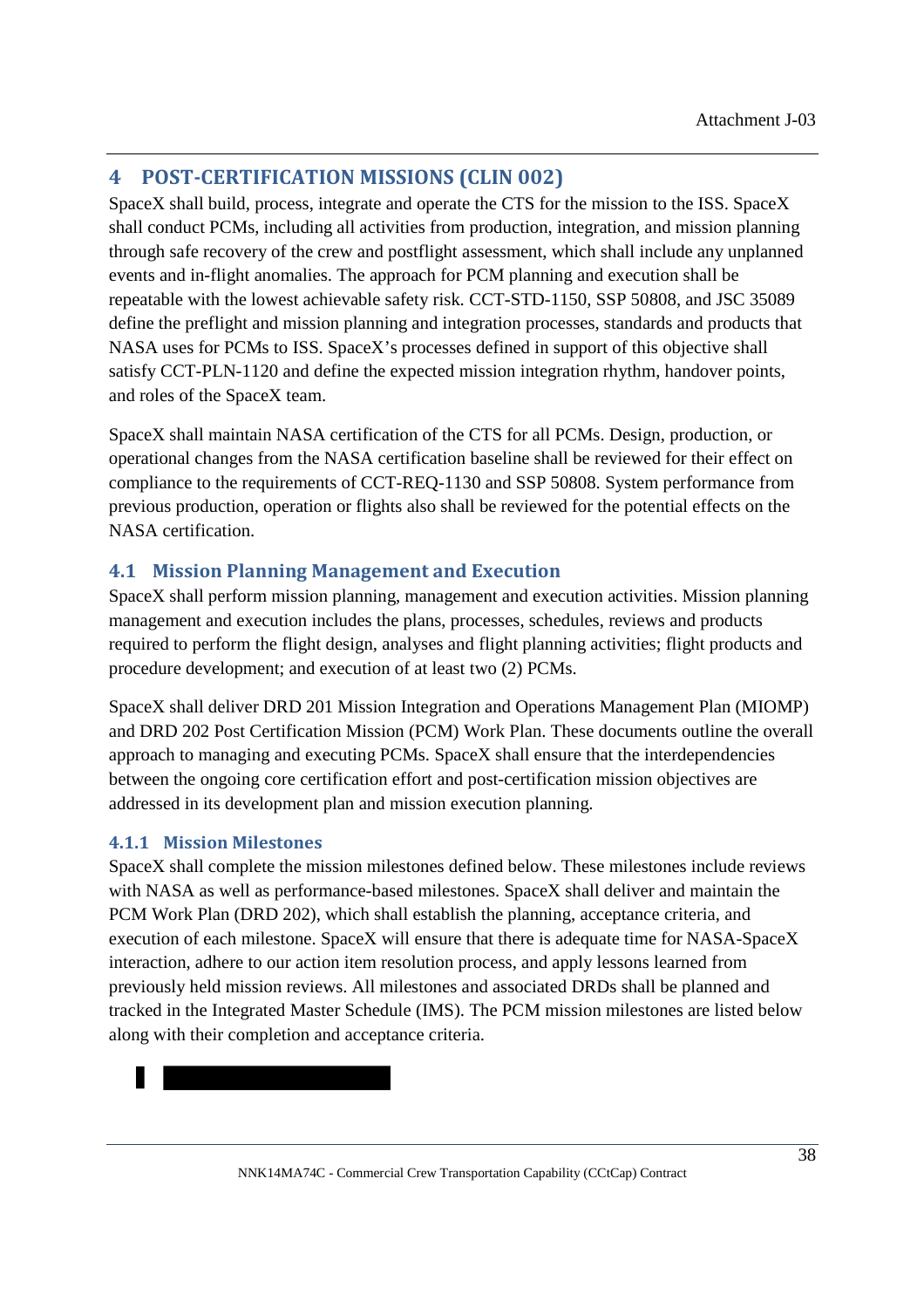# **4 POST-CERTIFICATION MISSIONS (CLIN 002)**

SpaceX shall build, process, integrate and operate the CTS for the mission to the ISS. SpaceX shall conduct PCMs, including all activities from production, integration, and mission planning through safe recovery of the crew and postflight assessment, which shall include any unplanned events and in-flight anomalies. The approach for PCM planning and execution shall be repeatable with the lowest achievable safety risk. CCT-STD-1150, SSP 50808, and JSC 35089 define the preflight and mission planning and integration processes, standards and products that NASA uses for PCMs to ISS. SpaceX's processes defined in support of this objective shall satisfy CCT-PLN-1120 and define the expected mission integration rhythm, handover points, and roles of the SpaceX team.

SpaceX shall maintain NASA certification of the CTS for all PCMs. Design, production, or operational changes from the NASA certification baseline shall be reviewed for their effect on compliance to the requirements of CCT-REQ-1130 and SSP 50808. System performance from previous production, operation or flights also shall be reviewed for the potential effects on the NASA certification.

#### **4.1 Mission Planning Management and Execution**

SpaceX shall perform mission planning, management and execution activities. Mission planning management and execution includes the plans, processes, schedules, reviews and products required to perform the flight design, analyses and flight planning activities; flight products and procedure development; and execution of at least two (2) PCMs.

SpaceX shall deliver DRD 201 Mission Integration and Operations Management Plan (MIOMP) and DRD 202 Post Certification Mission (PCM) Work Plan. These documents outline the overall approach to managing and executing PCMs. SpaceX shall ensure that the interdependencies between the ongoing core certification effort and post-certification mission objectives are addressed in its development plan and mission execution planning.

#### **4.1.1 Mission Milestones**

Ш

SpaceX shall complete the mission milestones defined below. These milestones include reviews with NASA as well as performance-based milestones. SpaceX shall deliver and maintain the PCM Work Plan (DRD 202), which shall establish the planning, acceptance criteria, and execution of each milestone. SpaceX will ensure that there is adequate time for NASA-SpaceX interaction, adhere to our action item resolution process, and apply lessons learned from previously held mission reviews. All milestones and associated DRDs shall be planned and tracked in the Integrated Master Schedule (IMS). The PCM mission milestones are listed below along with their completion and acceptance criteria.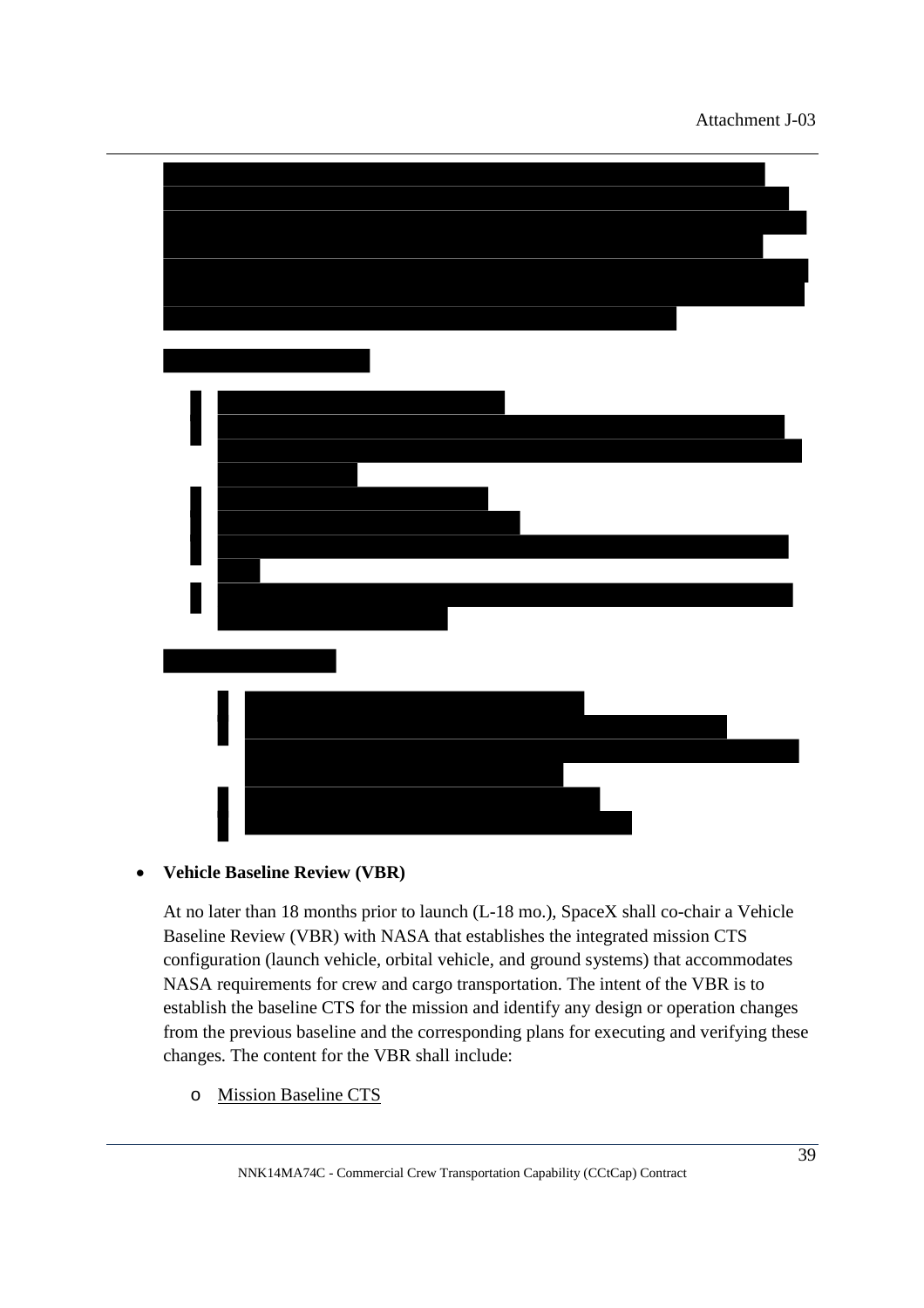

**Vehicle Baseline Review (VBR)**

At no later than 18 months prior to launch (L-18 mo.), SpaceX shall co-chair a Vehicle Baseline Review (VBR) with NASA that establishes the integrated mission CTS configuration (launch vehicle, orbital vehicle, and ground systems) that accommodates NASA requirements for crew and cargo transportation. The intent of the VBR is to establish the baseline CTS for the mission and identify any design or operation changes from the previous baseline and the corresponding plans for executing and verifying these changes. The content for the VBR shall include:

o Mission Baseline CTS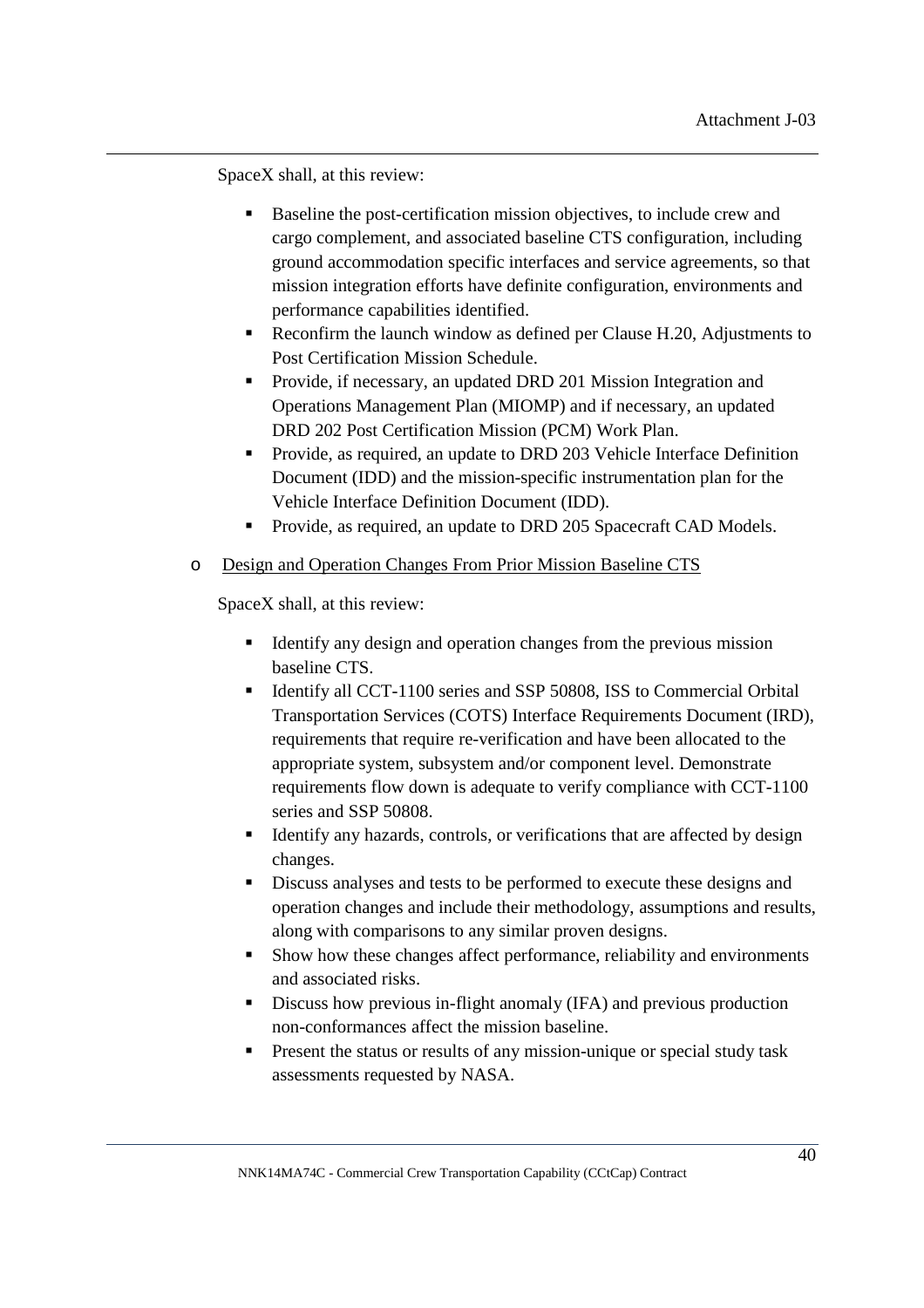SpaceX shall, at this review:

- Baseline the post-certification mission objectives, to include crew and cargo complement, and associated baseline CTS configuration, including ground accommodation specific interfaces and service agreements, so that mission integration efforts have definite configuration, environments and performance capabilities identified.
- Reconfirm the launch window as defined per Clause H.20, Adjustments to Post Certification Mission Schedule.
- Provide, if necessary, an updated DRD 201 Mission Integration and Operations Management Plan (MIOMP) and if necessary, an updated DRD 202 Post Certification Mission (PCM) Work Plan.
- Provide, as required, an update to DRD 203 Vehicle Interface Definition Document (IDD) and the mission-specific instrumentation plan for the Vehicle Interface Definition Document (IDD).
- Provide, as required, an update to DRD 205 Spacecraft CAD Models.
- o Design and Operation Changes From Prior Mission Baseline CTS

SpaceX shall, at this review:

- Identify any design and operation changes from the previous mission baseline CTS.
- Identify all CCT-1100 series and SSP 50808, ISS to Commercial Orbital Transportation Services (COTS) Interface Requirements Document (IRD), requirements that require re-verification and have been allocated to the appropriate system, subsystem and/or component level. Demonstrate requirements flow down is adequate to verify compliance with CCT-1100 series and SSP 50808.
- Identify any hazards, controls, or verifications that are affected by design changes.
- Discuss analyses and tests to be performed to execute these designs and operation changes and include their methodology, assumptions and results, along with comparisons to any similar proven designs.
- Show how these changes affect performance, reliability and environments and associated risks.
- Discuss how previous in-flight anomaly (IFA) and previous production non-conformances affect the mission baseline.
- Present the status or results of any mission-unique or special study task assessments requested by NASA.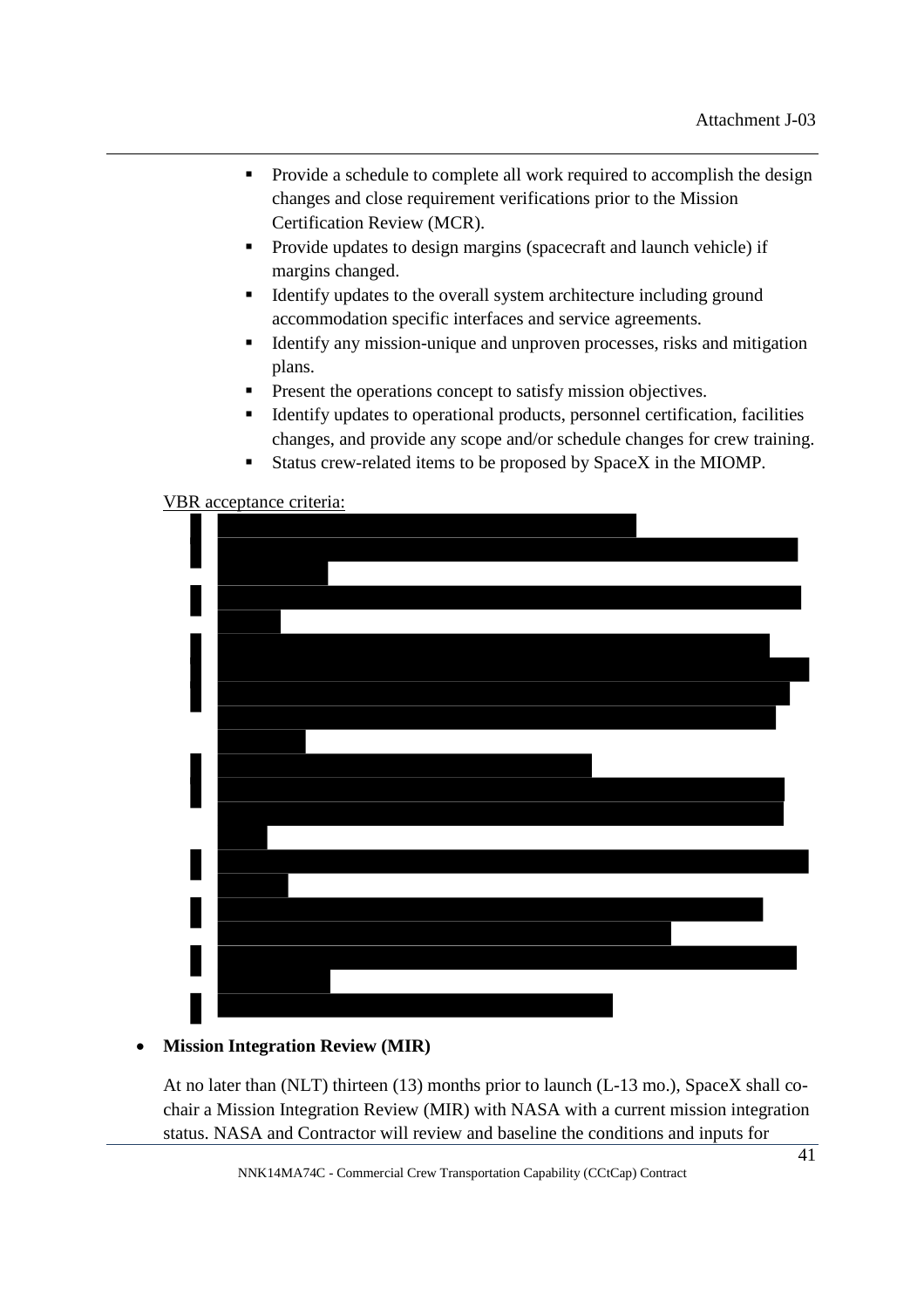- Provide a schedule to complete all work required to accomplish the design changes and close requirement verifications prior to the Mission Certification Review (MCR).
- **Provide updates to design margins (spacecraft and launch vehicle) if** margins changed.
- If Identify updates to the overall system architecture including ground accommodation specific interfaces and service agreements.
- Identify any mission-unique and unproven processes, risks and mitigation plans.
- **Present the operations concept to satisfy mission objectives.**
- Identify updates to operational products, personnel certification, facilities changes, and provide any scope and/or schedule changes for crew training.
- Status crew-related items to be proposed by SpaceX in the MIOMP.

VBR acceptance criteria:



#### **Mission Integration Review (MIR)**

At no later than (NLT) thirteen (13) months prior to launch (L-13 mo.), SpaceX shall cochair a Mission Integration Review (MIR) with NASA with a current mission integration status. NASA and Contractor will review and baseline the conditions and inputs for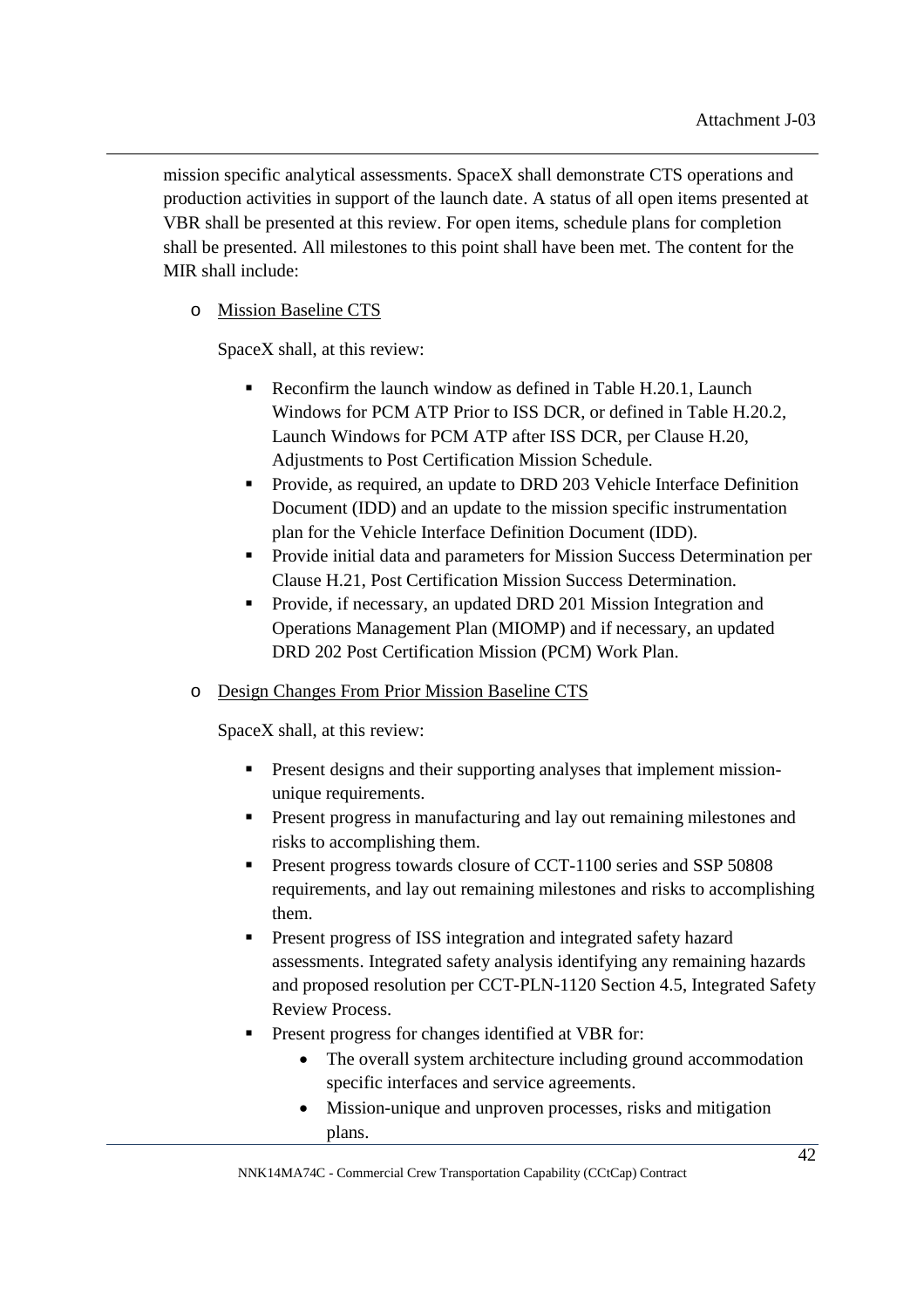mission specific analytical assessments. SpaceX shall demonstrate CTS operations and production activities in support of the launch date. A status of all open items presented at VBR shall be presented at this review. For open items, schedule plans for completion shall be presented. All milestones to this point shall have been met. The content for the MIR shall include:

#### o Mission Baseline CTS

SpaceX shall, at this review:

- Reconfirm the launch window as defined in Table H.20.1, Launch Windows for PCM ATP Prior to ISS DCR, or defined in Table H.20.2, Launch Windows for PCM ATP after ISS DCR, per Clause H.20, Adjustments to Post Certification Mission Schedule.
- Provide, as required, an update to DRD 203 Vehicle Interface Definition Document (IDD) and an update to the mission specific instrumentation plan for the Vehicle Interface Definition Document (IDD).
- **Provide initial data and parameters for Mission Success Determination per** Clause H.21, Post Certification Mission Success Determination.
- Provide, if necessary, an updated DRD 201 Mission Integration and Operations Management Plan (MIOMP) and if necessary, an updated DRD 202 Post Certification Mission (PCM) Work Plan.

#### o Design Changes From Prior Mission Baseline CTS

SpaceX shall, at this review:

- **Present designs and their supporting analyses that implement mission**unique requirements.
- **Present progress in manufacturing and lay out remaining milestones and** risks to accomplishing them.
- Present progress towards closure of CCT-1100 series and SSP 50808 requirements, and lay out remaining milestones and risks to accomplishing them.
- Present progress of ISS integration and integrated safety hazard assessments. Integrated safety analysis identifying any remaining hazards and proposed resolution per CCT-PLN-1120 Section 4.5, Integrated Safety Review Process.
- Present progress for changes identified at VBR for:
	- The overall system architecture including ground accommodation specific interfaces and service agreements.
	- Mission-unique and unproven processes, risks and mitigation plans.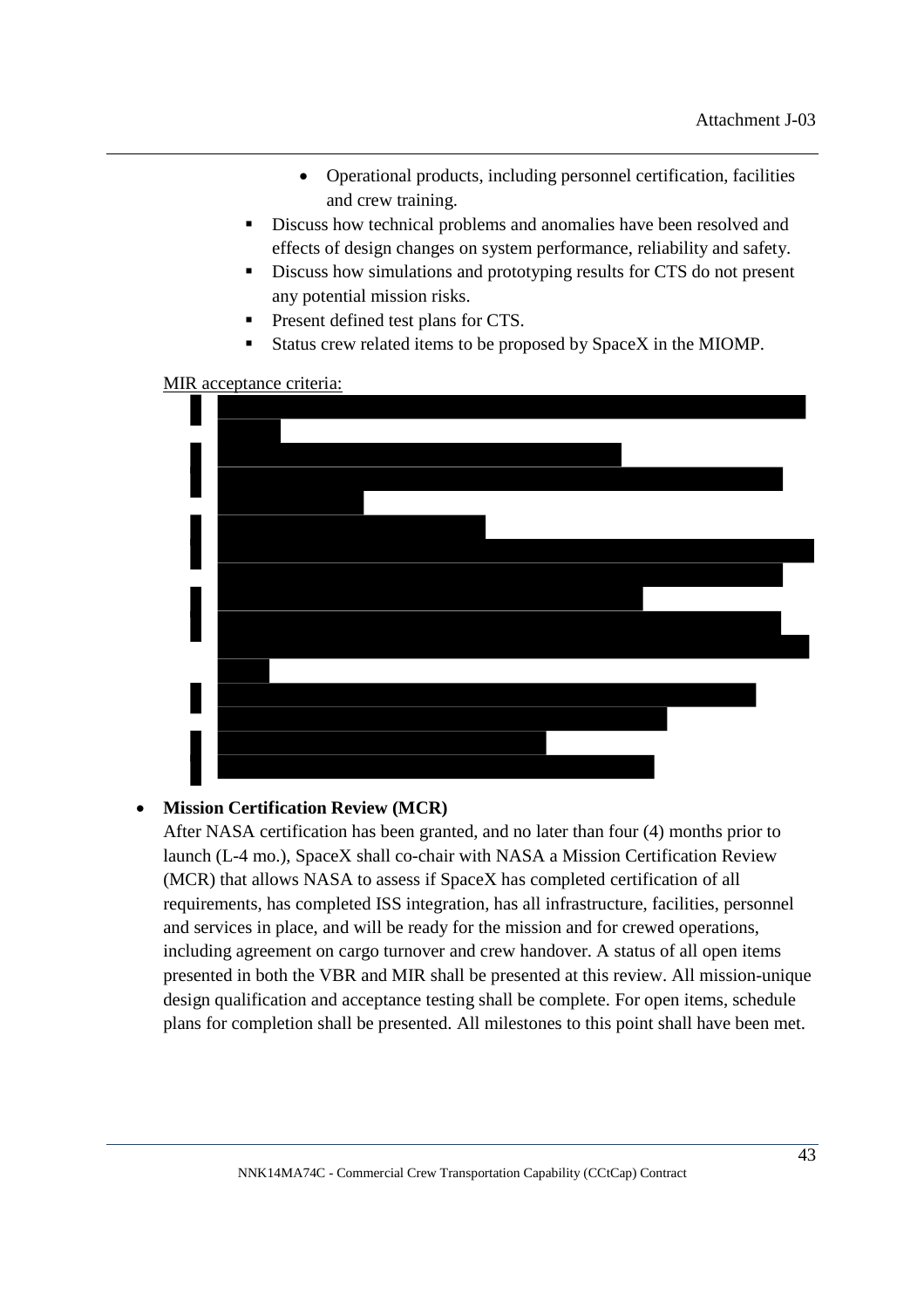- Operational products, including personnel certification, facilities and crew training.
- Discuss how technical problems and anomalies have been resolved and effects of design changes on system performance, reliability and safety.
- Discuss how simulations and prototyping results for CTS do not present any potential mission risks.
- Present defined test plans for CTS.
- Status crew related items to be proposed by SpaceX in the MIOMP.

#### MIR acceptance criteria:



#### **Mission Certification Review (MCR)**

After NASA certification has been granted, and no later than four (4) months prior to launch (L-4 mo.), SpaceX shall co-chair with NASA a Mission Certification Review (MCR) that allows NASA to assess if SpaceX has completed certification of all requirements, has completed ISS integration, has all infrastructure, facilities, personnel and services in place, and will be ready for the mission and for crewed operations, including agreement on cargo turnover and crew handover. A status of all open items presented in both the VBR and MIR shall be presented at this review. All mission-unique design qualification and acceptance testing shall be complete. For open items, schedule plans for completion shall be presented. All milestones to this point shall have been met.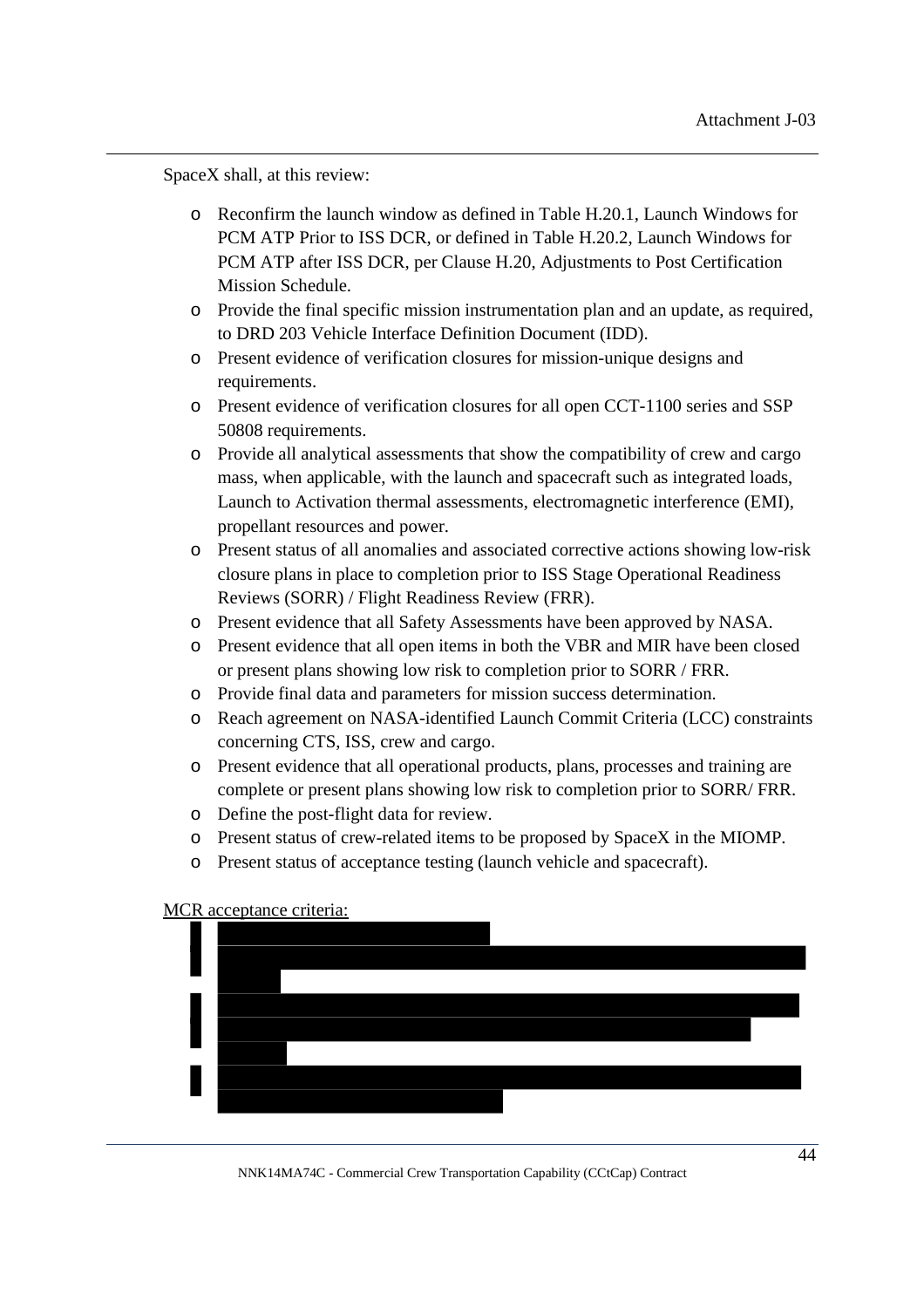SpaceX shall, at this review:

- o Reconfirm the launch window as defined in Table H.20.1, Launch Windows for PCM ATP Prior to ISS DCR, or defined in Table H.20.2, Launch Windows for PCM ATP after ISS DCR, per Clause H.20, Adjustments to Post Certification Mission Schedule.
- o Provide the final specific mission instrumentation plan and an update, as required, to DRD 203 Vehicle Interface Definition Document (IDD).
- o Present evidence of verification closures for mission-unique designs and requirements.
- o Present evidence of verification closures for all open CCT-1100 series and SSP 50808 requirements.
- o Provide all analytical assessments that show the compatibility of crew and cargo mass, when applicable, with the launch and spacecraft such as integrated loads, Launch to Activation thermal assessments, electromagnetic interference (EMI), propellant resources and power.
- o Present status of all anomalies and associated corrective actions showing low-risk closure plans in place to completion prior to ISS Stage Operational Readiness Reviews (SORR) / Flight Readiness Review (FRR).
- o Present evidence that all Safety Assessments have been approved by NASA.
- o Present evidence that all open items in both the VBR and MIR have been closed or present plans showing low risk to completion prior to SORR / FRR.
- o Provide final data and parameters for mission success determination.
- o Reach agreement on NASA-identified Launch Commit Criteria (LCC) constraints concerning CTS, ISS, crew and cargo.
- o Present evidence that all operational products, plans, processes and training are complete or present plans showing low risk to completion prior to SORR/ FRR.
- o Define the post-flight data for review.
- o Present status of crew-related items to be proposed by SpaceX in the MIOMP.
- o Present status of acceptance testing (launch vehicle and spacecraft).

#### MCR acceptance criteria:

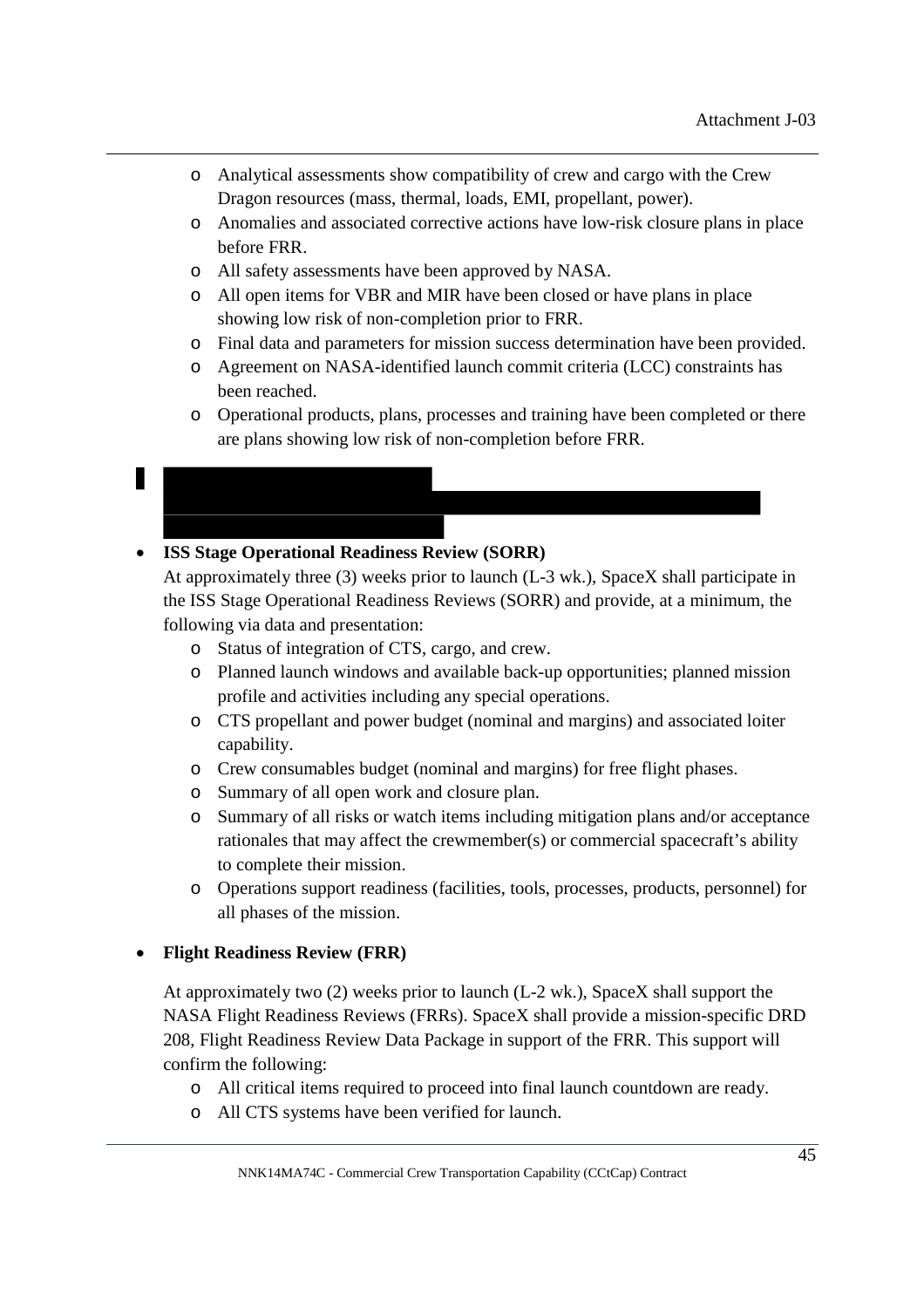- o Analytical assessments show compatibility of crew and cargo with the Crew Dragon resources (mass, thermal, loads, EMI, propellant, power).
- o Anomalies and associated corrective actions have low-risk closure plans in place before FRR.
- o All safety assessments have been approved by NASA.
- o All open items for VBR and MIR have been closed or have plans in place showing low risk of non-completion prior to FRR.
- o Final data and parameters for mission success determination have been provided.
- o Agreement on NASA-identified launch commit criteria (LCC) constraints has been reached.
- o Operational products, plans, processes and training have been completed or there are plans showing low risk of non-completion before FRR.

## **ISS Stage Operational Readiness Review (SORR)**

П

At approximately three (3) weeks prior to launch (L-3 wk.), SpaceX shall participate in the ISS Stage Operational Readiness Reviews (SORR) and provide, at a minimum, the following via data and presentation:

- o Status of integration of CTS, cargo, and crew.
- o Planned launch windows and available back-up opportunities; planned mission profile and activities including any special operations.
- o CTS propellant and power budget (nominal and margins) and associated loiter capability.
- o Crew consumables budget (nominal and margins) for free flight phases.
- o Summary of all open work and closure plan.
- o Summary of all risks or watch items including mitigation plans and/or acceptance rationales that may affect the crewmember(s) or commercial spacecraft's ability to complete their mission.
- o Operations support readiness (facilities, tools, processes, products, personnel) for all phases of the mission.

## **Flight Readiness Review (FRR)**

At approximately two (2) weeks prior to launch (L-2 wk.), SpaceX shall support the NASA Flight Readiness Reviews (FRRs). SpaceX shall provide a mission-specific DRD 208, Flight Readiness Review Data Package in support of the FRR. This support will confirm the following:

- o All critical items required to proceed into final launch countdown are ready.
- o All CTS systems have been verified for launch.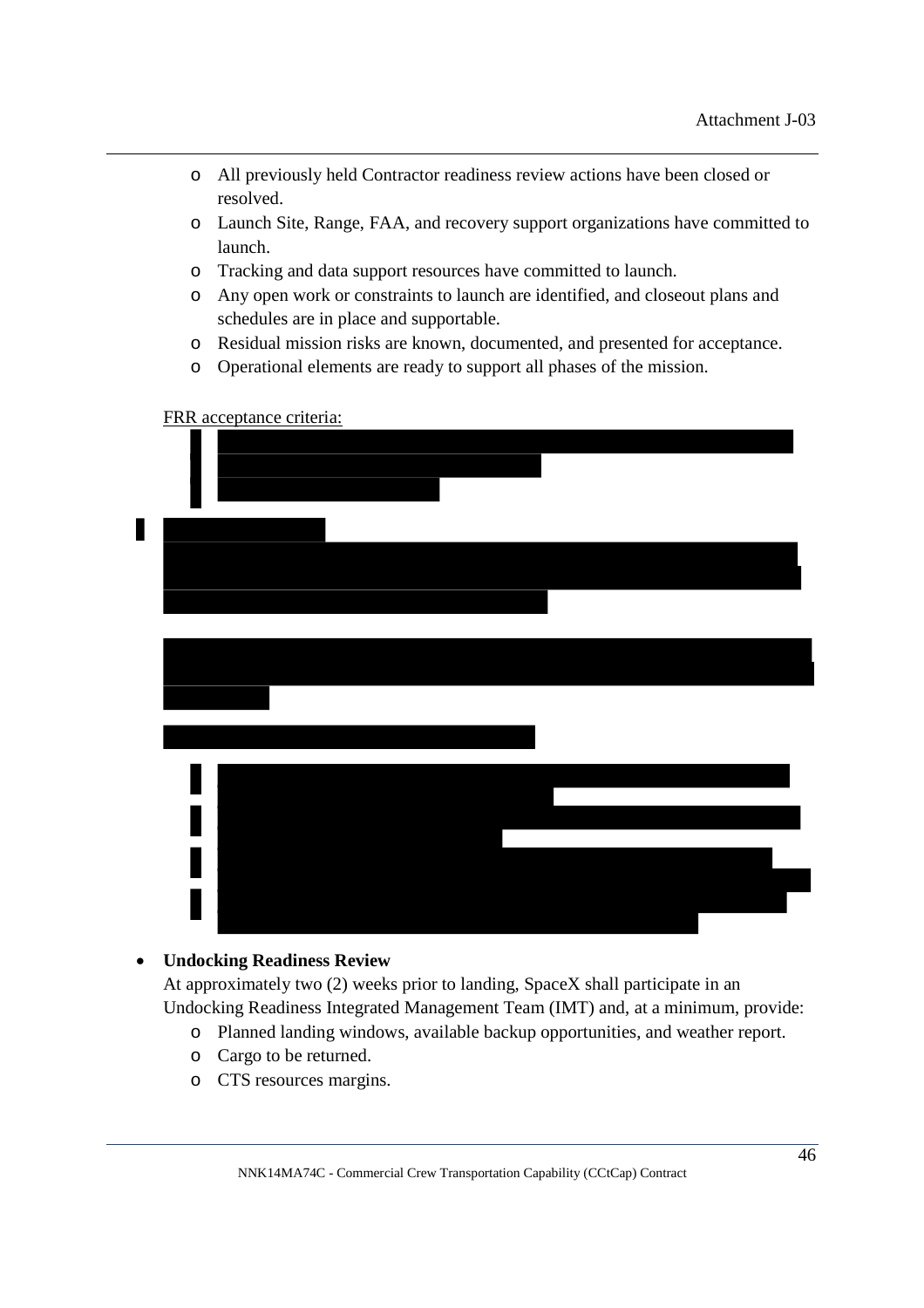- o All previously held Contractor readiness review actions have been closed or resolved.
- o Launch Site, Range, FAA, and recovery support organizations have committed to launch.
- o Tracking and data support resources have committed to launch.
- o Any open work or constraints to launch are identified, and closeout plans and schedules are in place and supportable.
- o Residual mission risks are known, documented, and presented for acceptance.
- o Operational elements are ready to support all phases of the mission.

FRR acceptance criteria: 

#### **Undocking Readiness Review**

At approximately two (2) weeks prior to landing, SpaceX shall participate in an Undocking Readiness Integrated Management Team (IMT) and, at a minimum, provide:

- o Planned landing windows, available backup opportunities, and weather report.
- o Cargo to be returned.
- o CTS resources margins.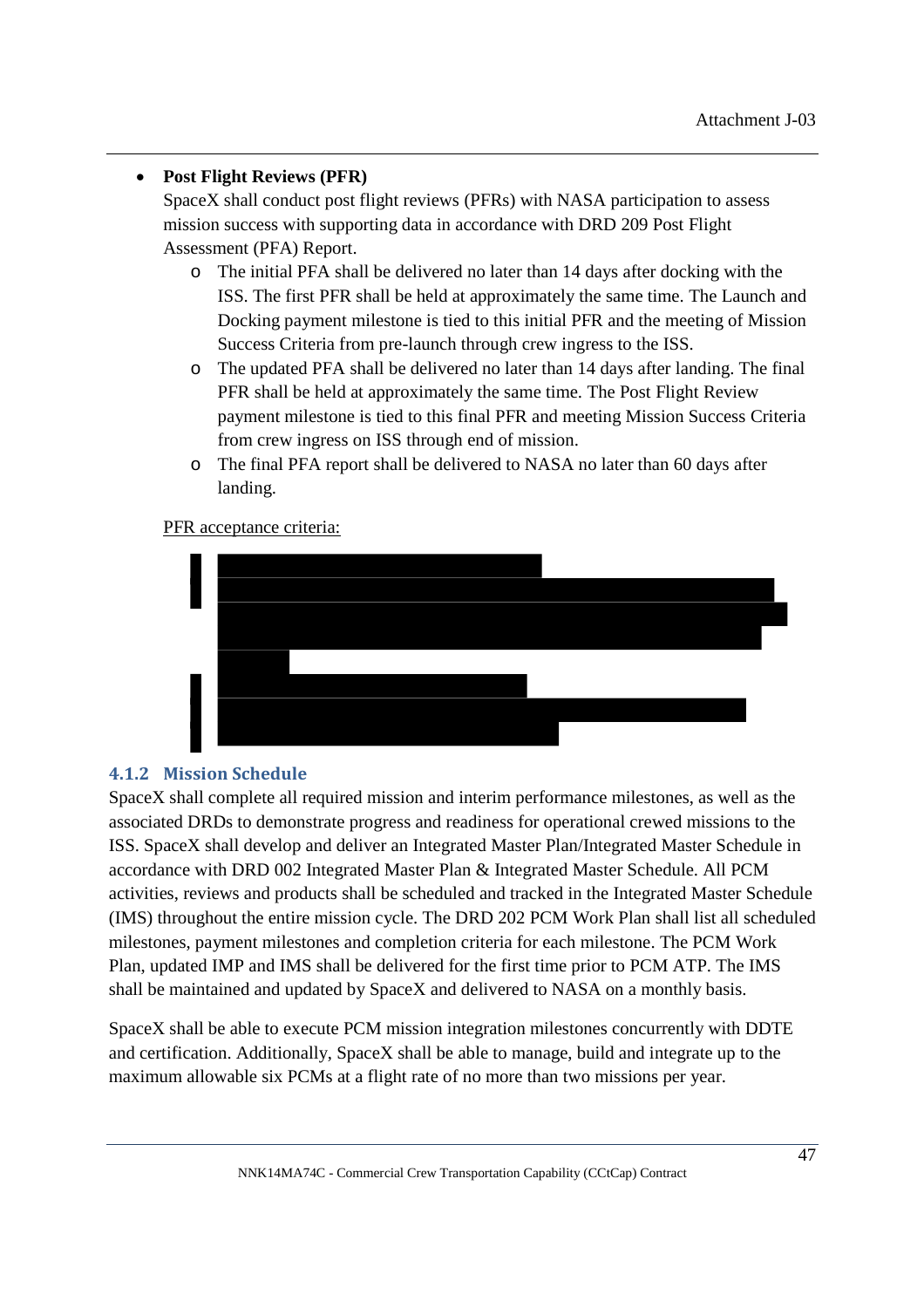#### **Post Flight Reviews (PFR)**

SpaceX shall conduct post flight reviews (PFRs) with NASA participation to assess mission success with supporting data in accordance with DRD 209 Post Flight Assessment (PFA) Report.

- o The initial PFA shall be delivered no later than 14 days after docking with the ISS. The first PFR shall be held at approximately the same time. The Launch and Docking payment milestone is tied to this initial PFR and the meeting of Mission Success Criteria from pre-launch through crew ingress to the ISS.
- o The updated PFA shall be delivered no later than 14 days after landing. The final PFR shall be held at approximately the same time. The Post Flight Review payment milestone is tied to this final PFR and meeting Mission Success Criteria from crew ingress on ISS through end of mission.
- o The final PFA report shall be delivered to NASA no later than 60 days after landing.

PFR acceptance criteria:



#### **4.1.2 Mission Schedule**

SpaceX shall complete all required mission and interim performance milestones, as well as the associated DRDs to demonstrate progress and readiness for operational crewed missions to the ISS. SpaceX shall develop and deliver an Integrated Master Plan/Integrated Master Schedule in accordance with DRD 002 Integrated Master Plan & Integrated Master Schedule. All PCM activities, reviews and products shall be scheduled and tracked in the Integrated Master Schedule (IMS) throughout the entire mission cycle. The DRD 202 PCM Work Plan shall list all scheduled milestones, payment milestones and completion criteria for each milestone. The PCM Work Plan, updated IMP and IMS shall be delivered for the first time prior to PCM ATP. The IMS shall be maintained and updated by SpaceX and delivered to NASA on a monthly basis.

SpaceX shall be able to execute PCM mission integration milestones concurrently with DDTE and certification. Additionally, SpaceX shall be able to manage, build and integrate up to the maximum allowable six PCMs at a flight rate of no more than two missions per year.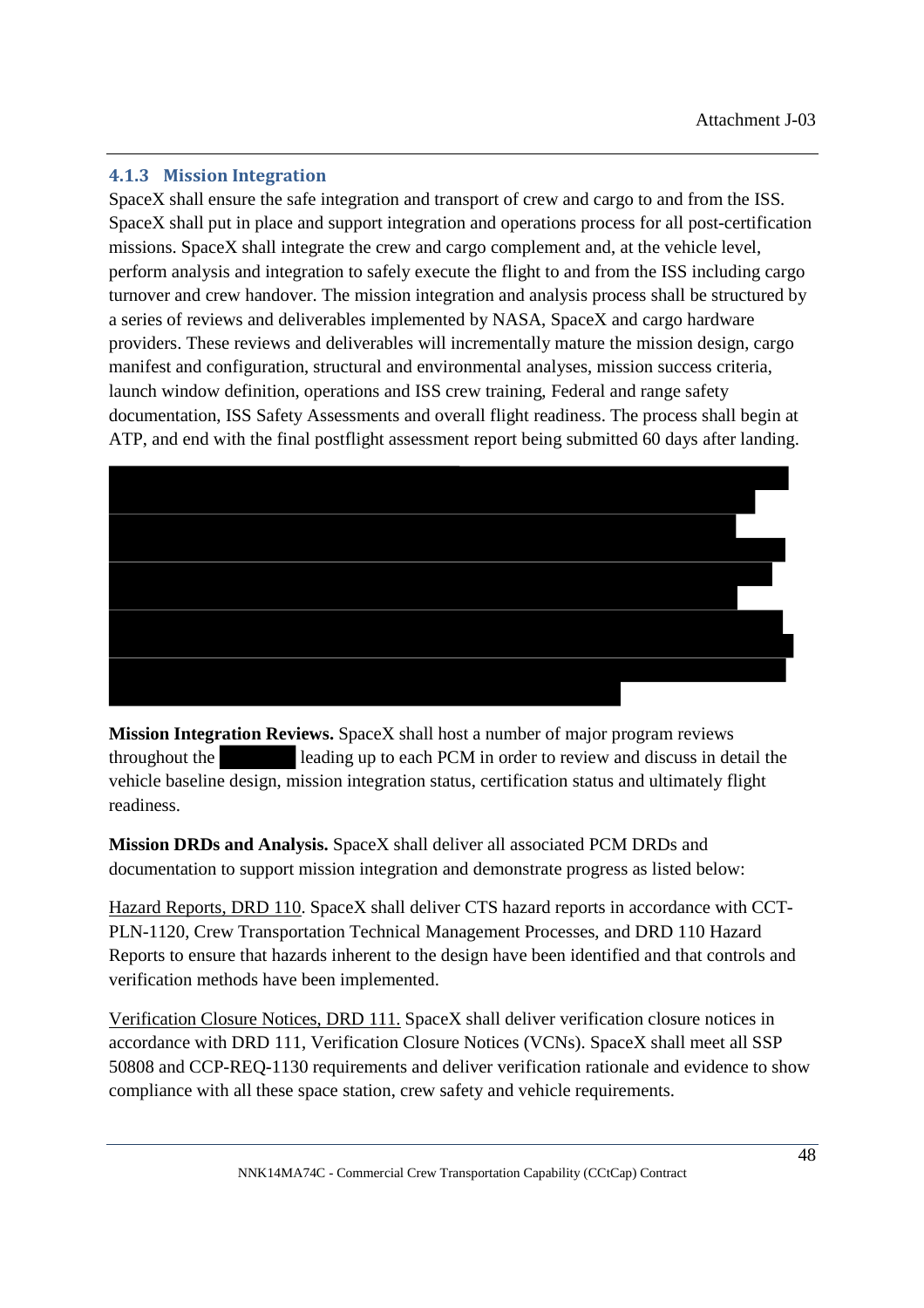#### **4.1.3 Mission Integration**

SpaceX shall ensure the safe integration and transport of crew and cargo to and from the ISS. SpaceX shall put in place and support integration and operations process for all post-certification missions. SpaceX shall integrate the crew and cargo complement and, at the vehicle level, perform analysis and integration to safely execute the flight to and from the ISS including cargo turnover and crew handover. The mission integration and analysis process shall be structured by a series of reviews and deliverables implemented by NASA, SpaceX and cargo hardware providers. These reviews and deliverables will incrementally mature the mission design, cargo manifest and configuration, structural and environmental analyses, mission success criteria, launch window definition, operations and ISS crew training, Federal and range safety documentation, ISS Safety Assessments and overall flight readiness. The process shall begin at ATP, and end with the final postflight assessment report being submitted 60 days after landing.



**Mission Integration Reviews.** SpaceX shall host a number of major program reviews throughout the leading up to each PCM in order to review and discuss in detail the vehicle baseline design, mission integration status, certification status and ultimately flight readiness.

**Mission DRDs and Analysis.** SpaceX shall deliver all associated PCM DRDs and documentation to support mission integration and demonstrate progress as listed below:

Hazard Reports, DRD 110. SpaceX shall deliver CTS hazard reports in accordance with CCT-PLN-1120, Crew Transportation Technical Management Processes, and DRD 110 Hazard Reports to ensure that hazards inherent to the design have been identified and that controls and verification methods have been implemented.

Verification Closure Notices, DRD 111. SpaceX shall deliver verification closure notices in accordance with DRD 111, Verification Closure Notices (VCNs). SpaceX shall meet all SSP 50808 and CCP-REQ-1130 requirements and deliver verification rationale and evidence to show compliance with all these space station, crew safety and vehicle requirements.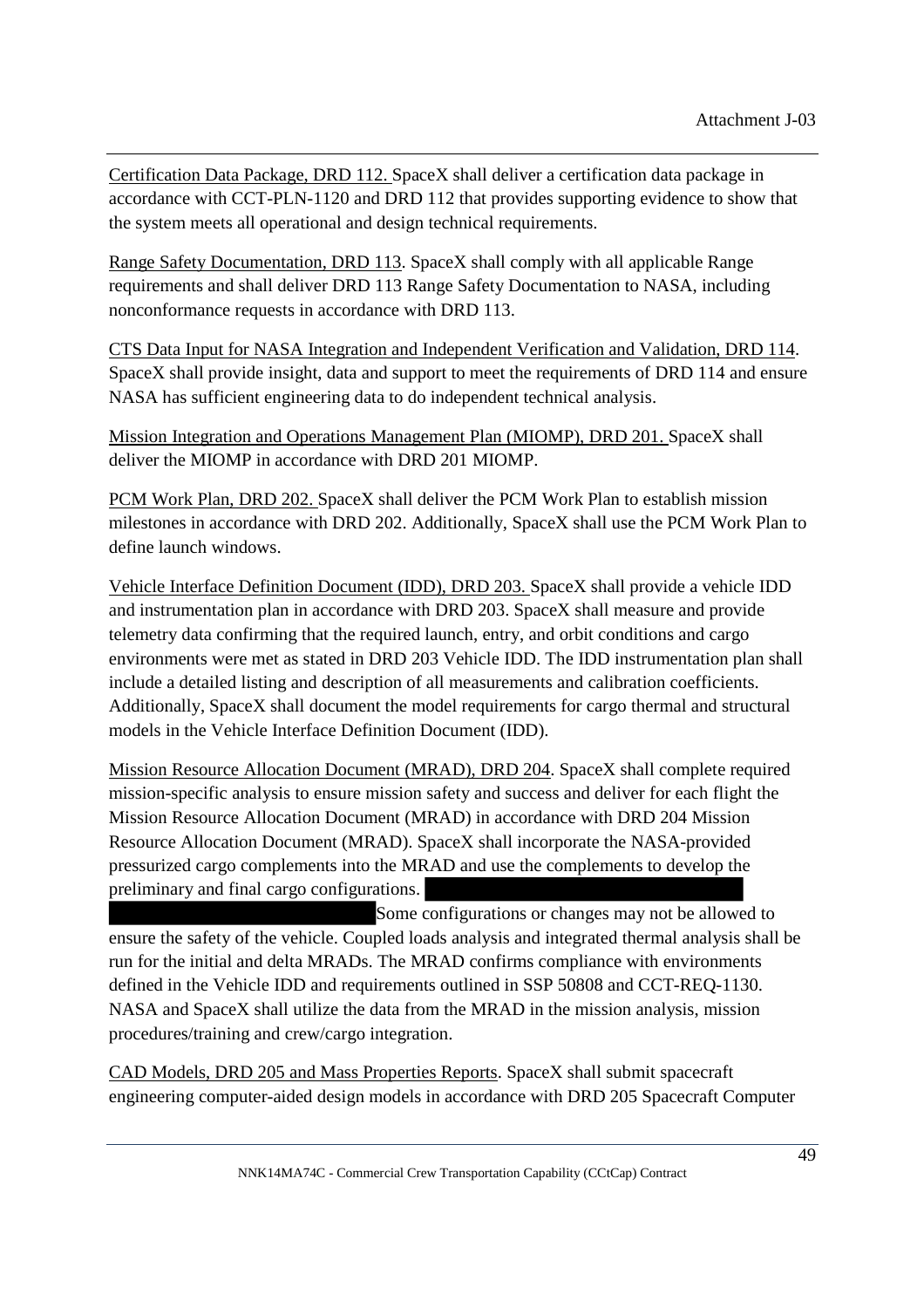Certification Data Package, DRD 112. SpaceX shall deliver a certification data package in accordance with CCT-PLN-1120 and DRD 112 that provides supporting evidence to show that the system meets all operational and design technical requirements.

Range Safety Documentation, DRD 113. SpaceX shall comply with all applicable Range requirements and shall deliver DRD 113 Range Safety Documentation to NASA, including nonconformance requests in accordance with DRD 113.

CTS Data Input for NASA Integration and Independent Verification and Validation, DRD 114. SpaceX shall provide insight, data and support to meet the requirements of DRD 114 and ensure NASA has sufficient engineering data to do independent technical analysis.

Mission Integration and Operations Management Plan (MIOMP), DRD 201. SpaceX shall deliver the MIOMP in accordance with DRD 201 MIOMP.

PCM Work Plan, DRD 202. SpaceX shall deliver the PCM Work Plan to establish mission milestones in accordance with DRD 202. Additionally, SpaceX shall use the PCM Work Plan to define launch windows.

Vehicle Interface Definition Document (IDD), DRD 203. SpaceX shall provide a vehicle IDD and instrumentation plan in accordance with DRD 203. SpaceX shall measure and provide telemetry data confirming that the required launch, entry, and orbit conditions and cargo environments were met as stated in DRD 203 Vehicle IDD. The IDD instrumentation plan shall include a detailed listing and description of all measurements and calibration coefficients. Additionally, SpaceX shall document the model requirements for cargo thermal and structural models in the Vehicle Interface Definition Document (IDD).

Mission Resource Allocation Document (MRAD), DRD 204. SpaceX shall complete required mission-specific analysis to ensure mission safety and success and deliver for each flight the Mission Resource Allocation Document (MRAD) in accordance with DRD 204 Mission Resource Allocation Document (MRAD). SpaceX shall incorporate the NASA-provided pressurized cargo complements into the MRAD and use the complements to develop the preliminary and final cargo configurations.

Some configurations or changes may not be allowed to ensure the safety of the vehicle. Coupled loads analysis and integrated thermal analysis shall be run for the initial and delta MRADs. The MRAD confirms compliance with environments defined in the Vehicle IDD and requirements outlined in SSP 50808 and CCT-REQ-1130. NASA and SpaceX shall utilize the data from the MRAD in the mission analysis, mission procedures/training and crew/cargo integration.

CAD Models, DRD 205 and Mass Properties Reports. SpaceX shall submit spacecraft engineering computer-aided design models in accordance with DRD 205 Spacecraft Computer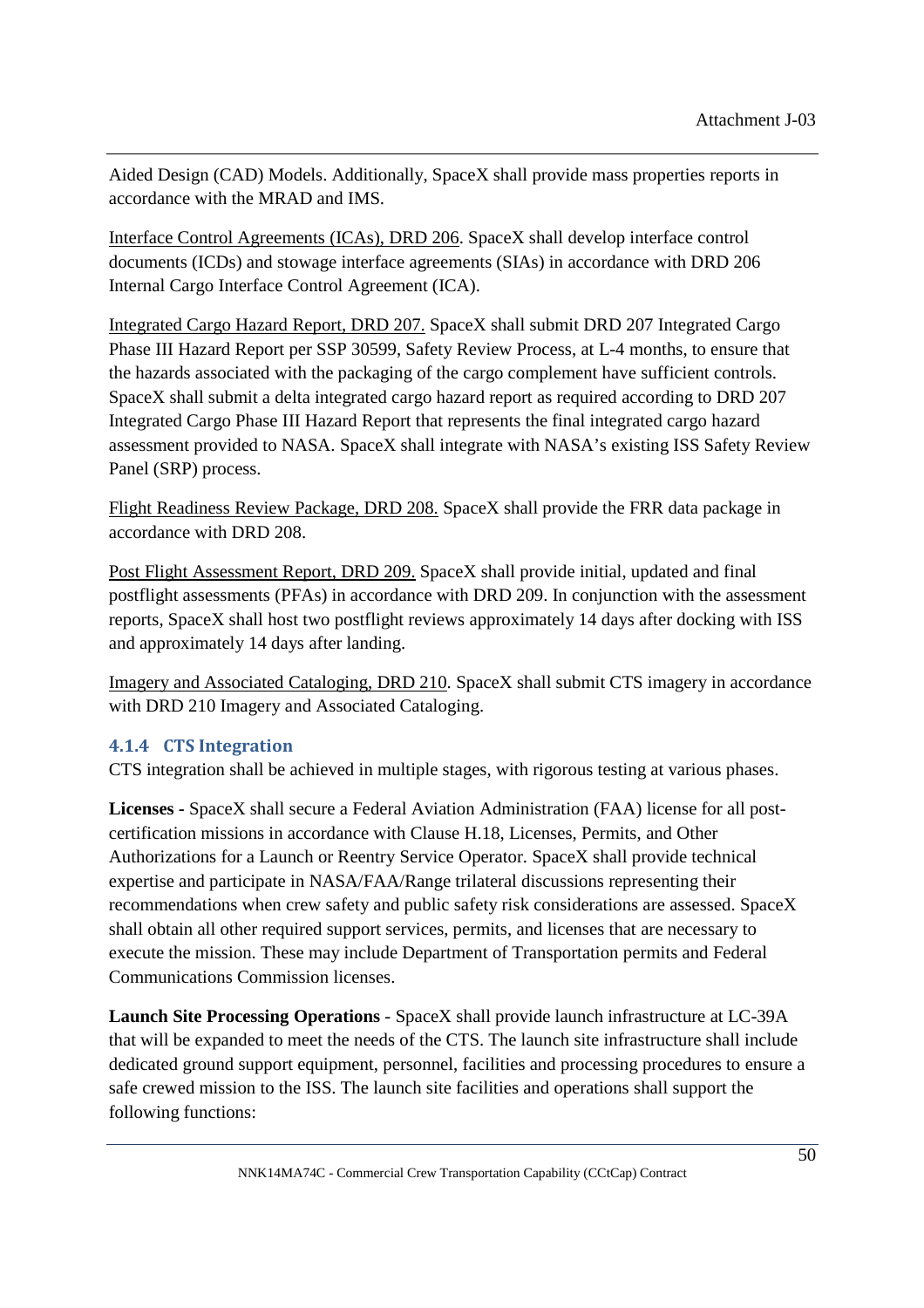Aided Design (CAD) Models. Additionally, SpaceX shall provide mass properties reports in accordance with the MRAD and IMS.

Interface Control Agreements (ICAs), DRD 206. SpaceX shall develop interface control documents (ICDs) and stowage interface agreements (SIAs) in accordance with DRD 206 Internal Cargo Interface Control Agreement (ICA).

Integrated Cargo Hazard Report, DRD 207. SpaceX shall submit DRD 207 Integrated Cargo Phase III Hazard Report per SSP 30599, Safety Review Process, at L-4 months, to ensure that the hazards associated with the packaging of the cargo complement have sufficient controls. SpaceX shall submit a delta integrated cargo hazard report as required according to DRD 207 Integrated Cargo Phase III Hazard Report that represents the final integrated cargo hazard assessment provided to NASA. SpaceX shall integrate with NASA's existing ISS Safety Review Panel (SRP) process.

Flight Readiness Review Package, DRD 208. SpaceX shall provide the FRR data package in accordance with DRD 208.

Post Flight Assessment Report, DRD 209. SpaceX shall provide initial, updated and final postflight assessments (PFAs) in accordance with DRD 209. In conjunction with the assessment reports, SpaceX shall host two postflight reviews approximately 14 days after docking with ISS and approximately 14 days after landing.

Imagery and Associated Cataloging, DRD 210. SpaceX shall submit CTS imagery in accordance with DRD 210 Imagery and Associated Cataloging.

#### **4.1.4 CTS Integration**

CTS integration shall be achieved in multiple stages, with rigorous testing at various phases.

**Licenses -** SpaceX shall secure a Federal Aviation Administration (FAA) license for all postcertification missions in accordance with Clause H.18, Licenses, Permits, and Other Authorizations for a Launch or Reentry Service Operator. SpaceX shall provide technical expertise and participate in NASA/FAA/Range trilateral discussions representing their recommendations when crew safety and public safety risk considerations are assessed. SpaceX shall obtain all other required support services, permits, and licenses that are necessary to execute the mission. These may include Department of Transportation permits and Federal Communications Commission licenses.

**Launch Site Processing Operations** - SpaceX shall provide launch infrastructure at LC-39A that will be expanded to meet the needs of the CTS. The launch site infrastructure shall include dedicated ground support equipment, personnel, facilities and processing procedures to ensure a safe crewed mission to the ISS. The launch site facilities and operations shall support the following functions: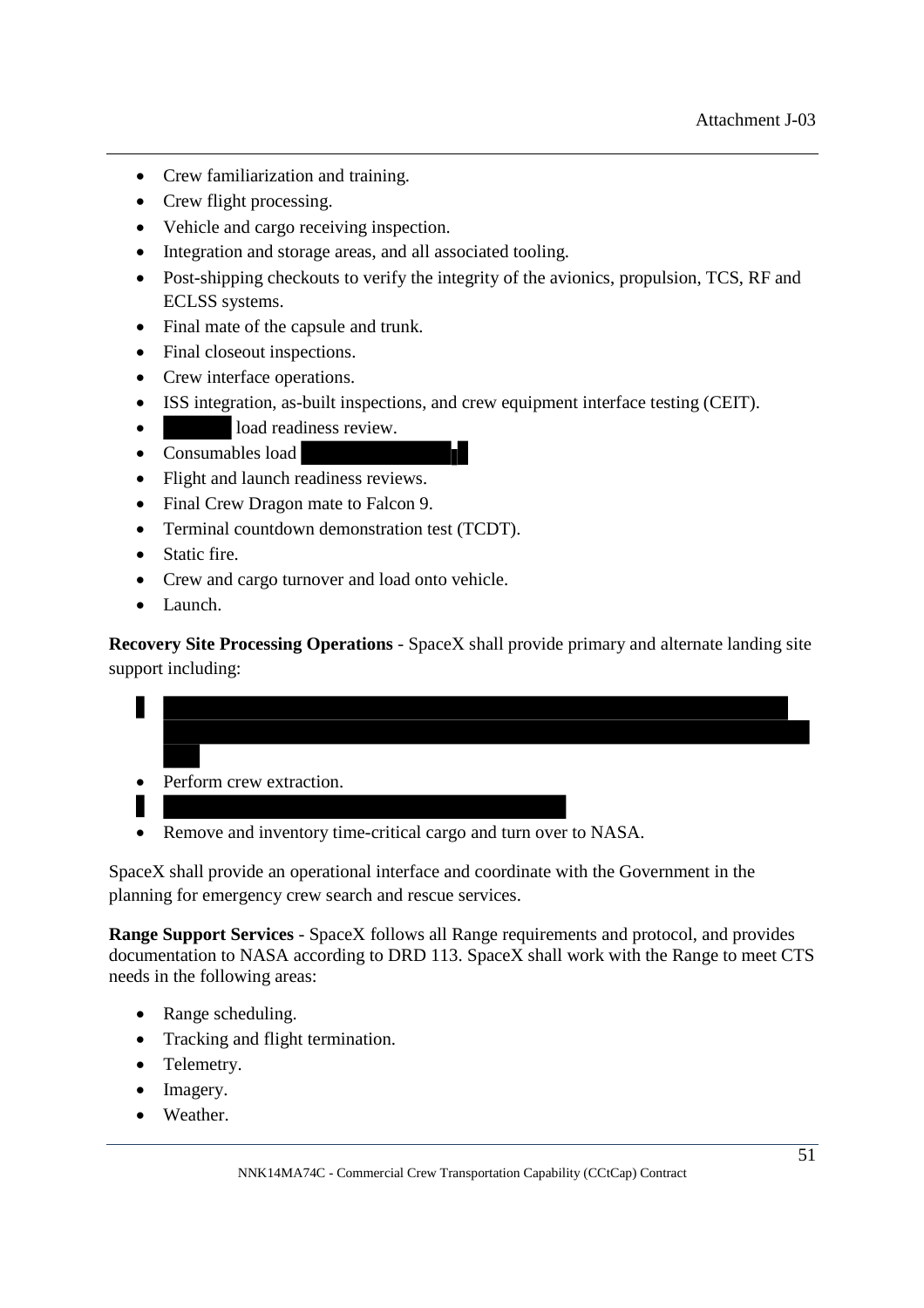- Crew familiarization and training.
- Crew flight processing.
- Vehicle and cargo receiving inspection.
- Integration and storage areas, and all associated tooling.
- Post-shipping checkouts to verify the integrity of the avionics, propulsion, TCS, RF and ECLSS systems.
- Final mate of the capsule and trunk.
- Final closeout inspections.
- Crew interface operations.
- ISS integration, as-built inspections, and crew equipment interface testing (CEIT).
- load readiness review.
- Consumables load
- Flight and launch readiness reviews.
- Final Crew Dragon mate to Falcon 9.
- Terminal countdown demonstration test (TCDT).
- Static fire.
- Crew and cargo turnover and load onto vehicle.
- Launch.

**Recovery Site Processing Operations** - SpaceX shall provide primary and alternate landing site support including:

| $\bullet$ | Perform crew extraction. |
|-----------|--------------------------|
|           |                          |

Remove and inventory time-critical cargo and turn over to NASA.

SpaceX shall provide an operational interface and coordinate with the Government in the planning for emergency crew search and rescue services.

**Range Support Services** - SpaceX follows all Range requirements and protocol, and provides documentation to NASA according to DRD 113. SpaceX shall work with the Range to meet CTS needs in the following areas:

- Range scheduling.
- Tracking and flight termination.
- Telemetry.
- Imagery.
- Weather.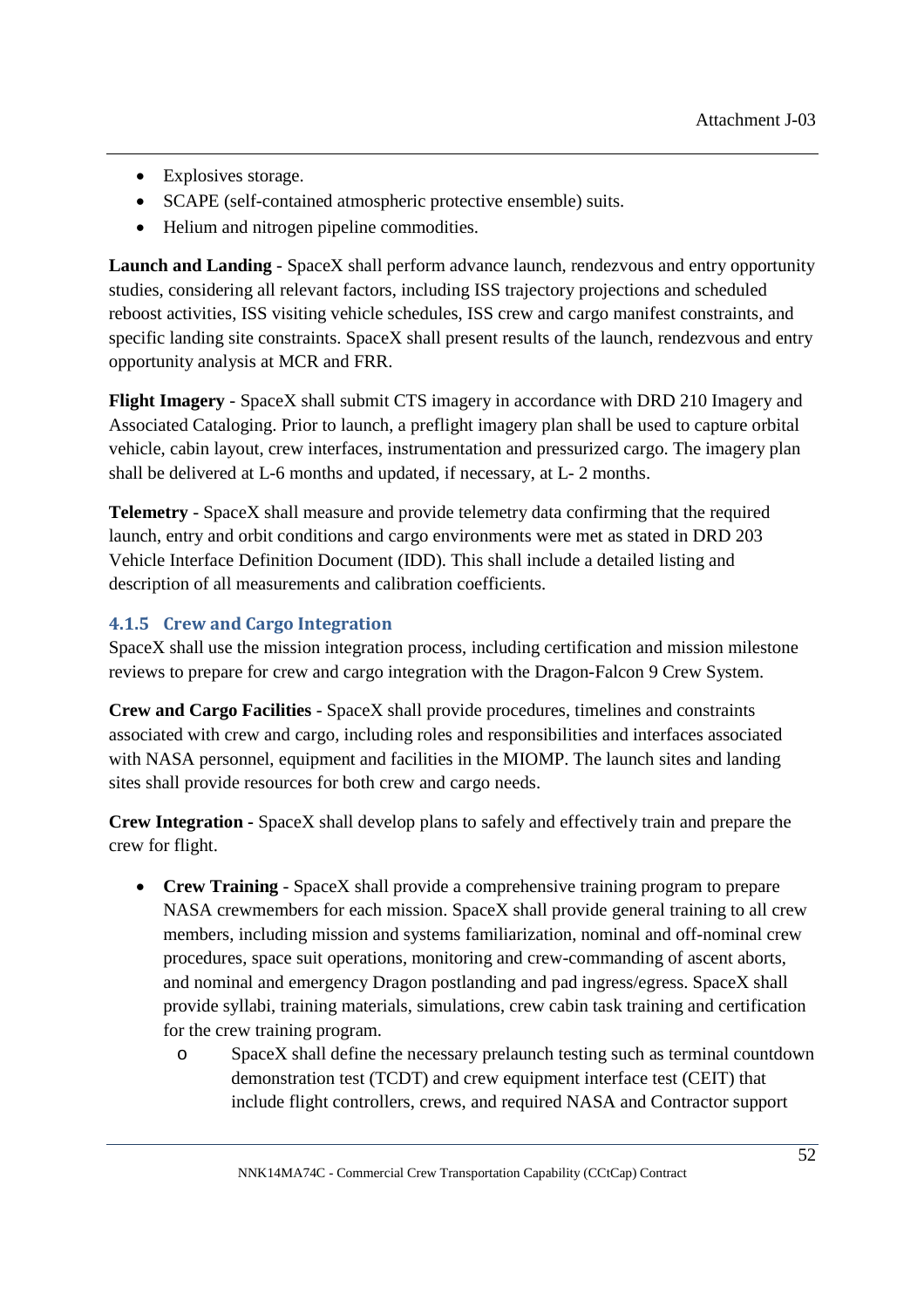- Explosives storage.
- SCAPE (self-contained atmospheric protective ensemble) suits.
- Helium and nitrogen pipeline commodities.

**Launch and Landing** - SpaceX shall perform advance launch, rendezvous and entry opportunity studies, considering all relevant factors, including ISS trajectory projections and scheduled reboost activities, ISS visiting vehicle schedules, ISS crew and cargo manifest constraints, and specific landing site constraints. SpaceX shall present results of the launch, rendezvous and entry opportunity analysis at MCR and FRR.

**Flight Imagery** - SpaceX shall submit CTS imagery in accordance with DRD 210 Imagery and Associated Cataloging. Prior to launch, a preflight imagery plan shall be used to capture orbital vehicle, cabin layout, crew interfaces, instrumentation and pressurized cargo. The imagery plan shall be delivered at L-6 months and updated, if necessary, at L- 2 months.

**Telemetry** - SpaceX shall measure and provide telemetry data confirming that the required launch, entry and orbit conditions and cargo environments were met as stated in DRD 203 Vehicle Interface Definition Document (IDD). This shall include a detailed listing and description of all measurements and calibration coefficients.

#### **4.1.5 Crew and Cargo Integration**

SpaceX shall use the mission integration process, including certification and mission milestone reviews to prepare for crew and cargo integration with the Dragon-Falcon 9 Crew System.

**Crew and Cargo Facilities** - SpaceX shall provide procedures, timelines and constraints associated with crew and cargo, including roles and responsibilities and interfaces associated with NASA personnel, equipment and facilities in the MIOMP. The launch sites and landing sites shall provide resources for both crew and cargo needs.

**Crew Integration -** SpaceX shall develop plans to safely and effectively train and prepare the crew for flight.

- **Crew Training** SpaceX shall provide a comprehensive training program to prepare NASA crewmembers for each mission. SpaceX shall provide general training to all crew members, including mission and systems familiarization, nominal and off-nominal crew procedures, space suit operations, monitoring and crew-commanding of ascent aborts, and nominal and emergency Dragon postlanding and pad ingress/egress. SpaceX shall provide syllabi, training materials, simulations, crew cabin task training and certification for the crew training program.
	- o SpaceX shall define the necessary prelaunch testing such as terminal countdown demonstration test (TCDT) and crew equipment interface test (CEIT) that include flight controllers, crews, and required NASA and Contractor support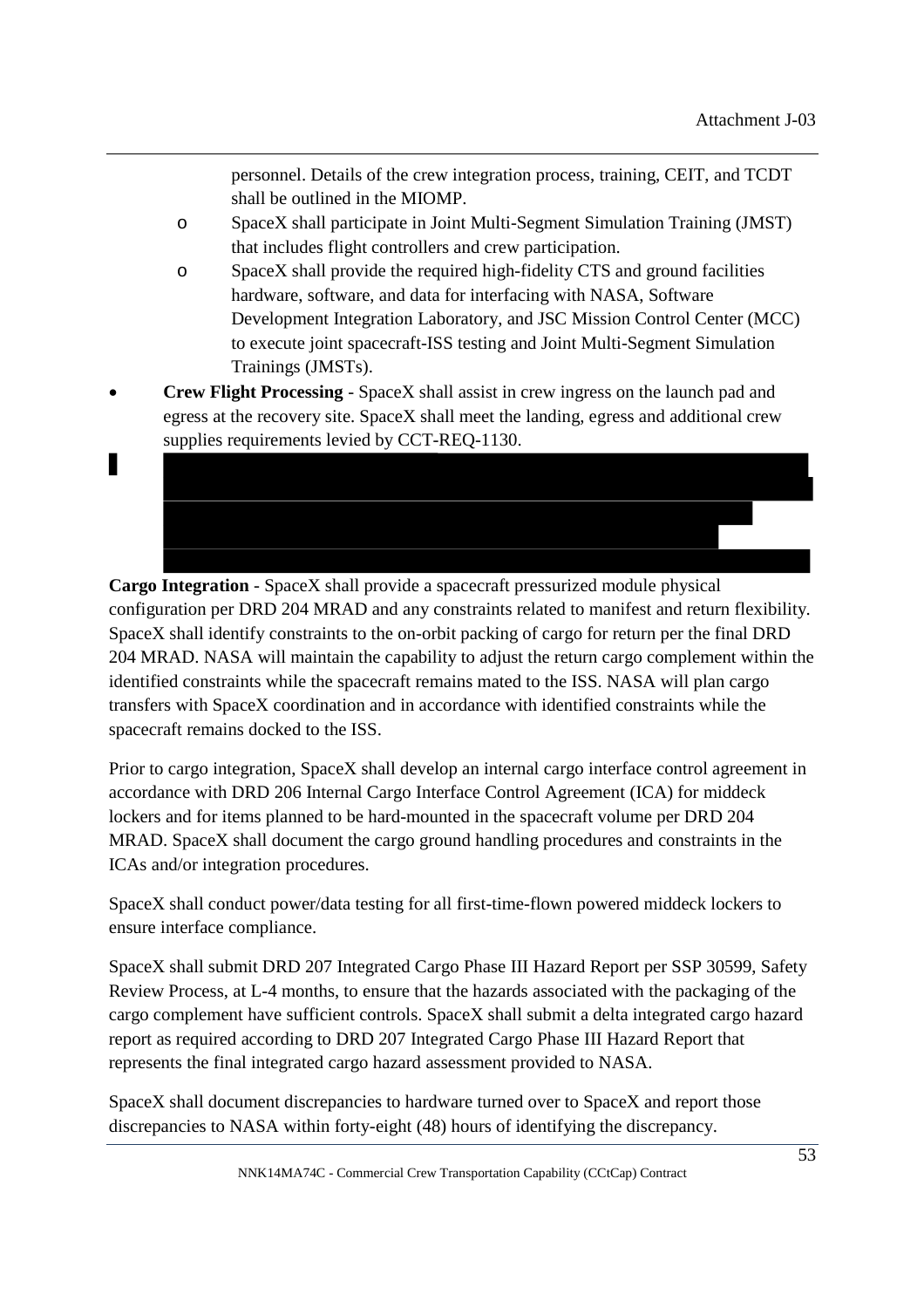personnel. Details of the crew integration process, training, CEIT, and TCDT shall be outlined in the MIOMP.

- o SpaceX shall participate in Joint Multi-Segment Simulation Training (JMST) that includes flight controllers and crew participation.
- o SpaceX shall provide the required high-fidelity CTS and ground facilities hardware, software, and data for interfacing with NASA, Software Development Integration Laboratory, and JSC Mission Control Center (MCC) to execute joint spacecraft-ISS testing and Joint Multi-Segment Simulation Trainings (JMSTs).
- **Crew Flight Processing** SpaceX shall assist in crew ingress on the launch pad and egress at the recovery site. SpaceX shall meet the landing, egress and additional crew supplies requirements levied by CCT-REQ-1130.

**Cargo Integration** - SpaceX shall provide a spacecraft pressurized module physical configuration per DRD 204 MRAD and any constraints related to manifest and return flexibility. SpaceX shall identify constraints to the on-orbit packing of cargo for return per the final DRD 204 MRAD. NASA will maintain the capability to adjust the return cargo complement within the identified constraints while the spacecraft remains mated to the ISS. NASA will plan cargo transfers with SpaceX coordination and in accordance with identified constraints while the spacecraft remains docked to the ISS.

Prior to cargo integration, SpaceX shall develop an internal cargo interface control agreement in accordance with DRD 206 Internal Cargo Interface Control Agreement (ICA) for middeck lockers and for items planned to be hard-mounted in the spacecraft volume per DRD 204 MRAD. SpaceX shall document the cargo ground handling procedures and constraints in the ICAs and/or integration procedures.

SpaceX shall conduct power/data testing for all first-time-flown powered middeck lockers to ensure interface compliance.

SpaceX shall submit DRD 207 Integrated Cargo Phase III Hazard Report per SSP 30599, Safety Review Process, at L-4 months, to ensure that the hazards associated with the packaging of the cargo complement have sufficient controls. SpaceX shall submit a delta integrated cargo hazard report as required according to DRD 207 Integrated Cargo Phase III Hazard Report that represents the final integrated cargo hazard assessment provided to NASA.

SpaceX shall document discrepancies to hardware turned over to SpaceX and report those discrepancies to NASA within forty-eight (48) hours of identifying the discrepancy.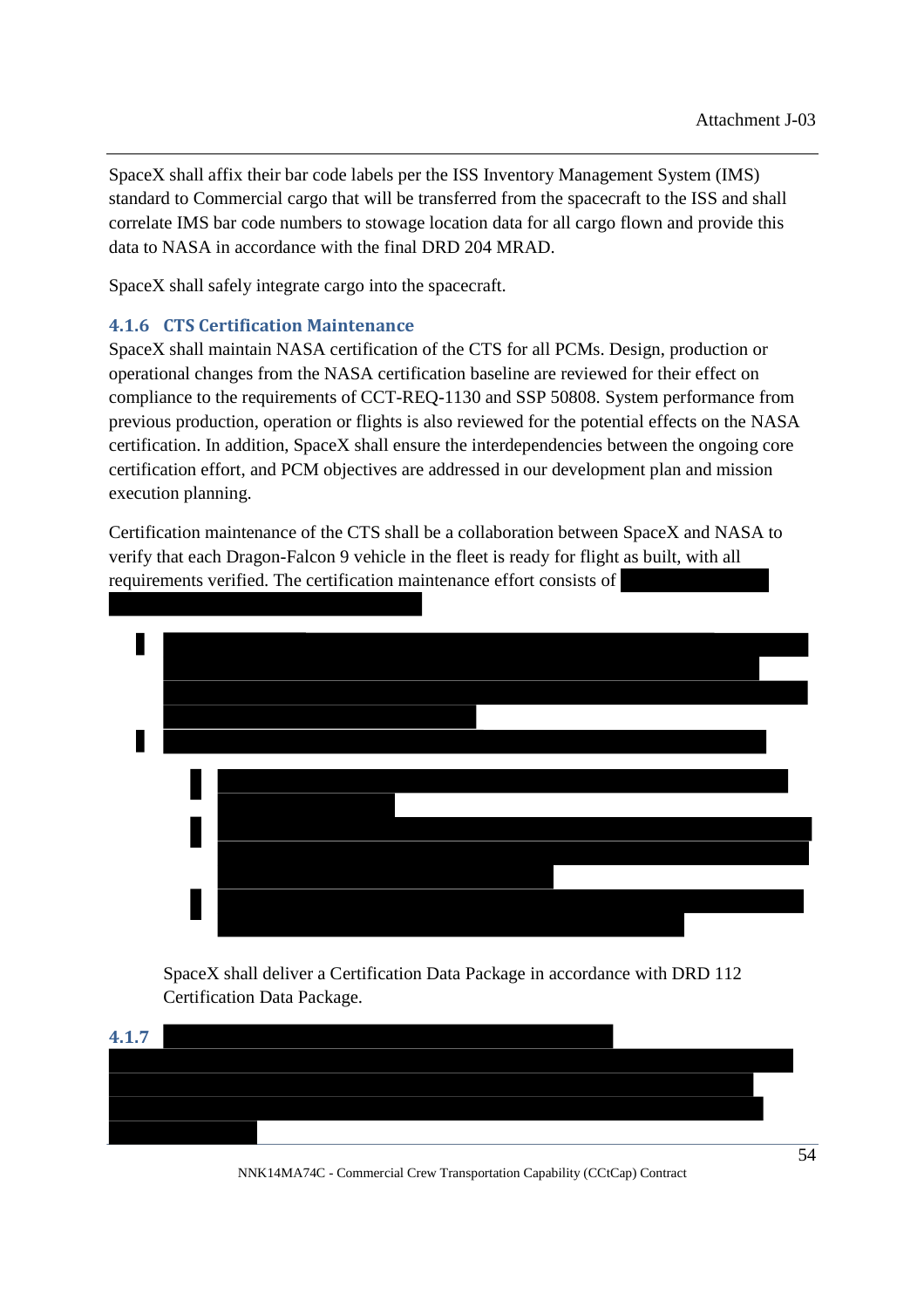SpaceX shall affix their bar code labels per the ISS Inventory Management System (IMS) standard to Commercial cargo that will be transferred from the spacecraft to the ISS and shall correlate IMS bar code numbers to stowage location data for all cargo flown and provide this data to NASA in accordance with the final DRD 204 MRAD.

SpaceX shall safely integrate cargo into the spacecraft.

#### **4.1.6 CTS Certification Maintenance**

SpaceX shall maintain NASA certification of the CTS for all PCMs. Design, production or operational changes from the NASA certification baseline are reviewed for their effect on compliance to the requirements of CCT-REQ-1130 and SSP 50808. System performance from previous production, operation or flights is also reviewed for the potential effects on the NASA certification. In addition, SpaceX shall ensure the interdependencies between the ongoing core certification effort, and PCM objectives are addressed in our development plan and mission execution planning.

Certification maintenance of the CTS shall be a collaboration between SpaceX and NASA to verify that each Dragon-Falcon 9 vehicle in the fleet is ready for flight as built, with all requirements verified. The certification maintenance effort consists of



SpaceX shall deliver a Certification Data Package in accordance with DRD 112 Certification Data Package.



NNK14MA74C - Commercial Crew Transportation Capability (CCtCap) Contract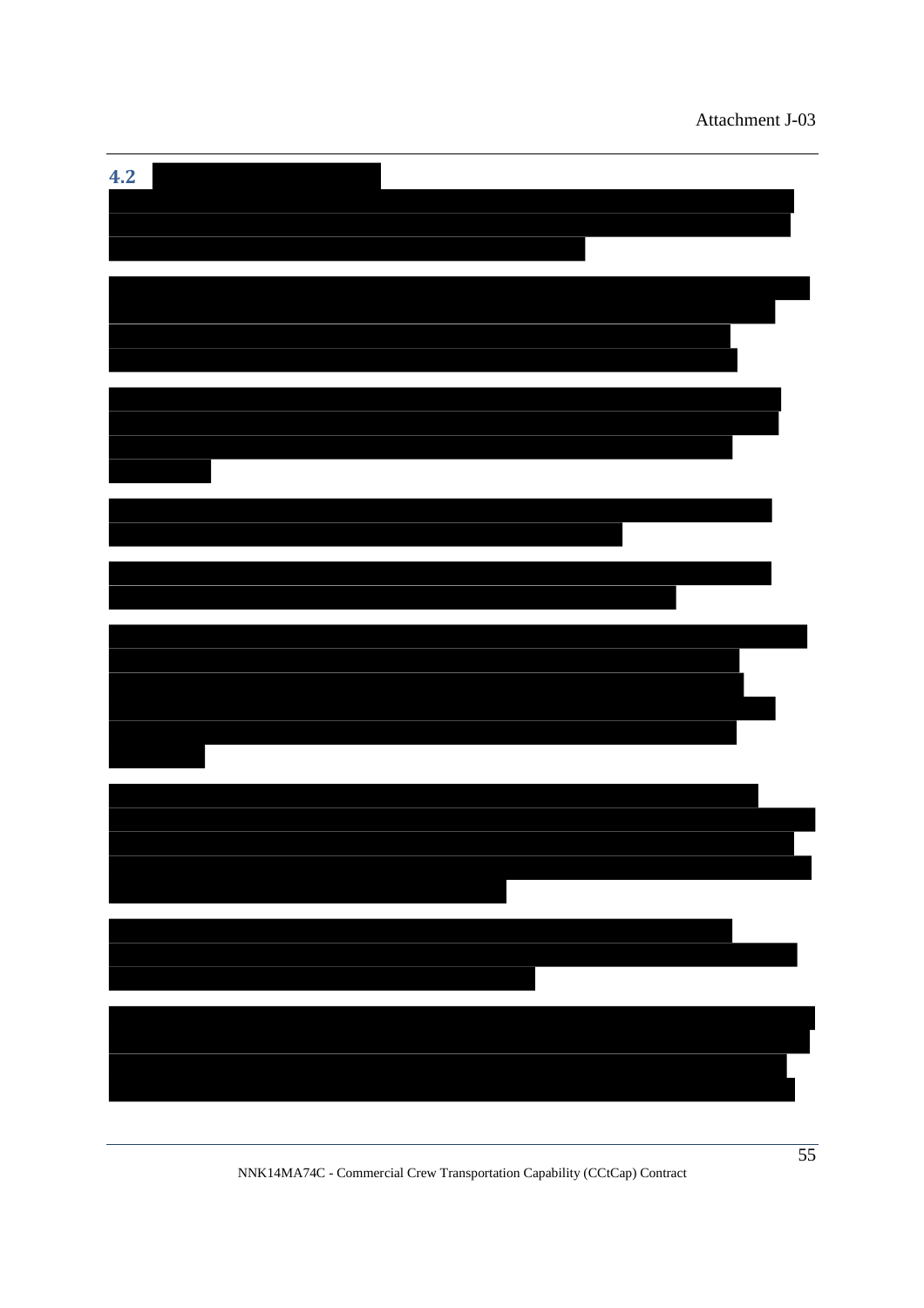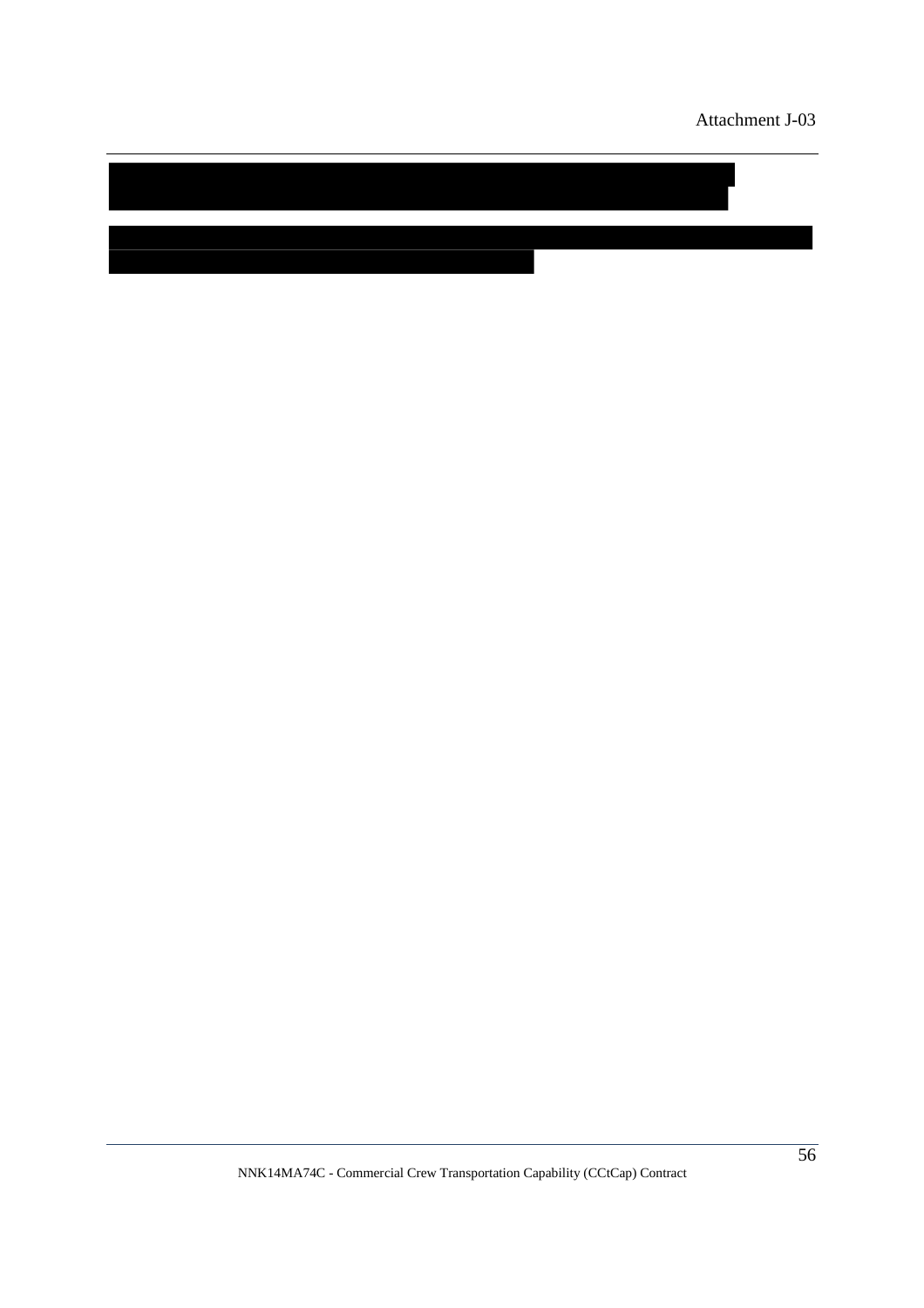